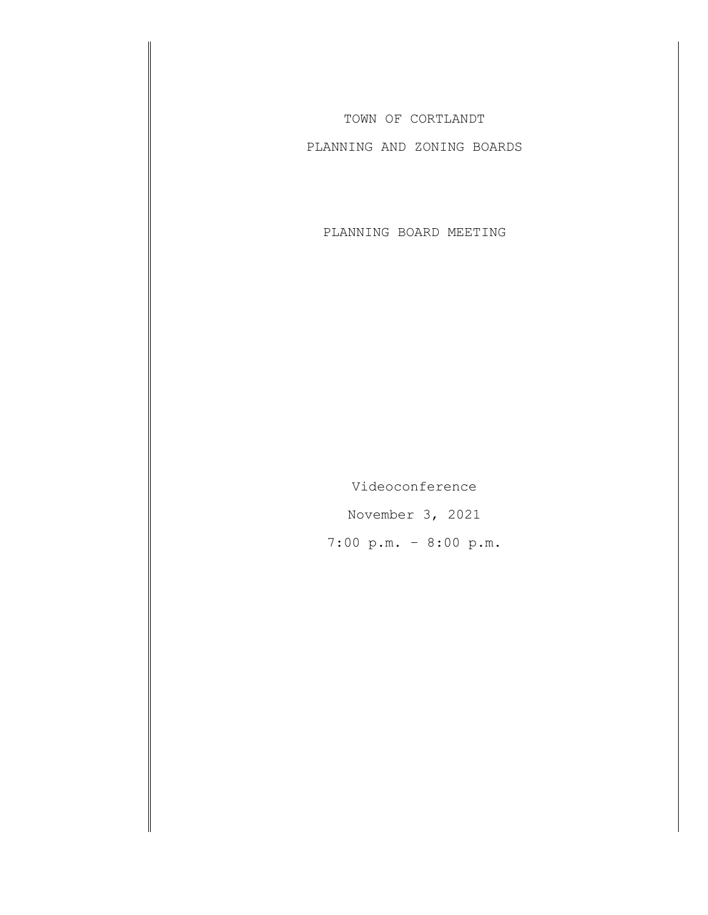TOWN OF CORTLANDT

PLANNING AND ZONING BOARDS

PLANNING BOARD MEETING

Videoconference November 3, 2021 7:00 p.m. – 8:00 p.m.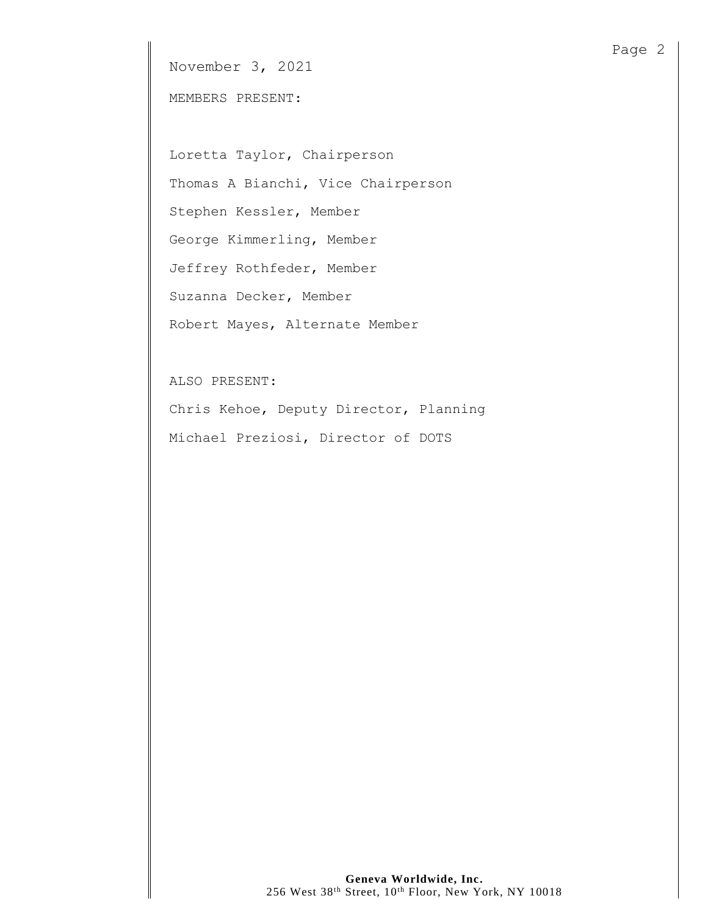November 3, 2021

MEMBERS PRESENT:

Loretta Taylor, Chairperson Thomas A Bianchi, Vice Chairperson Stephen Kessler, Member George Kimmerling, Member Jeffrey Rothfeder, Member Suzanna Decker, Member Robert Mayes, Alternate Member

ALSO PRESENT:

Chris Kehoe, Deputy Director, Planning Michael Preziosi, Director of DOTS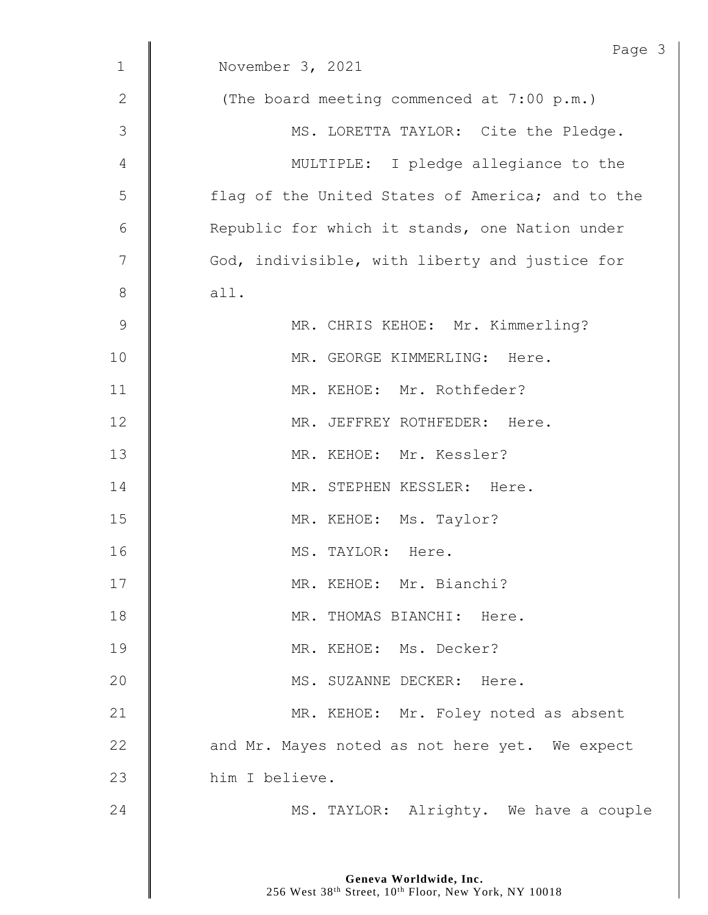|             | Page 3                                           |
|-------------|--------------------------------------------------|
| $\mathbf 1$ | November 3, 2021                                 |
| 2           | (The board meeting commenced at 7:00 p.m.)       |
| 3           | MS. LORETTA TAYLOR: Cite the Pledge.             |
| 4           | MULTIPLE: I pledge allegiance to the             |
| 5           | flag of the United States of America; and to the |
| 6           | Republic for which it stands, one Nation under   |
| 7           | God, indivisible, with liberty and justice for   |
| 8           | all.                                             |
| $\mathsf 9$ | MR. CHRIS KEHOE: Mr. Kimmerling?                 |
| 10          | MR. GEORGE KIMMERLING: Here.                     |
| 11          | MR. KEHOE: Mr. Rothfeder?                        |
| 12          | MR. JEFFREY ROTHFEDER: Here.                     |
| 13          | MR. KEHOE: Mr. Kessler?                          |
| 14          | MR. STEPHEN KESSLER: Here.                       |
| 15          | MR. KEHOE: Ms. Taylor?                           |
| 16          | MS. TAYLOR: Here.                                |
| 17          | MR. KEHOE: Mr. Bianchi?                          |
| 18          | MR. THOMAS BIANCHI: Here.                        |
| 19          | MR. KEHOE: Ms. Decker?                           |
| 20          | MS. SUZANNE DECKER: Here.                        |
| 21          | MR. KEHOE: Mr. Foley noted as absent             |
| 22          | and Mr. Mayes noted as not here yet. We expect   |
| 23          | him I believe.                                   |
| 24          | MS. TAYLOR: Alrighty. We have a couple           |
|             |                                                  |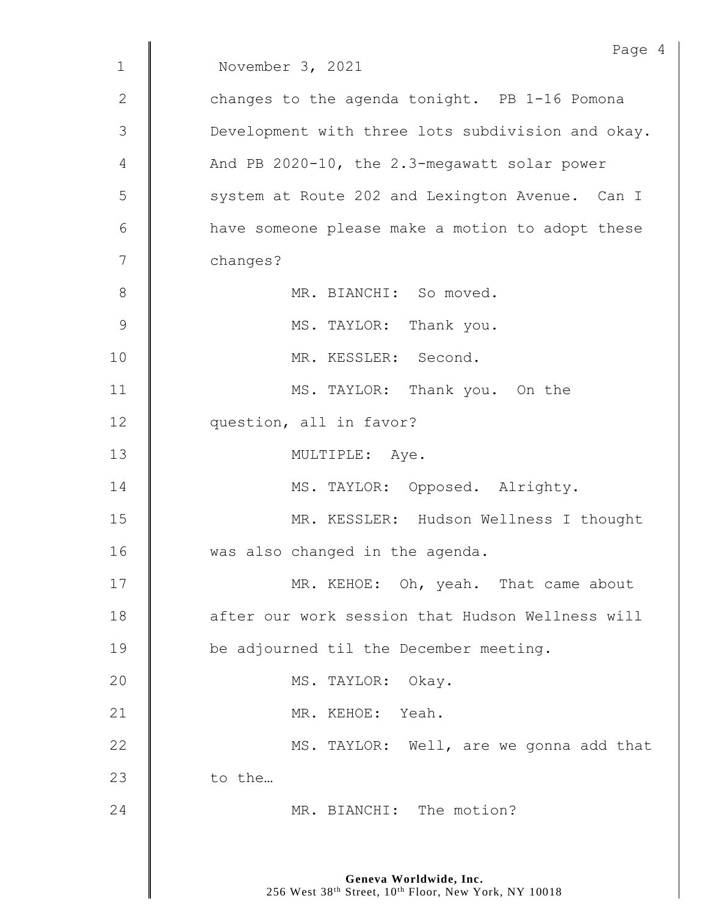|               | Page 4                                            |
|---------------|---------------------------------------------------|
| $\mathbf{1}$  | November 3, 2021                                  |
| 2             | changes to the agenda tonight. PB 1-16 Pomona     |
| 3             | Development with three lots subdivision and okay. |
| 4             | And PB 2020-10, the 2.3-megawatt solar power      |
| 5             | system at Route 202 and Lexington Avenue. Can I   |
| 6             | have someone please make a motion to adopt these  |
| 7             | changes?                                          |
| 8             | MR. BIANCHI: So moved.                            |
| $\mathcal{G}$ | MS. TAYLOR: Thank you.                            |
| 10            | MR. KESSLER: Second.                              |
| 11            | MS. TAYLOR: Thank you. On the                     |
| 12            | question, all in favor?                           |
| 13            | MULTIPLE: Aye.                                    |
| 14            | MS. TAYLOR: Opposed. Alrighty.                    |
| 15            | MR. KESSLER: Hudson Wellness I thought            |
| 16            | was also changed in the agenda.                   |
| 17            | MR. KEHOE: Oh, yeah. That came about              |
| 18            | after our work session that Hudson Wellness will  |
| 19            | be adjourned til the December meeting.            |
| 20            | MS. TAYLOR: Okay.                                 |
| 21            | MR. KEHOE: Yeah.                                  |
| 22            | MS. TAYLOR: Well, are we gonna add that           |
| 23            | to the                                            |
| 24            | MR. BIANCHI: The motion?                          |
|               |                                                   |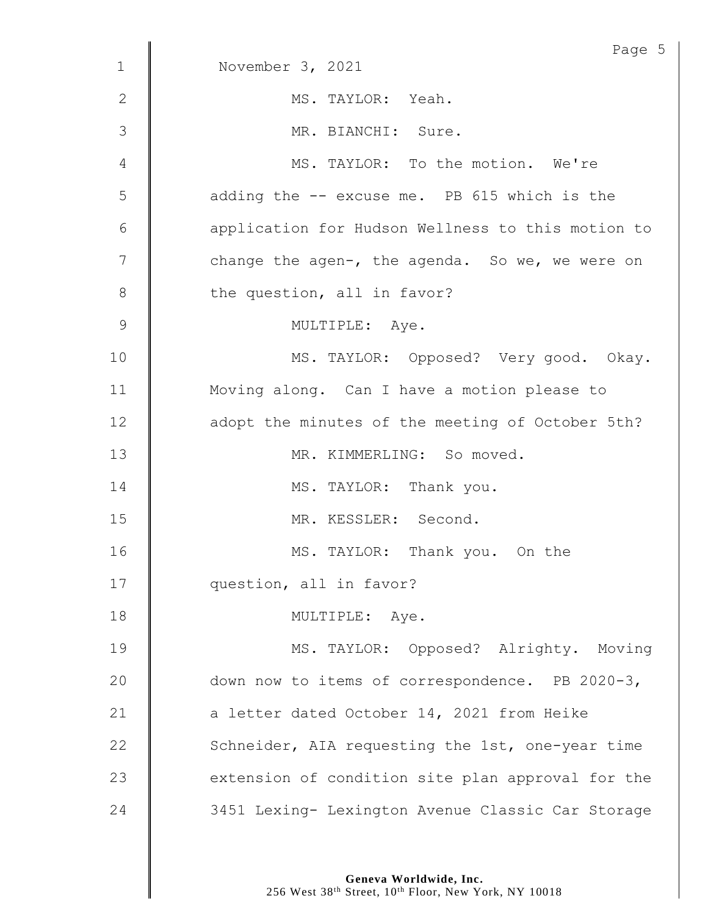|                 | Page 5                                            |
|-----------------|---------------------------------------------------|
| $\mathbf{1}$    | November 3, 2021                                  |
| 2               | MS. TAYLOR: Yeah.                                 |
| 3               | MR. BIANCHI: Sure.                                |
| 4               | MS. TAYLOR: To the motion. We're                  |
| 5               | adding the -- excuse me. PB 615 which is the      |
| $6\phantom{.}6$ | application for Hudson Wellness to this motion to |
| 7               | change the agen-, the agenda. So we, we were on   |
| $8\,$           | the question, all in favor?                       |
| 9               | MULTIPLE: Aye.                                    |
| 10              | MS. TAYLOR: Opposed? Very good. Okay.             |
| 11              | Moving along. Can I have a motion please to       |
| 12              | adopt the minutes of the meeting of October 5th?  |
| 13              | MR. KIMMERLING: So moved.                         |
| 14              | MS. TAYLOR: Thank you.                            |
| 15              | MR. KESSLER: Second.                              |
| 16              | MS. TAYLOR: Thank you. On the                     |
| 17              | question, all in favor?                           |
| 18              | MULTIPLE: Aye.                                    |
| 19              | MS. TAYLOR: Opposed? Alrighty. Moving             |
| 20              | down now to items of correspondence. PB 2020-3,   |
| 21              | a letter dated October 14, 2021 from Heike        |
| 22              | Schneider, AIA requesting the 1st, one-year time  |
| 23              | extension of condition site plan approval for the |
| 24              | 3451 Lexing- Lexington Avenue Classic Car Storage |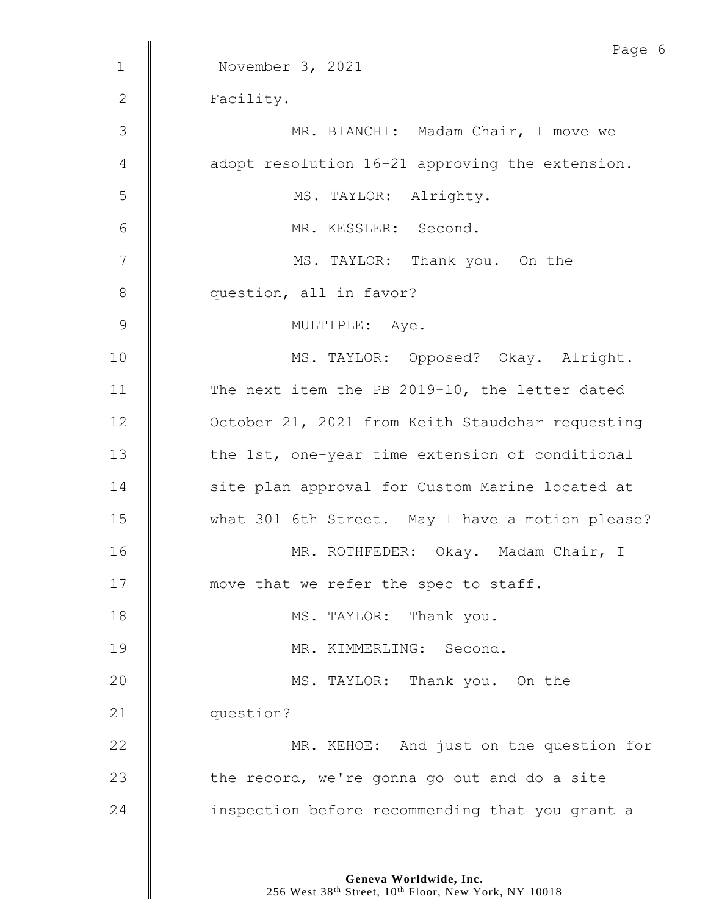|                | Page 6                                           |
|----------------|--------------------------------------------------|
| $\mathbf{1}$   | November 3, 2021                                 |
| $\mathbf{2}$   | Facility.                                        |
| $\mathcal{S}$  | MR. BIANCHI: Madam Chair, I move we              |
| 4              | adopt resolution 16-21 approving the extension.  |
| 5              | MS. TAYLOR: Alrighty.                            |
| $6\,$          | MR. KESSLER: Second.                             |
| $\overline{7}$ | MS. TAYLOR: Thank you. On the                    |
| $8\,$          | question, all in favor?                          |
| $\overline{9}$ | MULTIPLE: Aye.                                   |
| 10             | MS. TAYLOR: Opposed? Okay. Alright.              |
| 11             | The next item the PB 2019-10, the letter dated   |
| 12             | October 21, 2021 from Keith Staudohar requesting |
| 13             | the 1st, one-year time extension of conditional  |
| 14             | site plan approval for Custom Marine located at  |
| 15             | what 301 6th Street. May I have a motion please? |
| 16             | MR. ROTHFEDER: Okay. Madam Chair, I              |
| 17             | move that we refer the spec to staff.            |
| 18             | MS. TAYLOR: Thank you.                           |
| 19             | MR. KIMMERLING: Second.                          |
| 20             | MS. TAYLOR: Thank you. On the                    |
| 21             | question?                                        |
| 22             | MR. KEHOE: And just on the question for          |
| 23             | the record, we're gonna go out and do a site     |
| 24             | inspection before recommending that you grant a  |
|                |                                                  |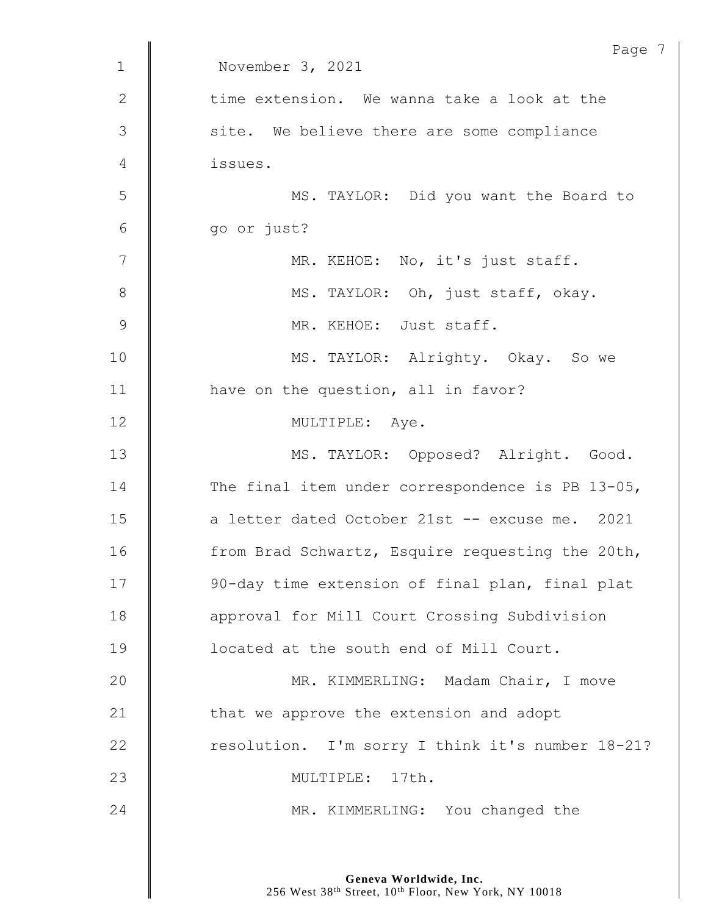|                | Page 7                                           |
|----------------|--------------------------------------------------|
| $\mathbf{1}$   | November 3, 2021                                 |
| $\mathbf{2}$   | time extension. We wanna take a look at the      |
| 3              | site. We believe there are some compliance       |
| 4              | issues.                                          |
| 5              | MS. TAYLOR: Did you want the Board to            |
| $6\,$          | go or just?                                      |
| $\overline{7}$ | MR. KEHOE: No, it's just staff.                  |
| $8\,$          | MS. TAYLOR: Oh, just staff, okay.                |
| $\mathcal{G}$  | MR. KEHOE: Just staff.                           |
| 10             | MS. TAYLOR: Alrighty. Okay. So we                |
| 11             | have on the question, all in favor?              |
| 12             | MULTIPLE: Aye.                                   |
| 13             | MS. TAYLOR: Opposed? Alright. Good.              |
| 14             | The final item under correspondence is PB 13-05, |
| 15             | a letter dated October 21st -- excuse me. 2021   |
| 16             | from Brad Schwartz, Esquire requesting the 20th, |
| 17             | 90-day time extension of final plan, final plat  |
| 18             | approval for Mill Court Crossing Subdivision     |
| 19             | located at the south end of Mill Court.          |
| 20             | MR. KIMMERLING: Madam Chair, I move              |
| 21             | that we approve the extension and adopt          |
| 22             | resolution. I'm sorry I think it's number 18-21? |
| 23             | MULTIPLE: 17th.                                  |
| 24             | MR. KIMMERLING: You changed the                  |
|                |                                                  |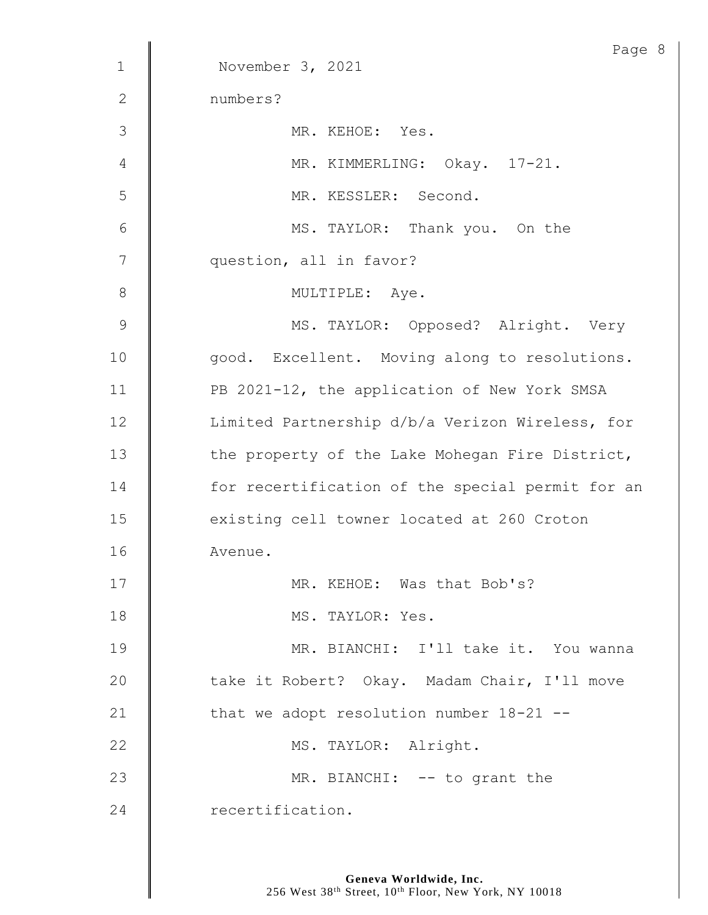| MS. TAYLOR: Opposed? Alright. Very               |
|--------------------------------------------------|
| good. Excellent. Moving along to resolutions.    |
| PB 2021-12, the application of New York SMSA     |
| Limited Partnership d/b/a Verizon Wireless, for  |
| the property of the Lake Mohegan Fire District,  |
| for recertification of the special permit for an |
| existing cell towner located at 260 Croton       |
|                                                  |
|                                                  |
|                                                  |
| MR. BIANCHI: I'll take it. You wanna             |
| take it Robert? Okay. Madam Chair, I'll move     |
|                                                  |
|                                                  |
|                                                  |
|                                                  |
|                                                  |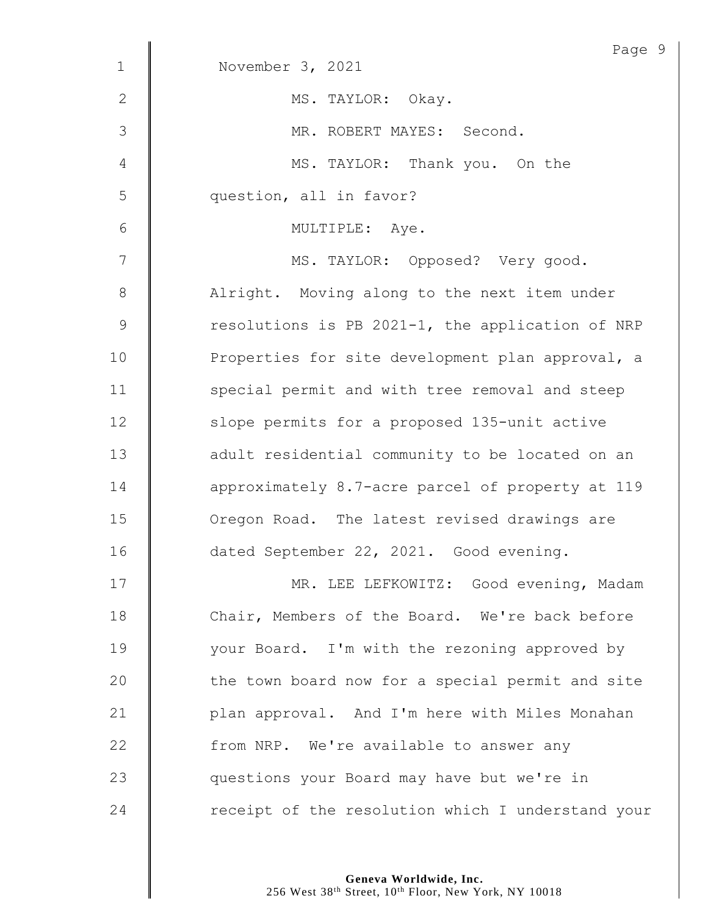|               | Page 9                                            |
|---------------|---------------------------------------------------|
| $\mathbf{1}$  | November 3, 2021                                  |
| $\mathbf{2}$  | MS. TAYLOR: Okay.                                 |
| 3             | MR. ROBERT MAYES: Second.                         |
| 4             | MS. TAYLOR: Thank you. On the                     |
| 5             | question, all in favor?                           |
| $6\,$         | MULTIPLE: Aye.                                    |
| 7             | MS. TAYLOR: Opposed? Very good.                   |
| $\,8\,$       | Alright. Moving along to the next item under      |
| $\mathcal{G}$ | resolutions is PB 2021-1, the application of NRP  |
| 10            | Properties for site development plan approval, a  |
| 11            | special permit and with tree removal and steep    |
| 12            | slope permits for a proposed 135-unit active      |
| 13            | adult residential community to be located on an   |
| 14            | approximately 8.7-acre parcel of property at 119  |
| 15            | Oregon Road. The latest revised drawings are      |
| 16            | dated September 22, 2021. Good evening.           |
| 17            | MR. LEE LEFKOWITZ: Good evening, Madam            |
| 18            | Chair, Members of the Board. We're back before    |
| 19            | your Board. I'm with the rezoning approved by     |
| 20            | the town board now for a special permit and site  |
| 21            | plan approval. And I'm here with Miles Monahan    |
| 22            | from NRP. We're available to answer any           |
| 23            | questions your Board may have but we're in        |
| 24            | receipt of the resolution which I understand your |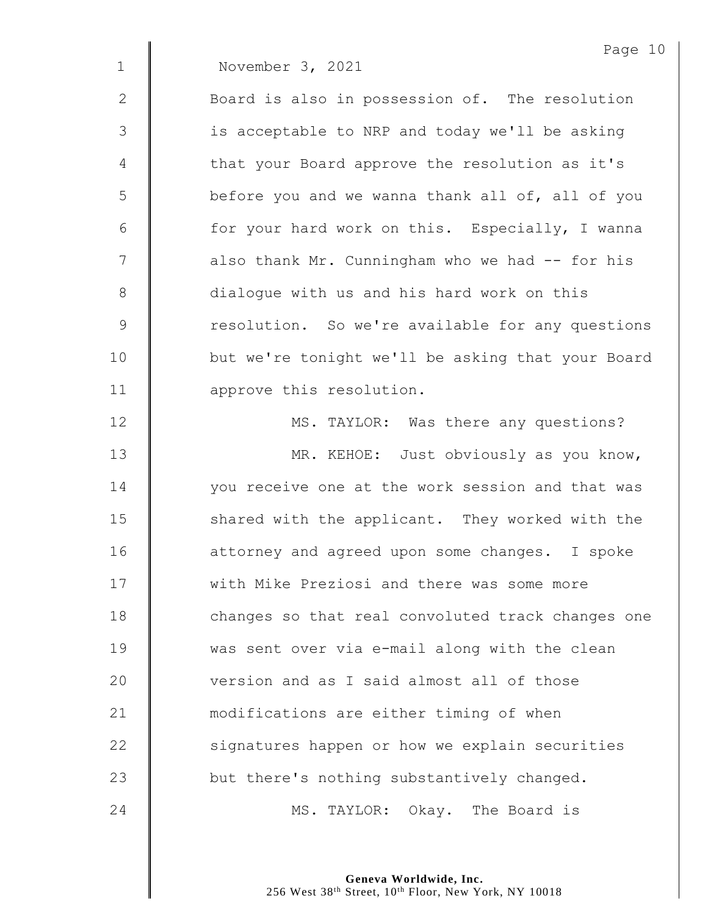|               | Page 10                                           |
|---------------|---------------------------------------------------|
| $\mathbf 1$   | November 3, 2021                                  |
| 2             | Board is also in possession of. The resolution    |
| 3             | is acceptable to NRP and today we'll be asking    |
| 4             | that your Board approve the resolution as it's    |
| 5             | before you and we wanna thank all of, all of you  |
| $6\,$         | for your hard work on this. Especially, I wanna   |
| 7             | also thank Mr. Cunningham who we had -- for his   |
| 8             | dialogue with us and his hard work on this        |
| $\mathcal{G}$ | resolution. So we're available for any questions  |
| 10            | but we're tonight we'll be asking that your Board |
| 11            | approve this resolution.                          |
| 12            | MS. TAYLOR: Was there any questions?              |
| 13            | MR. KEHOE: Just obviously as you know,            |
| 14            | you receive one at the work session and that was  |
| 15            | shared with the applicant. They worked with the   |
| 16            | attorney and agreed upon some changes. I spoke    |
| 17            | with Mike Preziosi and there was some more        |
| 18            | changes so that real convoluted track changes one |
| 19            | was sent over via e-mail along with the clean     |
| 20            | version and as I said almost all of those         |
| 21            | modifications are either timing of when           |
| 22            | signatures happen or how we explain securities    |
| 23            | but there's nothing substantively changed.        |
| 24            | MS. TAYLOR: Okay. The Board is                    |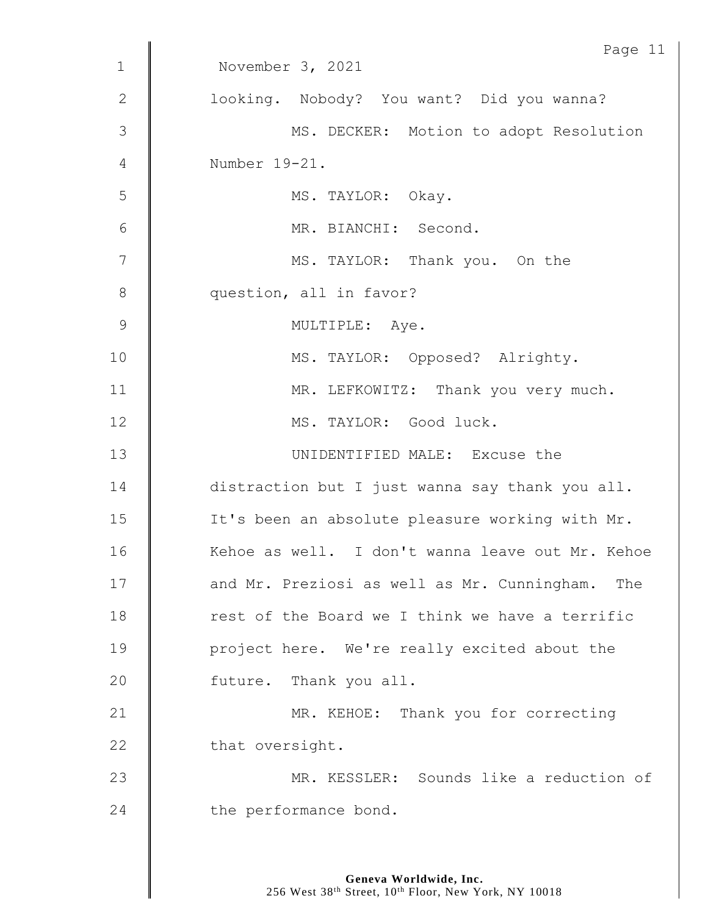|                | Page 11                                          |
|----------------|--------------------------------------------------|
| $\mathbf 1$    | November 3, 2021                                 |
| $\mathbf{2}$   | looking. Nobody? You want? Did you wanna?        |
| 3              | MS. DECKER: Motion to adopt Resolution           |
| 4              | Number 19-21.                                    |
| 5              | MS. TAYLOR: Okay.                                |
| $6\,$          | MR. BIANCHI: Second.                             |
| $\overline{7}$ | MS. TAYLOR: Thank you. On the                    |
| $8\,$          | question, all in favor?                          |
| 9              | MULTIPLE: Aye.                                   |
| 10             | MS. TAYLOR: Opposed? Alrighty.                   |
| 11             | MR. LEFKOWITZ: Thank you very much.              |
| 12             | MS. TAYLOR: Good luck.                           |
| 13             | UNIDENTIFIED MALE: Excuse the                    |
| 14             | distraction but I just wanna say thank you all.  |
| 15             | It's been an absolute pleasure working with Mr.  |
| 16             | Kehoe as well. I don't wanna leave out Mr. Kehoe |
| 17             | and Mr. Preziosi as well as Mr. Cunningham. The  |
| 18             | rest of the Board we I think we have a terrific  |
| 19             | project here. We're really excited about the     |
| 20             | future. Thank you all.                           |
| 21             | MR. KEHOE: Thank you for correcting              |
| 22             | that oversight.                                  |
| 23             | MR. KESSLER: Sounds like a reduction of          |
| 24             | the performance bond.                            |
|                |                                                  |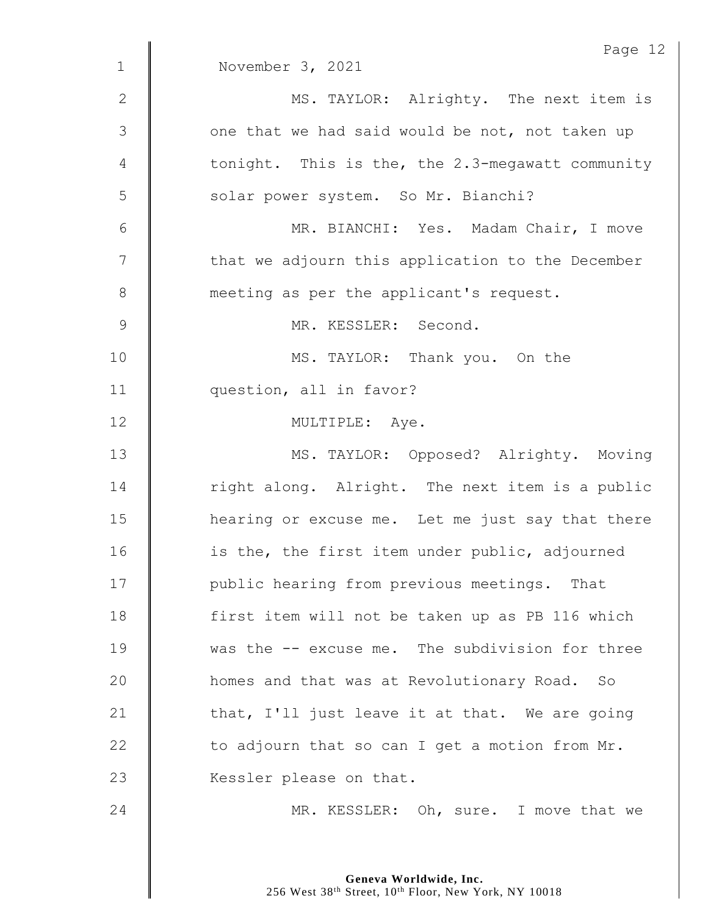|                | Page 12                                          |
|----------------|--------------------------------------------------|
| $\mathbf{1}$   | November 3, 2021                                 |
| $\mathbf{2}$   | MS. TAYLOR: Alrighty. The next item is           |
| $\mathcal{S}$  | one that we had said would be not, not taken up  |
| 4              | tonight. This is the, the 2.3-megawatt community |
| 5              | solar power system. So Mr. Bianchi?              |
| $6\,$          | MR. BIANCHI: Yes. Madam Chair, I move            |
| 7              | that we adjourn this application to the December |
| $8\,$          | meeting as per the applicant's request.          |
| $\overline{9}$ | MR. KESSLER: Second.                             |
| 10             | MS. TAYLOR: Thank you. On the                    |
| 11             | question, all in favor?                          |
| 12             | MULTIPLE: Aye.                                   |
| 13             | MS. TAYLOR: Opposed? Alrighty. Moving            |
| 14             | right along. Alright. The next item is a public  |
| 15             | hearing or excuse me. Let me just say that there |
| 16             | is the, the first item under public, adjourned   |
| 17             | public hearing from previous meetings. That      |
| 18             | first item will not be taken up as PB 116 which  |
| 19             | was the -- excuse me. The subdivision for three  |
| 20             | homes and that was at Revolutionary Road. So     |
| 21             | that, I'll just leave it at that. We are going   |
| 22             | to adjourn that so can I get a motion from Mr.   |
| 23             | Kessler please on that.                          |
| 24             | MR. KESSLER: Oh, sure. I move that we            |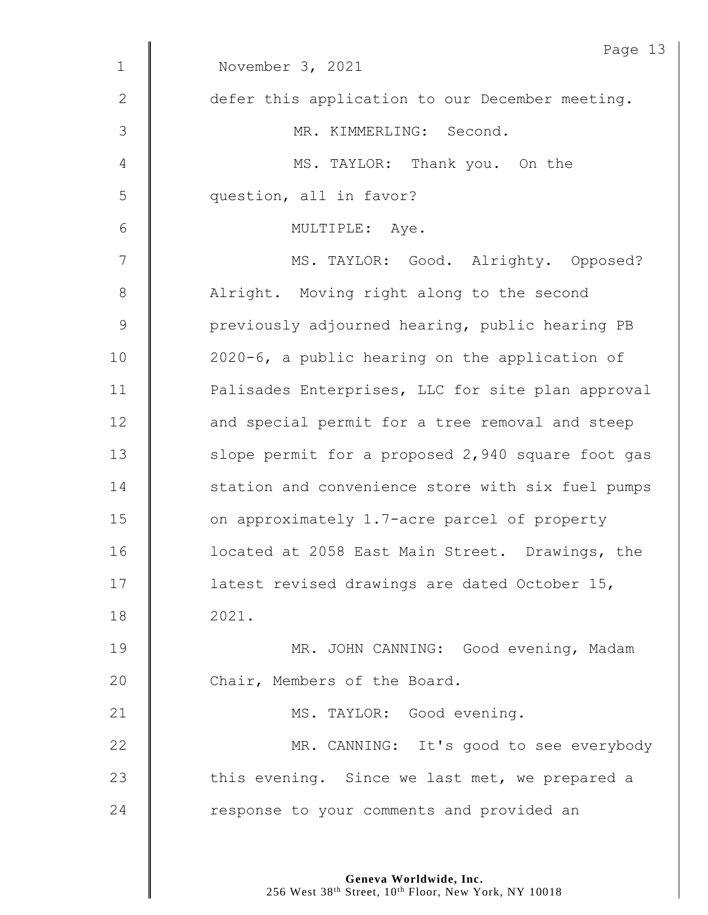|               | Page 13                                           |
|---------------|---------------------------------------------------|
| $\mathbf 1$   | November 3, 2021                                  |
| 2             | defer this application to our December meeting.   |
| $\mathcal{S}$ | MR. KIMMERLING: Second.                           |
| 4             | MS. TAYLOR: Thank you. On the                     |
| 5             | question, all in favor?                           |
| 6             | MULTIPLE: Aye.                                    |
| 7             | MS. TAYLOR: Good. Alrighty. Opposed?              |
| $8\,$         | Alright. Moving right along to the second         |
| $\mathsf 9$   | previously adjourned hearing, public hearing PB   |
| 10            | 2020-6, a public hearing on the application of    |
| 11            | Palisades Enterprises, LLC for site plan approval |
| 12            | and special permit for a tree removal and steep   |
| 13            | slope permit for a proposed 2,940 square foot gas |
| 14            | station and convenience store with six fuel pumps |
| 15            | on approximately 1.7-acre parcel of property      |
| 16            | located at 2058 East Main Street. Drawings, the   |
| 17            | latest revised drawings are dated October 15,     |
| 18            | 2021.                                             |
| 19            | MR. JOHN CANNING: Good evening, Madam             |
| 20            | Chair, Members of the Board.                      |
| 21            | MS. TAYLOR: Good evening.                         |
| 22            | MR. CANNING: It's good to see everybody           |
| 23            | this evening. Since we last met, we prepared a    |
| 24            | response to your comments and provided an         |
|               |                                                   |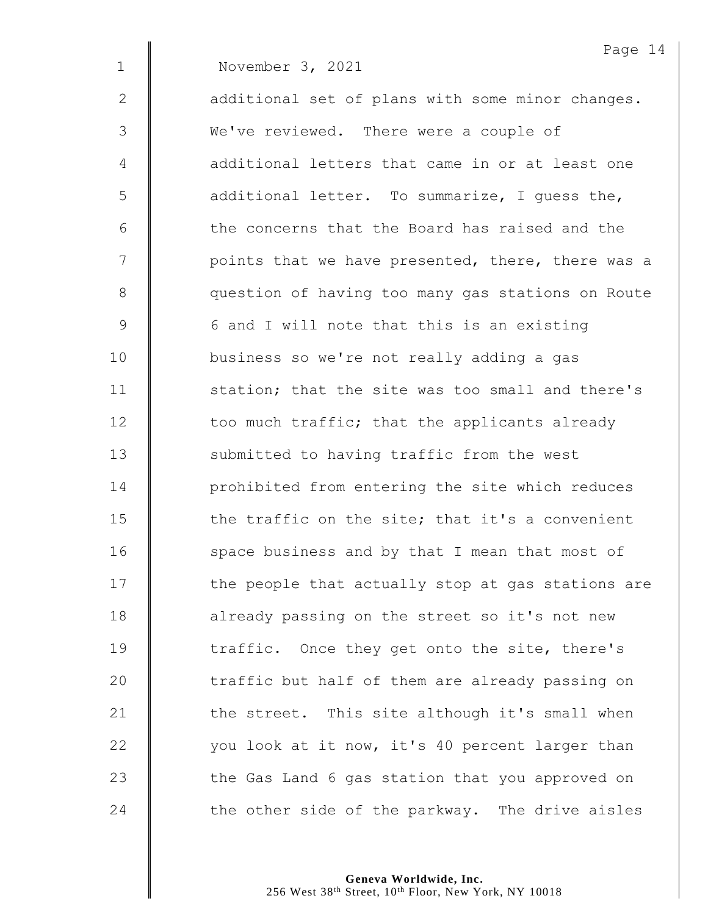|             | Page 14                                           |
|-------------|---------------------------------------------------|
| $\mathbf 1$ | November 3, 2021                                  |
| 2           | additional set of plans with some minor changes.  |
| 3           | We've reviewed. There were a couple of            |
| 4           | additional letters that came in or at least one   |
| 5           | additional letter. To summarize, I guess the,     |
| 6           | the concerns that the Board has raised and the    |
| 7           | points that we have presented, there, there was a |
| 8           | question of having too many gas stations on Route |
| 9           | 6 and I will note that this is an existing        |
| 10          | business so we're not really adding a gas         |
| 11          | station; that the site was too small and there's  |
| 12          | too much traffic; that the applicants already     |
| 13          | submitted to having traffic from the west         |
| 14          | prohibited from entering the site which reduces   |
| 15          | the traffic on the site; that it's a convenient   |
| 16          | space business and by that I mean that most of    |
| 17          | the people that actually stop at gas stations are |
| 18          | already passing on the street so it's not new     |
| 19          | traffic. Once they get onto the site, there's     |
| 20          | traffic but half of them are already passing on   |
| 21          | the street. This site although it's small when    |
| 22          | you look at it now, it's 40 percent larger than   |
| 23          | the Gas Land 6 gas station that you approved on   |
| 24          | the other side of the parkway. The drive aisles   |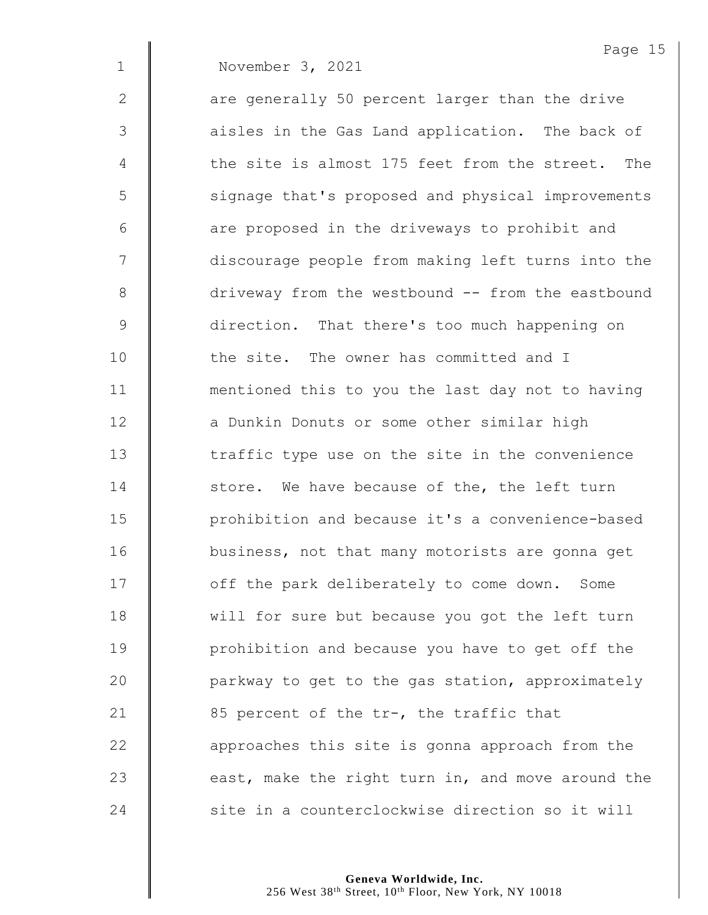1 November 3, 2021

 $2 \parallel$  are generally 50 percent larger than the drive

3 || aisles in the Gas Land application. The back of 4 The site is almost 175 feet from the street. The 5 | signage that's proposed and physical improvements  $6$  | are proposed in the driveways to prohibit and 7 | discourage people from making left turns into the 8 driveway from the westbound -- from the eastbound 9 direction. That there's too much happening on 10 **d** the site. The owner has committed and I 11 | mentioned this to you the last day not to having 12 **a** Dunkin Donuts or some other similar high 13 The traffic type use on the site in the convenience 14  $\parallel$  store. We have because of the, the left turn 15 | prohibition and because it's a convenience-based 16 | business, not that many motorists are gonna get 17 | off the park deliberately to come down. Some 18 will for sure but because you got the left turn 19 **Quare 19** prohibition and because you have to get off the 20  $\parallel$  parkway to get to the gas station, approximately 21  $\parallel$  85 percent of the tr-, the traffic that 22 **deg is approaches this site is gonna approach from the** 23  $\parallel$  east, make the right turn in, and move around the 24 Site in a counterclockwise direction so it will

> **Geneva Worldwide, Inc.** 256 West 38th Street, 10th Floor, New York, NY 10018

Page 15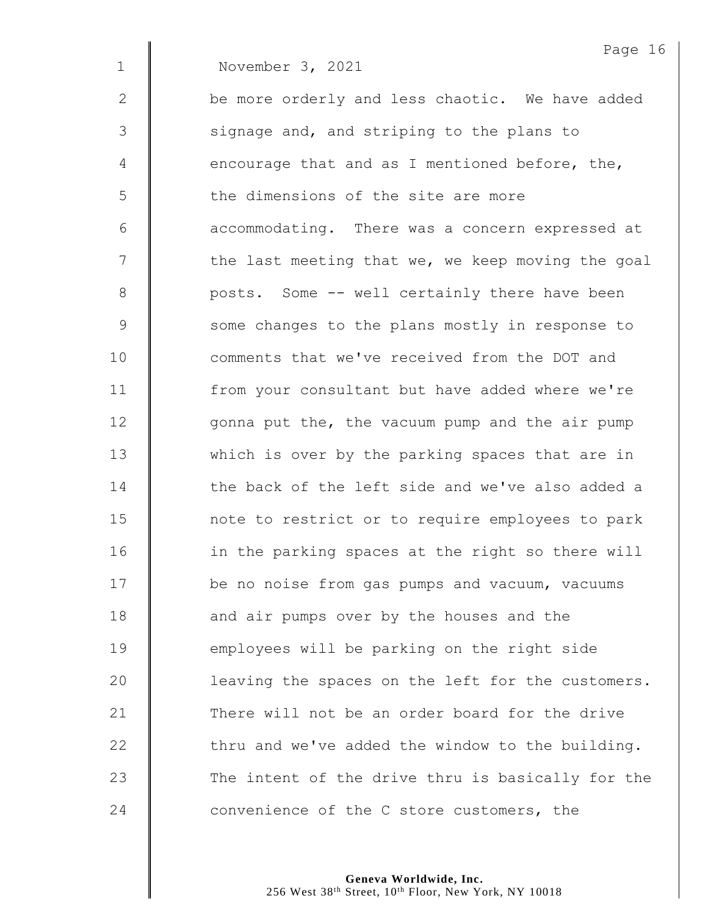|              | Page 16                                           |
|--------------|---------------------------------------------------|
| $\mathbf 1$  | November 3, 2021                                  |
| $\mathbf{2}$ | be more orderly and less chaotic. We have added   |
| 3            | signage and, and striping to the plans to         |
| 4            | encourage that and as I mentioned before, the,    |
| 5            | the dimensions of the site are more               |
| 6            | accommodating. There was a concern expressed at   |
| 7            | the last meeting that we, we keep moving the goal |
| 8            | posts. Some -- well certainly there have been     |
| 9            | some changes to the plans mostly in response to   |
| 10           | comments that we've received from the DOT and     |
| 11           | from your consultant but have added where we're   |
| 12           | gonna put the, the vacuum pump and the air pump   |
| 13           | which is over by the parking spaces that are in   |
| 14           | the back of the left side and we've also added a  |
| 15           | note to restrict or to require employees to park  |
| 16           | in the parking spaces at the right so there will  |
| 17           | be no noise from gas pumps and vacuum, vacuums    |
| 18           | and air pumps over by the houses and the          |
| 19           | employees will be parking on the right side       |
| 20           | leaving the spaces on the left for the customers. |
| 21           | There will not be an order board for the drive    |
| 22           | thru and we've added the window to the building.  |
| 23           | The intent of the drive thru is basically for the |
| 24           | convenience of the C store customers, the         |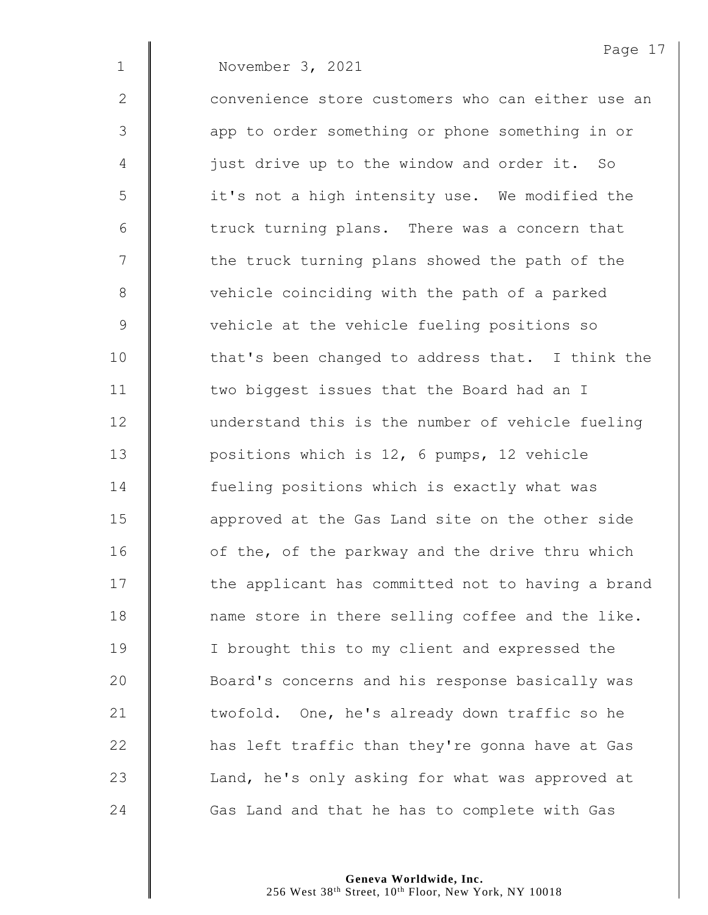Page 17 1 November 3, 2021 2  $\parallel$  convenience store customers who can either use an 3 || app to order something or phone something in or 4 | just drive up to the window and order it. So 5 || it's not a high intensity use. We modified the  $6$   $\parallel$  truck turning plans. There was a concern that  $7 \parallel$  the truck turning plans showed the path of the 8 vehicle coinciding with the path of a parked 9 Vehicle at the vehicle fueling positions so 10 | that's been changed to address that. I think the 11 | two biggest issues that the Board had an I 12 | understand this is the number of vehicle fueling 13 **Quare 21 September 12, 6 pumps, 12 vehicle** 14 **fueling positions which is exactly what was** 15 **deger** approved at the Gas Land site on the other side 16 | of the, of the parkway and the drive thru which  $17$   $\parallel$  the applicant has committed not to having a brand 18 | name store in there selling coffee and the like. 19 | I brought this to my client and expressed the 20 **Board's concerns and his response basically was** 21 U twofold. One, he's already down traffic so he 22 **has left traffic than they're gonna have at Gas** 23 | Land, he's only asking for what was approved at 24 Gas Land and that he has to complete with Gas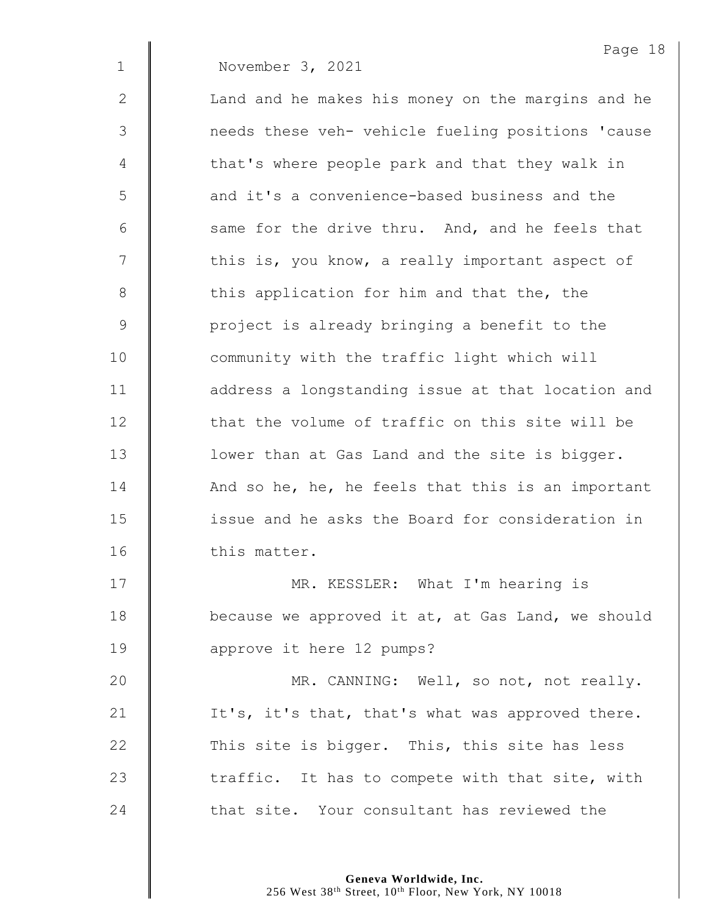Page 18 1 November 3, 2021 2 | Land and he makes his money on the margins and he 3  $\parallel$  needs these veh- vehicle fueling positions 'cause 4 | that's where people park and that they walk in 5  $\parallel$  and it's a convenience-based business and the 6  $\parallel$  same for the drive thru. And, and he feels that  $7 \parallel$  this is, you know, a really important aspect of 8 this application for him and that the, the 9 | project is already bringing a benefit to the 10 | community with the traffic light which will 11 | address a longstanding issue at that location and 12 **that the volume of traffic on this site will be** 13 **I** lower than at Gas Land and the site is bigger. 14  $\parallel$  And so he, he, he feels that this is an important 15 **ignor** issue and he asks the Board for consideration in 16 | this matter. 17 | MR. KESSLER: What I'm hearing is

18 **because we approved it at, at Gas Land, we should** 19 **dec** approve it here 12 pumps?

20 | MR. CANNING: Well, so not, not really. 21  $\parallel$  It's, it's that, that's what was approved there. 22  $\parallel$  This site is bigger. This, this site has less 23  $\parallel$  traffic. It has to compete with that site, with 24 that site. Your consultant has reviewed the

> **Geneva Worldwide, Inc.** 256 West 38<sup>th</sup> Street, 10<sup>th</sup> Floor, New York, NY 10018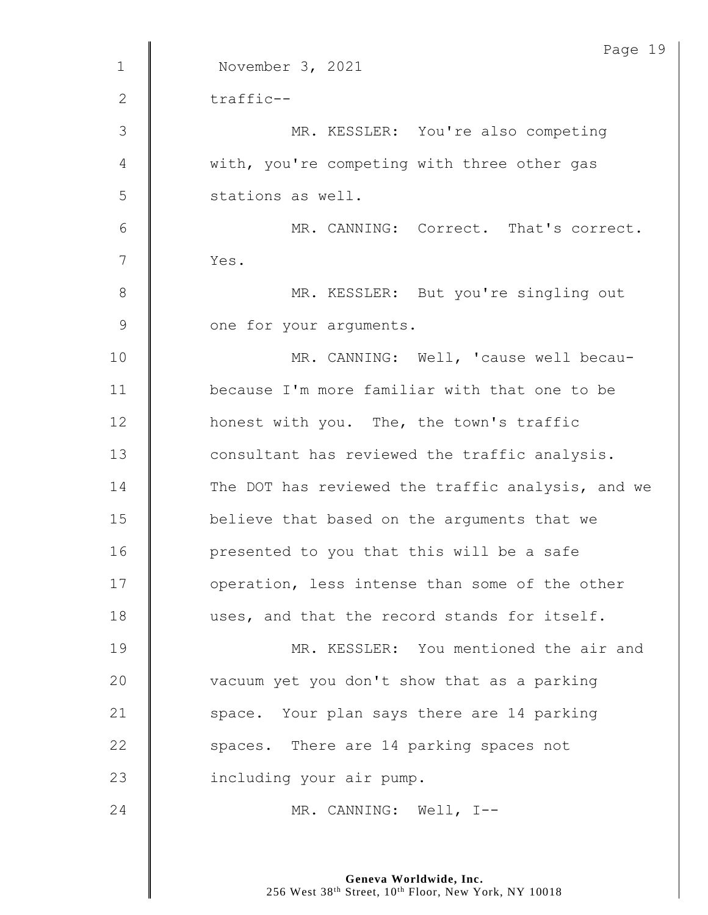| Page 19                                           |
|---------------------------------------------------|
| November 3, 2021                                  |
| traffic--                                         |
| MR. KESSLER: You're also competing                |
| with, you're competing with three other gas       |
| stations as well.                                 |
| MR. CANNING: Correct. That's correct.             |
| Yes.                                              |
| MR. KESSLER: But you're singling out              |
| one for your arguments.                           |
| MR. CANNING: Well, 'cause well becau-             |
| because I'm more familiar with that one to be     |
| honest with you. The, the town's traffic          |
| consultant has reviewed the traffic analysis.     |
| The DOT has reviewed the traffic analysis, and we |
| believe that based on the arguments that we       |
| presented to you that this will be a safe         |
| operation, less intense than some of the other    |
| uses, and that the record stands for itself.      |
| MR. KESSLER: You mentioned the air and            |
| vacuum yet you don't show that as a parking       |
| space. Your plan says there are 14 parking        |
| spaces. There are 14 parking spaces not           |
| including your air pump.                          |
| MR. CANNING: Well, I--                            |
|                                                   |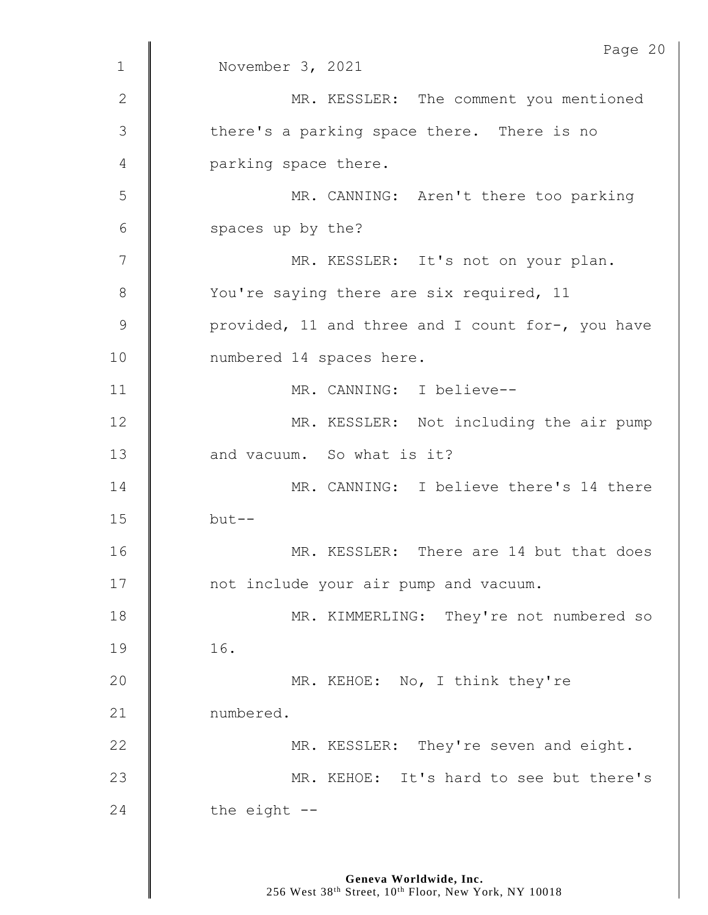|              | Page 20                                           |
|--------------|---------------------------------------------------|
| $\mathbf 1$  | November 3, 2021                                  |
| $\mathbf{2}$ | MR. KESSLER: The comment you mentioned            |
| 3            | there's a parking space there. There is no        |
| 4            | parking space there.                              |
| 5            | MR. CANNING: Aren't there too parking             |
| 6            | spaces up by the?                                 |
| 7            | MR. KESSLER: It's not on your plan.               |
| 8            | You're saying there are six required, 11          |
| 9            | provided, 11 and three and I count for-, you have |
| 10           | numbered 14 spaces here.                          |
| 11           | MR. CANNING: I believe--                          |
| 12           | MR. KESSLER: Not including the air pump           |
| 13           | and vacuum. So what is it?                        |
| 14           | MR. CANNING: I believe there's 14 there           |
| 15           | $but --$                                          |
| 16           | MR. KESSLER: There are 14 but that does           |
| 17           | not include your air pump and vacuum.             |
| 18           | MR. KIMMERLING: They're not numbered so           |
| 19           | 16.                                               |
| 20           | MR. KEHOE: No, I think they're                    |
| 21           | numbered.                                         |
| 22           | MR. KESSLER: They're seven and eight.             |
| 23           | MR. KEHOE: It's hard to see but there's           |
| 24           | the eight --                                      |
|              |                                                   |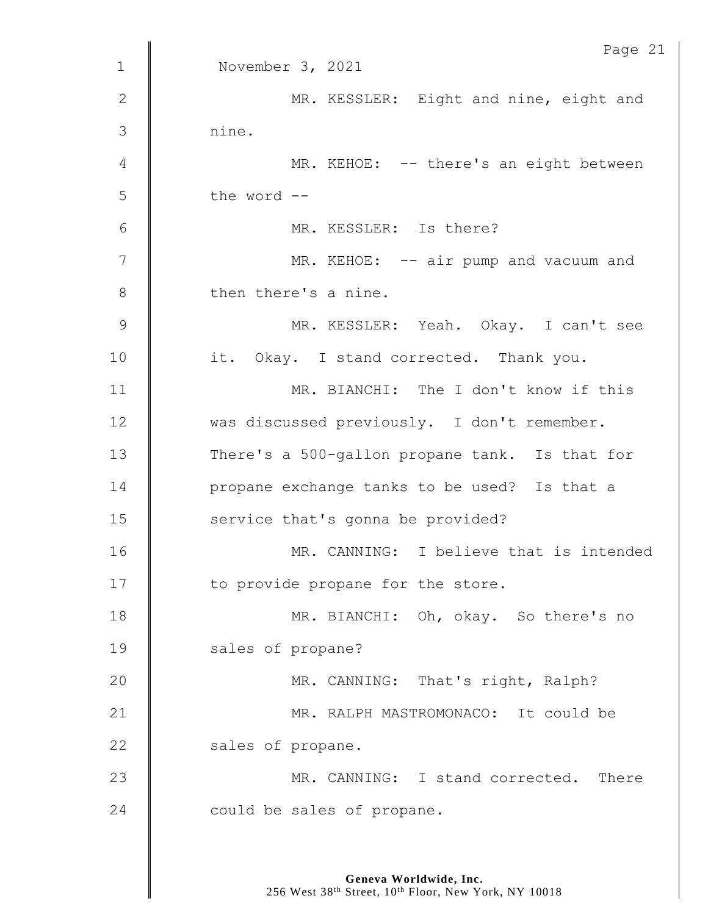|               | Page 21                                        |
|---------------|------------------------------------------------|
| $\mathbf{1}$  | November 3, 2021                               |
| $\mathbf{2}$  | MR. KESSLER: Eight and nine, eight and         |
| 3             | nine.                                          |
| 4             | MR. KEHOE: -- there's an eight between         |
| 5             | the word --                                    |
| 6             | MR. KESSLER: Is there?                         |
| 7             | MR. KEHOE: -- air pump and vacuum and          |
| $\,8\,$       | then there's a nine.                           |
| $\mathcal{G}$ | MR. KESSLER: Yeah. Okay. I can't see           |
| 10            | it. Okay. I stand corrected. Thank you.        |
| 11            | MR. BIANCHI: The I don't know if this          |
| 12            | was discussed previously. I don't remember.    |
| 13            | There's a 500-gallon propane tank. Is that for |
| 14            | propane exchange tanks to be used? Is that a   |
| 15            | service that's gonna be provided?              |
| 16            | MR. CANNING: I believe that is intended        |
| 17            | to provide propane for the store.              |
| 18            | MR. BIANCHI: Oh, okay. So there's no           |
| 19            | sales of propane?                              |
| 20            | MR. CANNING: That's right, Ralph?              |
| 21            | MR. RALPH MASTROMONACO: It could be            |
| 22            | sales of propane.                              |
| 23            | MR. CANNING: I stand corrected. There          |
| 24            | could be sales of propane.                     |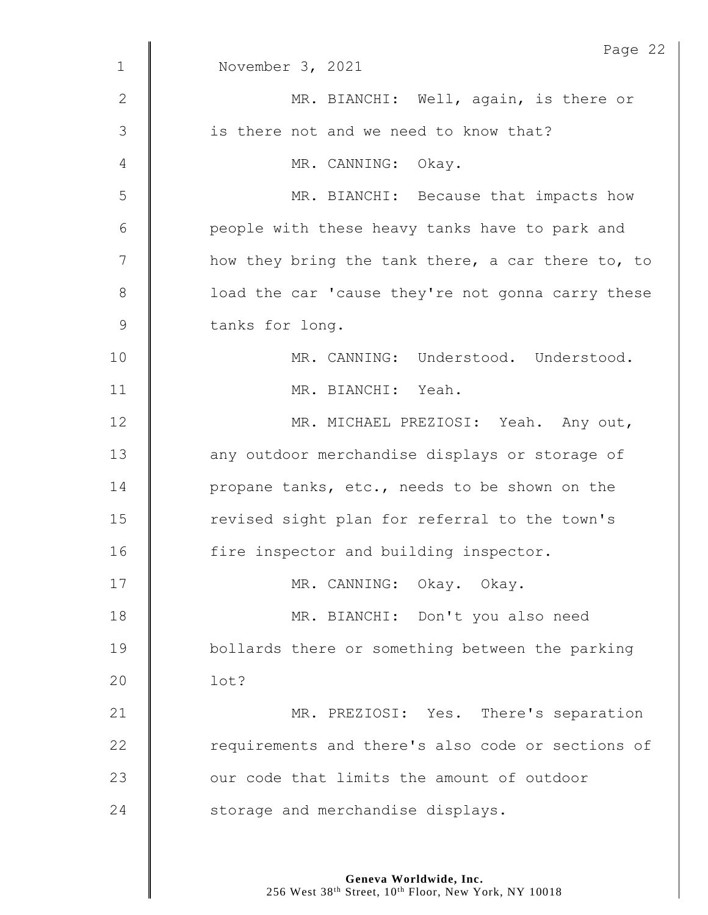|              | Page 22                                           |
|--------------|---------------------------------------------------|
| $\mathbf{1}$ | November 3, 2021                                  |
| $\mathbf{2}$ | MR. BIANCHI: Well, again, is there or             |
| 3            | is there not and we need to know that?            |
| 4            | MR. CANNING: Okay.                                |
| 5            | MR. BIANCHI: Because that impacts how             |
| 6            | people with these heavy tanks have to park and    |
| 7            | how they bring the tank there, a car there to, to |
| 8            | load the car 'cause they're not gonna carry these |
| $\mathsf 9$  | tanks for long.                                   |
| 10           | MR. CANNING: Understood. Understood.              |
| 11           | MR. BIANCHI: Yeah.                                |
| 12           | MR. MICHAEL PREZIOSI: Yeah. Any out,              |
| 13           | any outdoor merchandise displays or storage of    |
| 14           | propane tanks, etc., needs to be shown on the     |
| 15           | revised sight plan for referral to the town's     |
| 16           | fire inspector and building inspector.            |
| 17           | MR. CANNING: Okay. Okay.                          |
| 18           | MR. BIANCHI: Don't you also need                  |
| 19           | bollards there or something between the parking   |
| 20           | lot?                                              |
| 21           | MR. PREZIOSI: Yes. There's separation             |
| 22           | requirements and there's also code or sections of |
| 23           | our code that limits the amount of outdoor        |
| 24           | storage and merchandise displays.                 |
|              |                                                   |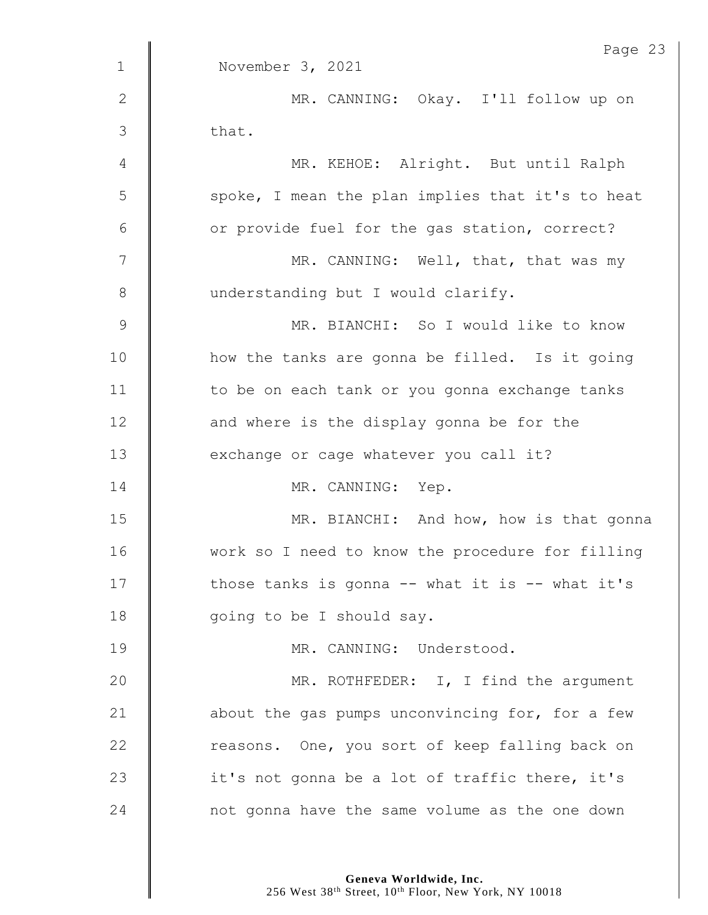|              | Page 23                                             |
|--------------|-----------------------------------------------------|
| $\mathbf{1}$ | November 3, 2021                                    |
| $\mathbf{2}$ | MR. CANNING: Okay. I'll follow up on                |
| 3            | that.                                               |
| 4            | MR. KEHOE: Alright. But until Ralph                 |
| 5            | spoke, I mean the plan implies that it's to heat    |
| 6            | or provide fuel for the gas station, correct?       |
| 7            | MR. CANNING: Well, that, that was my                |
| $8\,$        | understanding but I would clarify.                  |
| $\mathsf 9$  | MR. BIANCHI: So I would like to know                |
| 10           | how the tanks are gonna be filled. Is it going      |
| 11           | to be on each tank or you gonna exchange tanks      |
| 12           | and where is the display gonna be for the           |
| 13           | exchange or cage whatever you call it?              |
| 14           | MR. CANNING: Yep.                                   |
| 15           | MR. BIANCHI: And how, how is that gonna             |
| 16           | work so I need to know the procedure for filling    |
| 17           | those tanks is gonna $--$ what it is $--$ what it's |
| 18           | going to be I should say.                           |
| 19           | MR. CANNING: Understood.                            |
| 20           | MR. ROTHFEDER: I, I find the argument               |
| 21           | about the gas pumps unconvincing for, for a few     |
| 22           | reasons. One, you sort of keep falling back on      |
| 23           | it's not gonna be a lot of traffic there, it's      |
| 24           | not gonna have the same volume as the one down      |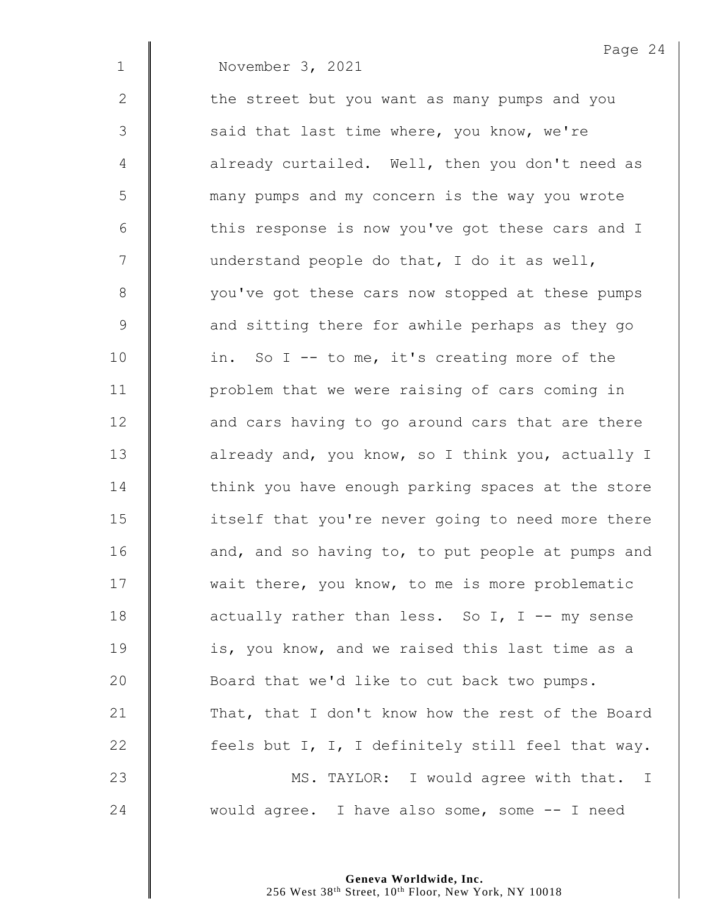|               | Page 24                                           |
|---------------|---------------------------------------------------|
| $\mathbf{1}$  | November 3, 2021                                  |
| $\mathbf{2}$  | the street but you want as many pumps and you     |
| $\mathcal{S}$ | said that last time where, you know, we're        |
| 4             | already curtailed. Well, then you don't need as   |
| 5             | many pumps and my concern is the way you wrote    |
| 6             | this response is now you've got these cars and I  |
| 7             | understand people do that, I do it as well,       |
| $8\,$         | you've got these cars now stopped at these pumps  |
| $\mathsf 9$   | and sitting there for awhile perhaps as they go   |
| 10            | in. So I -- to me, it's creating more of the      |
| 11            | problem that we were raising of cars coming in    |
| 12            | and cars having to go around cars that are there  |
| 13            | already and, you know, so I think you, actually I |
| 14            | think you have enough parking spaces at the store |
| 15            | itself that you're never going to need more there |
| 16            | and, and so having to, to put people at pumps and |
| 17            | wait there, you know, to me is more problematic   |
| 18            | actually rather than less. So I, I -- my sense    |
| 19            | is, you know, and we raised this last time as a   |
| 20            | Board that we'd like to cut back two pumps.       |
| 21            | That, that I don't know how the rest of the Board |
| 22            | feels but I, I, I definitely still feel that way. |
| 23            | MS. TAYLOR: I would agree with that. I            |
| 24            | would agree. I have also some, some -- I need     |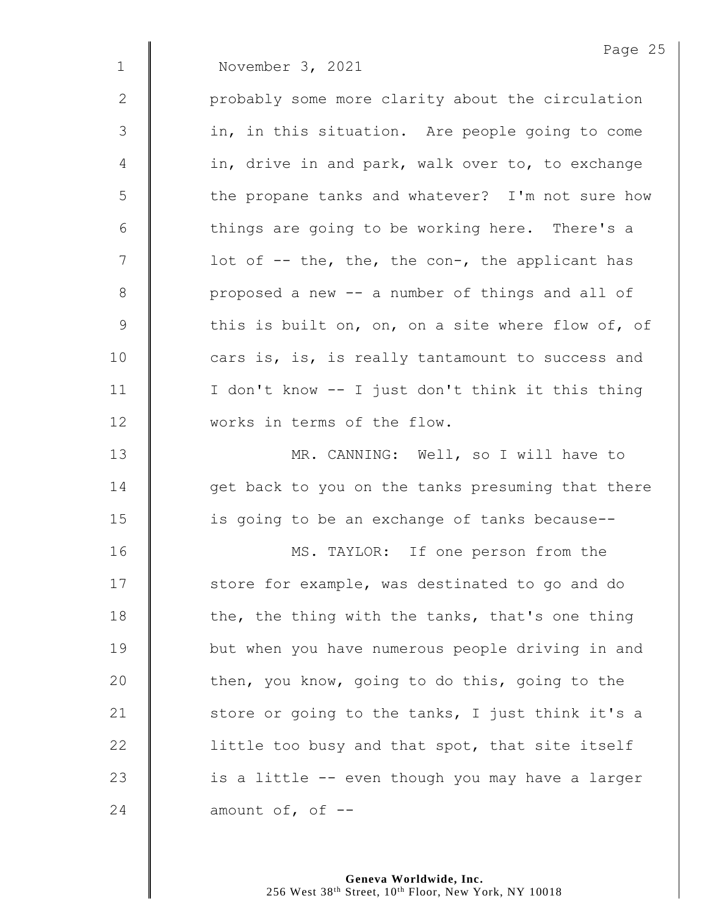|               | Page 25                                           |
|---------------|---------------------------------------------------|
| $\mathbf 1$   | November 3, 2021                                  |
| 2             | probably some more clarity about the circulation  |
| $\mathcal{S}$ | in, in this situation. Are people going to come   |
| 4             | in, drive in and park, walk over to, to exchange  |
| 5             | the propane tanks and whatever? I'm not sure how  |
| 6             | things are going to be working here. There's a    |
| 7             | lot of -- the, the, the con-, the applicant has   |
| $8\,$         | proposed a new -- a number of things and all of   |
| $\mathsf 9$   | this is built on, on, on a site where flow of, of |
| 10            | cars is, is, is really tantamount to success and  |
| 11            | I don't know -- I just don't think it this thing  |
| 12            | works in terms of the flow.                       |
| 13            | MR. CANNING: Well, so I will have to              |
| 14            | get back to you on the tanks presuming that there |
| 15            | is going to be an exchange of tanks because--     |
| 16            | MS. TAYLOR: If one person from the                |
| 17            | store for example, was destinated to go and do    |
| 18            | the, the thing with the tanks, that's one thing   |
| 19            | but when you have numerous people driving in and  |
| 20            | then, you know, going to do this, going to the    |
| 21            | store or going to the tanks, I just think it's a  |
| 22            | little too busy and that spot, that site itself   |
| 23            | is a little -- even though you may have a larger  |
| 24            | amount of, of $-$ -                               |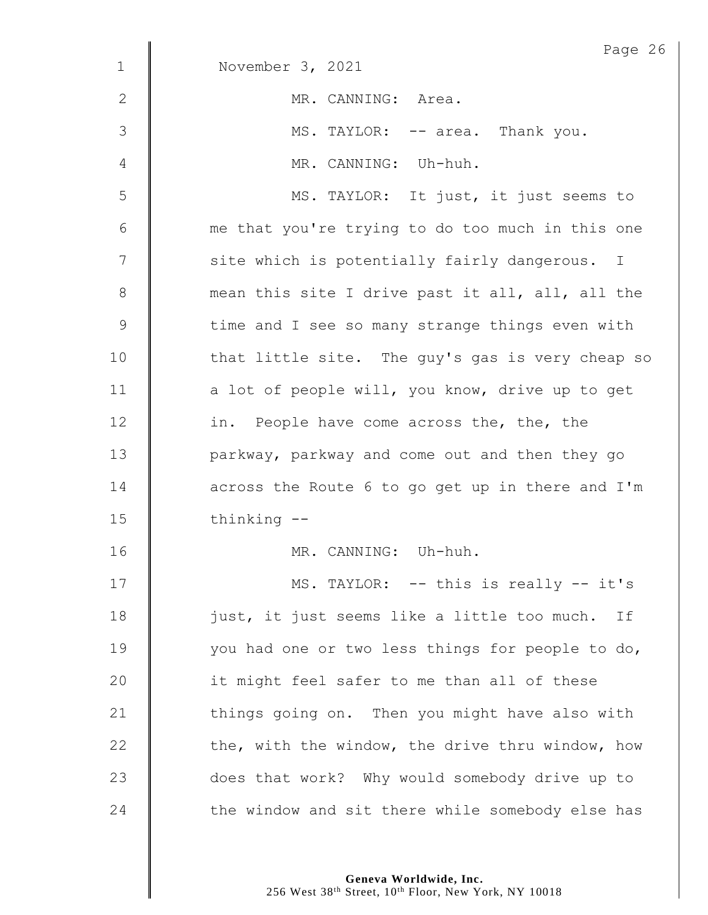|               | Page 26                                          |
|---------------|--------------------------------------------------|
| $\mathbf 1$   | November 3, 2021                                 |
| 2             | MR. CANNING: Area.                               |
| $\mathcal{S}$ | MS. TAYLOR: -- area. Thank you.                  |
| 4             | MR. CANNING: Uh-huh.                             |
| 5             | MS. TAYLOR: It just, it just seems to            |
| $6\,$         | me that you're trying to do too much in this one |
| 7             | site which is potentially fairly dangerous. I    |
| $8\,$         | mean this site I drive past it all, all, all the |
| $\mathsf 9$   | time and I see so many strange things even with  |
| 10            | that little site. The guy's gas is very cheap so |
| 11            | a lot of people will, you know, drive up to get  |
| 12            | in. People have come across the, the, the        |
| 13            | parkway, parkway and come out and then they go   |
| 14            | across the Route 6 to go get up in there and I'm |
| 15            | thinking --                                      |
| 16            | MR. CANNING: Uh-huh.                             |
| 17            | MS. TAYLOR: -- this is really -- it's            |
| 18            | just, it just seems like a little too much. If   |
| 19            | you had one or two less things for people to do, |
| 20            | it might feel safer to me than all of these      |
| 21            | things going on. Then you might have also with   |
| 22            | the, with the window, the drive thru window, how |
| 23            | does that work? Why would somebody drive up to   |
| 24            | the window and sit there while somebody else has |

**Geneva Worldwide, Inc.**

256 West 38th Street, 10th Floor, New York, NY 10018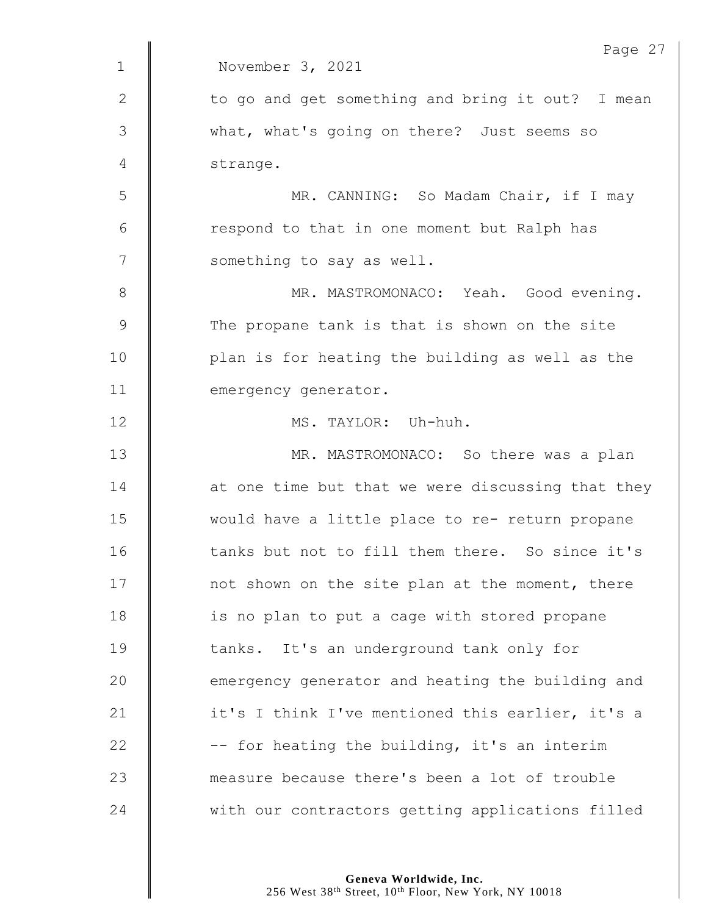|                | Page 27                                           |
|----------------|---------------------------------------------------|
| $\mathbf 1$    | November 3, 2021                                  |
| $\mathbf{2}$   | to go and get something and bring it out? I mean  |
| $\mathcal{S}$  | what, what's going on there? Just seems so        |
| $\overline{4}$ | strange.                                          |
| 5              | MR. CANNING: So Madam Chair, if I may             |
| $\sqrt{6}$     | respond to that in one moment but Ralph has       |
| 7              | something to say as well.                         |
| 8              | MR. MASTROMONACO: Yeah. Good evening.             |
| $\mathsf 9$    | The propane tank is that is shown on the site     |
| 10             | plan is for heating the building as well as the   |
| 11             | emergency generator.                              |
| 12             | MS. TAYLOR: Uh-huh.                               |
| 13             | MR. MASTROMONACO: So there was a plan             |
| 14             | at one time but that we were discussing that they |
| 15             | would have a little place to re- return propane   |
| 16             | tanks but not to fill them there. So since it's   |
| 17             | not shown on the site plan at the moment, there   |
| 18             | is no plan to put a cage with stored propane      |
| 19             | tanks. It's an underground tank only for          |
| 20             | emergency generator and heating the building and  |
| 21             | it's I think I've mentioned this earlier, it's a  |
| 22             | -- for heating the building, it's an interim      |
| 23             | measure because there's been a lot of trouble     |
| 24             | with our contractors getting applications filled  |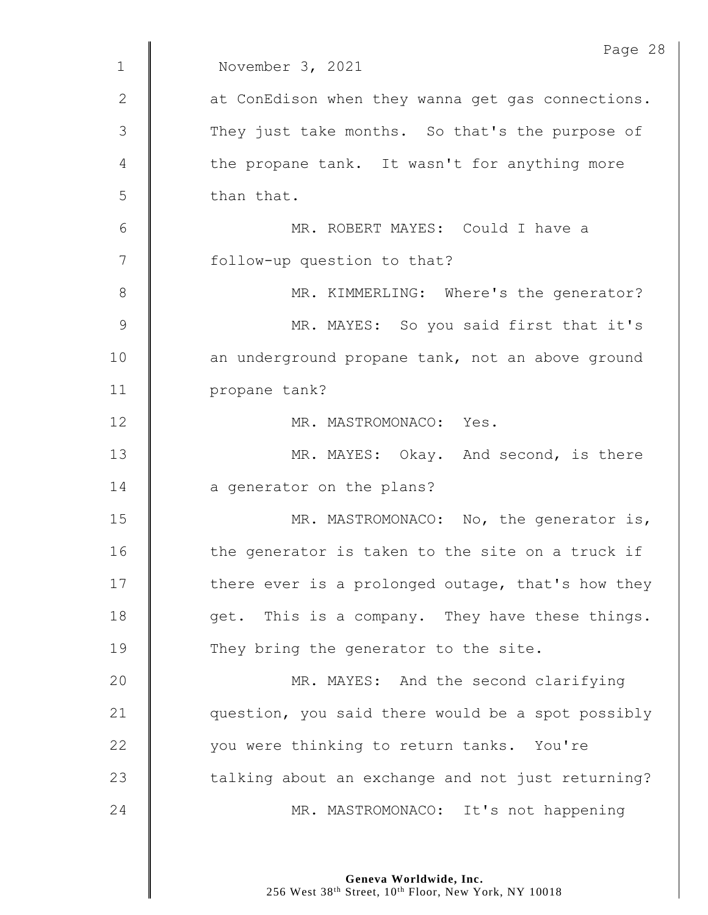|               | Page 28                                           |
|---------------|---------------------------------------------------|
| $\mathbf{1}$  | November 3, 2021                                  |
| $\mathbf{2}$  | at ConEdison when they wanna get gas connections. |
| 3             | They just take months. So that's the purpose of   |
| 4             | the propane tank. It wasn't for anything more     |
| 5             | than that.                                        |
| 6             | MR. ROBERT MAYES: Could I have a                  |
| 7             | follow-up question to that?                       |
| $8\,$         | MR. KIMMERLING: Where's the generator?            |
| $\mathcal{G}$ | MR. MAYES: So you said first that it's            |
| 10            | an underground propane tank, not an above ground  |
| 11            | propane tank?                                     |
| 12            | MR. MASTROMONACO: Yes.                            |
| 13            | MR. MAYES: Okay. And second, is there             |
| 14            | a generator on the plans?                         |
| 15            | MR. MASTROMONACO: No, the generator is,           |
| 16            | the generator is taken to the site on a truck if  |
| 17            | there ever is a prolonged outage, that's how they |
| 18            | get. This is a company. They have these things.   |
| 19            | They bring the generator to the site.             |
| 20            | MR. MAYES: And the second clarifying              |
| 21            | question, you said there would be a spot possibly |
| 22            | you were thinking to return tanks. You're         |
| 23            | talking about an exchange and not just returning? |
| 24            | MR. MASTROMONACO: It's not happening              |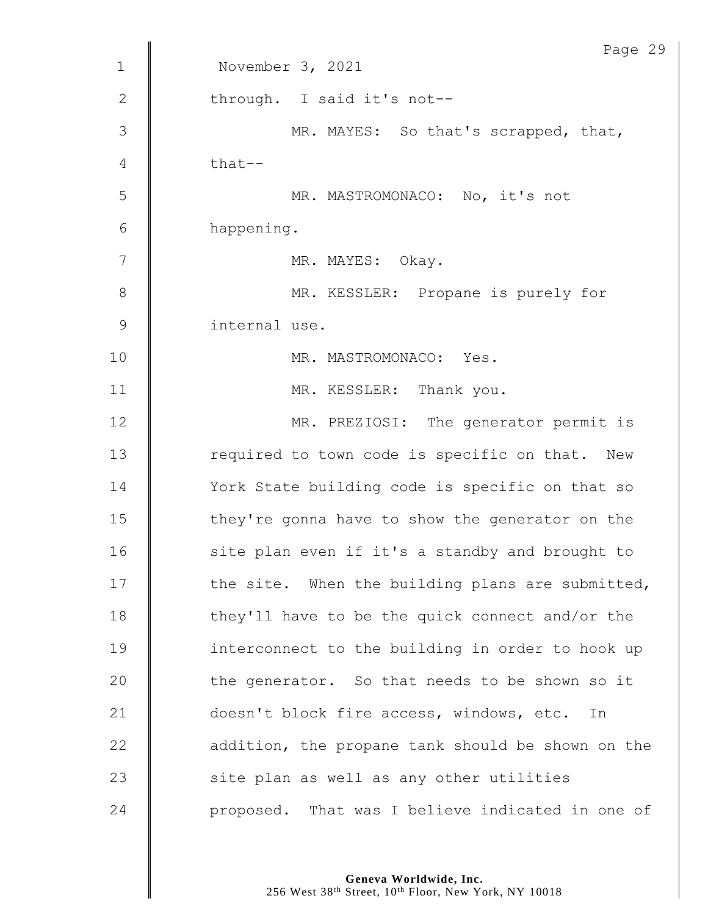|                | Page 29                                           |
|----------------|---------------------------------------------------|
| $\mathbf 1$    | November 3, 2021                                  |
| $\mathbf{2}$   | through. I said it's not--                        |
| $\mathfrak{Z}$ | MR. MAYES: So that's scrapped, that,              |
| $\overline{4}$ | that--                                            |
| 5              | MR. MASTROMONACO: No, it's not                    |
| 6              | happening.                                        |
| 7              | MR. MAYES: Okay.                                  |
| $\,8\,$        | MR. KESSLER: Propane is purely for                |
| $\mathsf 9$    | internal use.                                     |
| 10             | MR. MASTROMONACO: Yes.                            |
| 11             | MR. KESSLER: Thank you.                           |
| 12             | MR. PREZIOSI: The generator permit is             |
| 13             | required to town code is specific on that. New    |
| 14             | York State building code is specific on that so   |
| 15             | they're gonna have to show the generator on the   |
| 16             | site plan even if it's a standby and brought to   |
| 17             | the site. When the building plans are submitted,  |
| 18             | they'll have to be the quick connect and/or the   |
| 19             | interconnect to the building in order to hook up  |
| 20             | the generator. So that needs to be shown so it    |
| 21             | doesn't block fire access, windows, etc.<br>In    |
| 22             | addition, the propane tank should be shown on the |
| 23             | site plan as well as any other utilities          |
| 24             | proposed. That was I believe indicated in one of  |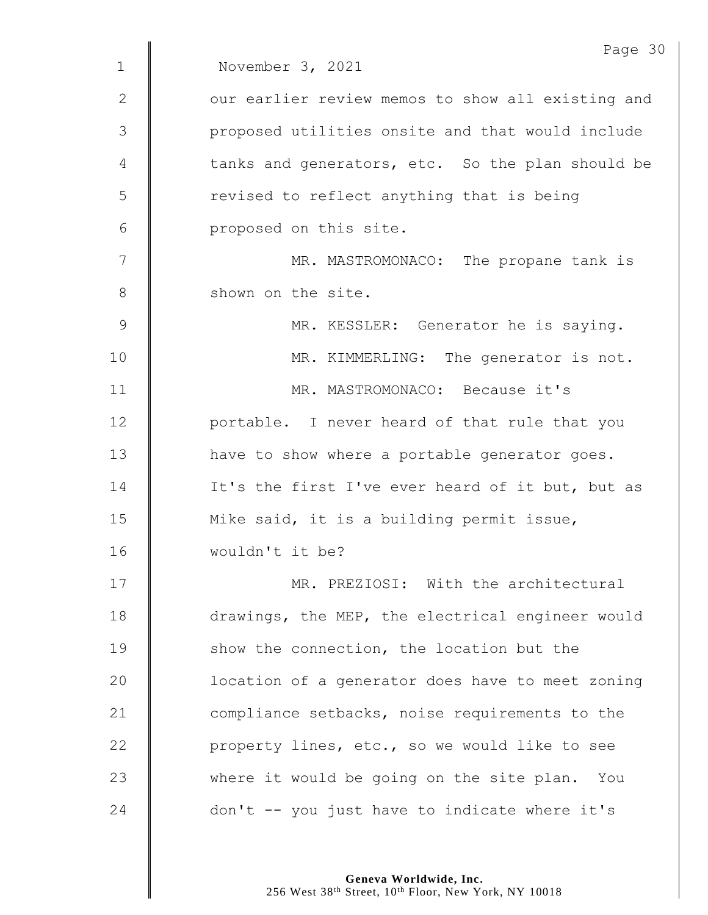|              | Page 3                                            |
|--------------|---------------------------------------------------|
| $\mathbf 1$  | November 3, 2021                                  |
| $\mathbf{2}$ | our earlier review memos to show all existing and |
| 3            | proposed utilities onsite and that would include  |
| 4            | tanks and generators, etc. So the plan should be  |
| 5            | revised to reflect anything that is being         |
| 6            | proposed on this site.                            |
| 7            | MR. MASTROMONACO: The propane tank is             |
| $\,8\,$      | shown on the site.                                |
| 9            | MR. KESSLER: Generator he is saying.              |
| 10           | MR. KIMMERLING: The generator is not.             |
| 11           | MR. MASTROMONACO: Because it's                    |
| 12           | portable. I never heard of that rule that you     |
| 13           | have to show where a portable generator goes.     |
| 14           | It's the first I've ever heard of it but, but as  |
| 15           | Mike said, it is a building permit issue,         |
| 16           | wouldn't it be?                                   |
| 17           | MR. PREZIOSI: With the architectural              |
| 18           | drawings, the MEP, the electrical engineer would  |
| 19           | show the connection, the location but the         |
| 20           | location of a generator does have to meet zoning  |
| 21           | compliance setbacks, noise requirements to the    |
| 22           | property lines, etc., so we would like to see     |
| 23           | where it would be going on the site plan. You     |
| 24           | don't -- you just have to indicate where it's     |
|              |                                                   |

Page 30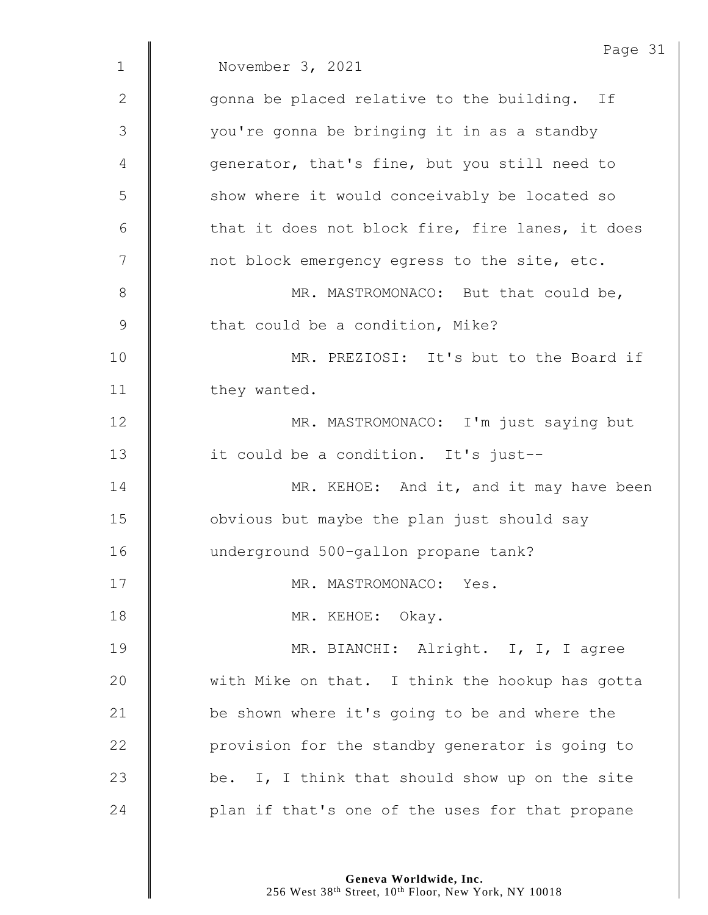|             | Page 31                                          |
|-------------|--------------------------------------------------|
| $\mathbf 1$ | November 3, 2021                                 |
| 2           | gonna be placed relative to the building. If     |
| 3           | you're gonna be bringing it in as a standby      |
| 4           | generator, that's fine, but you still need to    |
| 5           | show where it would conceivably be located so    |
| 6           | that it does not block fire, fire lanes, it does |
| 7           | not block emergency egress to the site, etc.     |
| 8           | MR. MASTROMONACO: But that could be,             |
| $\mathsf 9$ | that could be a condition, Mike?                 |
| 10          | MR. PREZIOSI: It's but to the Board if           |
| 11          | they wanted.                                     |
| 12          | MR. MASTROMONACO: I'm just saying but            |
| 13          | it could be a condition. It's just--             |
| 14          | MR. KEHOE: And it, and it may have been          |
| 15          | obvious but maybe the plan just should say       |
| 16          | underground 500-gallon propane tank?             |
| 17          | MR. MASTROMONACO: Yes.                           |
| 18          | MR. KEHOE: Okay.                                 |
| 19          | MR. BIANCHI: Alright. I, I, I agree              |
| 20          | with Mike on that. I think the hookup has gotta  |
| 21          | be shown where it's going to be and where the    |
| 22          | provision for the standby generator is going to  |
| 23          | be. I, I think that should show up on the site   |
| 24          | plan if that's one of the uses for that propane  |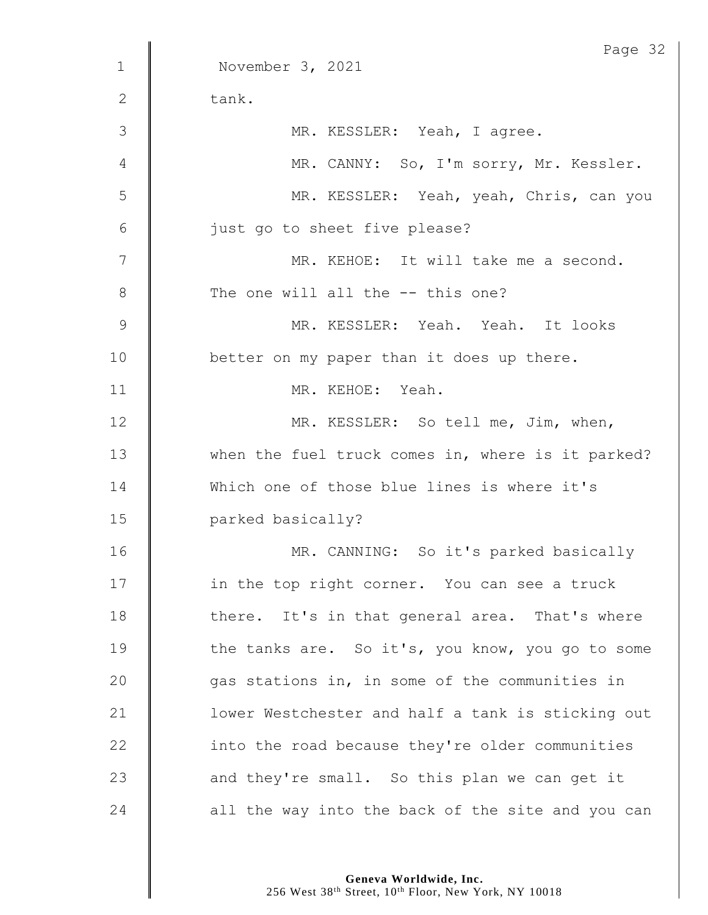|              | Page 32                                           |
|--------------|---------------------------------------------------|
| $\mathbf{1}$ | November 3, 2021                                  |
| $\mathbf{2}$ | tank.                                             |
| 3            | MR. KESSLER: Yeah, I agree.                       |
| 4            | MR. CANNY: So, I'm sorry, Mr. Kessler.            |
| 5            | MR. KESSLER: Yeah, yeah, Chris, can you           |
| 6            | just go to sheet five please?                     |
| 7            | MR. KEHOE: It will take me a second.              |
| 8            | The one will all the -- this one?                 |
| 9            | MR. KESSLER: Yeah. Yeah. It looks                 |
| 10           | better on my paper than it does up there.         |
| 11           | MR. KEHOE: Yeah.                                  |
| 12           | MR. KESSLER: So tell me, Jim, when,               |
| 13           | when the fuel truck comes in, where is it parked? |
| 14           | Which one of those blue lines is where it's       |
| 15           | parked basically?                                 |
| 16           | MR. CANNING: So it's parked basically             |
| 17           | in the top right corner. You can see a truck      |
| 18           | there. It's in that general area. That's where    |
| 19           | the tanks are. So it's, you know, you go to some  |
| 20           | gas stations in, in some of the communities in    |
| 21           | lower Westchester and half a tank is sticking out |
| 22           | into the road because they're older communities   |
| 23           | and they're small. So this plan we can get it     |
| 24           | all the way into the back of the site and you can |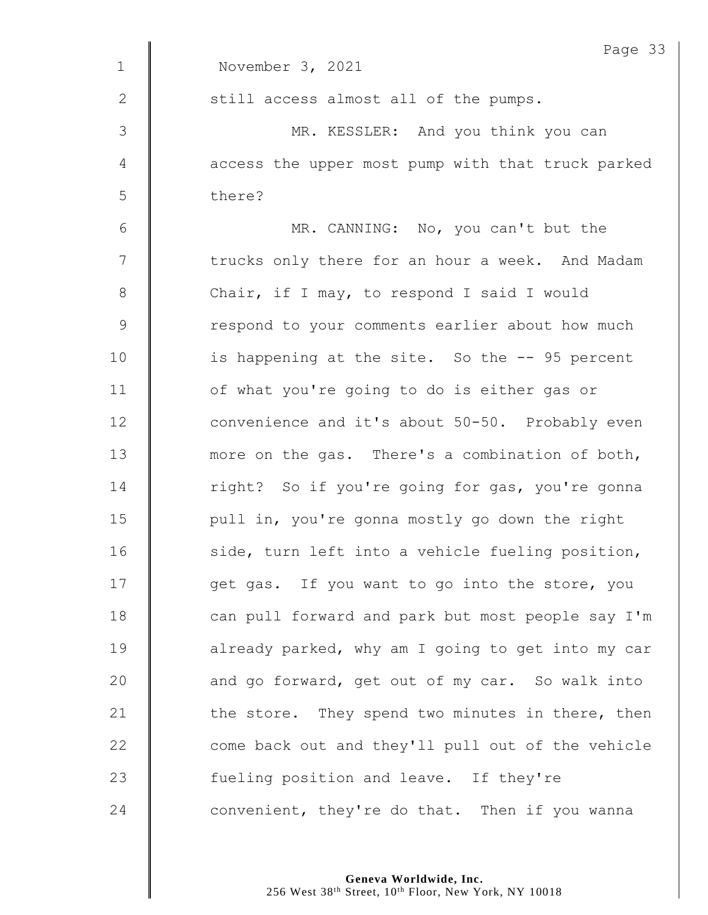|              | Page 33                                           |
|--------------|---------------------------------------------------|
| $\mathbf 1$  | November 3, 2021                                  |
| $\mathbf{2}$ | still access almost all of the pumps.             |
| 3            | MR. KESSLER: And you think you can                |
| 4            | access the upper most pump with that truck parked |
| 5            | there?                                            |
| $\sqrt{6}$   | MR. CANNING: No, you can't but the                |
| 7            | trucks only there for an hour a week. And Madam   |
| $8\,$        | Chair, if I may, to respond I said I would        |
| $\mathsf 9$  | respond to your comments earlier about how much   |
| 10           | is happening at the site. So the -- 95 percent    |
| 11           | of what you're going to do is either gas or       |
| 12           | convenience and it's about 50-50. Probably even   |
| 13           | more on the gas. There's a combination of both,   |
| 14           | right? So if you're going for gas, you're gonna   |
| 15           | pull in, you're gonna mostly go down the right    |
| 16           | side, turn left into a vehicle fueling position,  |
| 17           | get gas. If you want to go into the store, you    |
| 18           | can pull forward and park but most people say I'm |
| 19           | already parked, why am I going to get into my car |
| 20           | and go forward, get out of my car. So walk into   |
| 21           | the store. They spend two minutes in there, then  |
| 22           | come back out and they'll pull out of the vehicle |
| 23           | fueling position and leave. If they're            |
| 24           | convenient, they're do that. Then if you wanna    |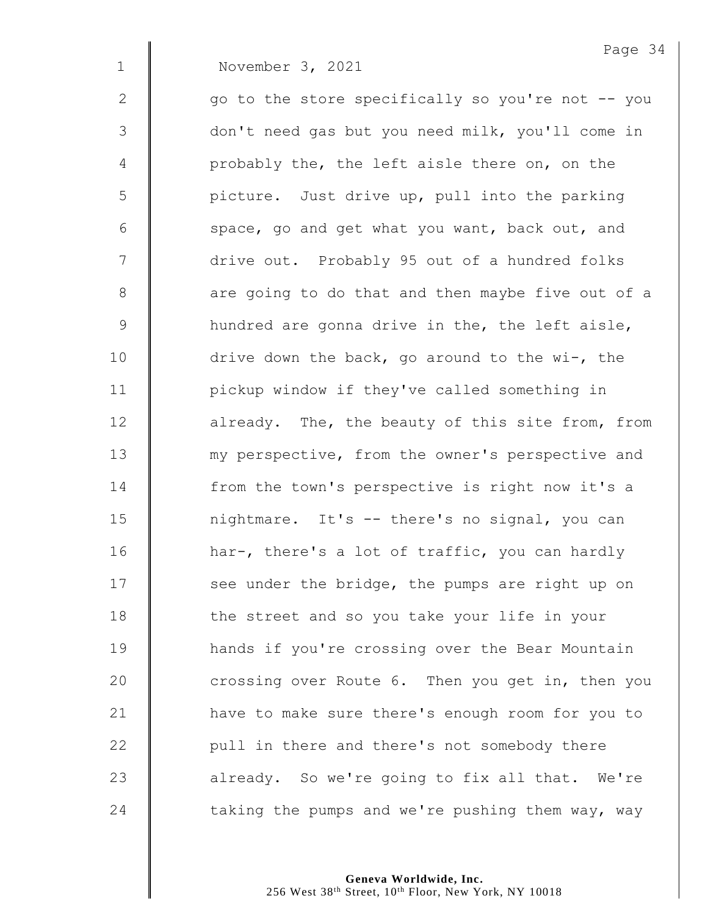**November 3, 2021** 

Page 34

| $\mathbf{2}$    | go to the store specifically so you're not -- you |
|-----------------|---------------------------------------------------|
| $\mathcal{S}$   | don't need gas but you need milk, you'll come in  |
| 4               | probably the, the left aisle there on, on the     |
| 5               | picture. Just drive up, pull into the parking     |
| $6\phantom{.}6$ | space, go and get what you want, back out, and    |
| 7               | drive out. Probably 95 out of a hundred folks     |
| $8\,$           | are going to do that and then maybe five out of a |
| $\mathsf 9$     | hundred are gonna drive in the, the left aisle,   |
| 10              | drive down the back, go around to the wi-, the    |
| 11              | pickup window if they've called something in      |
| 12              | already. The, the beauty of this site from, from  |
| 13              | my perspective, from the owner's perspective and  |
| 14              | from the town's perspective is right now it's a   |
| 15              | nightmare. It's -- there's no signal, you can     |
| 16              | har-, there's a lot of traffic, you can hardly    |
| 17              | see under the bridge, the pumps are right up on   |
| 18              | the street and so you take your life in your      |
| 19              | hands if you're crossing over the Bear Mountain   |
| 20              | crossing over Route 6. Then you get in, then you  |
| 21              | have to make sure there's enough room for you to  |
| 22              | pull in there and there's not somebody there      |
| 23              | already. So we're going to fix all that. We're    |
| 24              | taking the pumps and we're pushing them way, way  |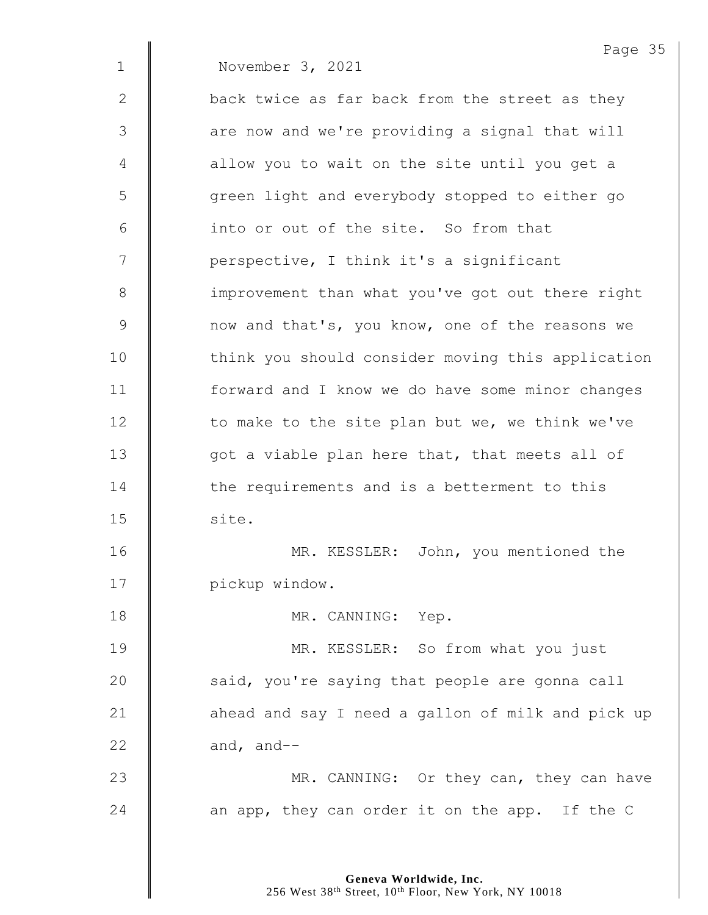|              | Page 35                                           |
|--------------|---------------------------------------------------|
| $\mathbf 1$  | November 3, 2021                                  |
| $\mathbf{2}$ | back twice as far back from the street as they    |
| 3            | are now and we're providing a signal that will    |
| 4            | allow you to wait on the site until you get a     |
| 5            | green light and everybody stopped to either go    |
| 6            | into or out of the site. So from that             |
| 7            | perspective, I think it's a significant           |
| $8\,$        | improvement than what you've got out there right  |
| $\mathsf 9$  | now and that's, you know, one of the reasons we   |
| 10           | think you should consider moving this application |
| 11           | forward and I know we do have some minor changes  |
| 12           | to make to the site plan but we, we think we've   |
| 13           | got a viable plan here that, that meets all of    |
| 14           | the requirements and is a betterment to this      |
| 15           | site.                                             |
| 16           | John, you mentioned the<br>MR. KESSLER:           |
| 17           | pickup window.                                    |
| 18           | MR. CANNING: Yep.                                 |
| 19           | MR. KESSLER: So from what you just                |
| 20           | said, you're saying that people are gonna call    |
| 21           | ahead and say I need a gallon of milk and pick up |
| 22           | and, and--                                        |
| 23           | MR. CANNING: Or they can, they can have           |
| 24           | an app, they can order it on the app. If the C    |
|              |                                                   |

Page 35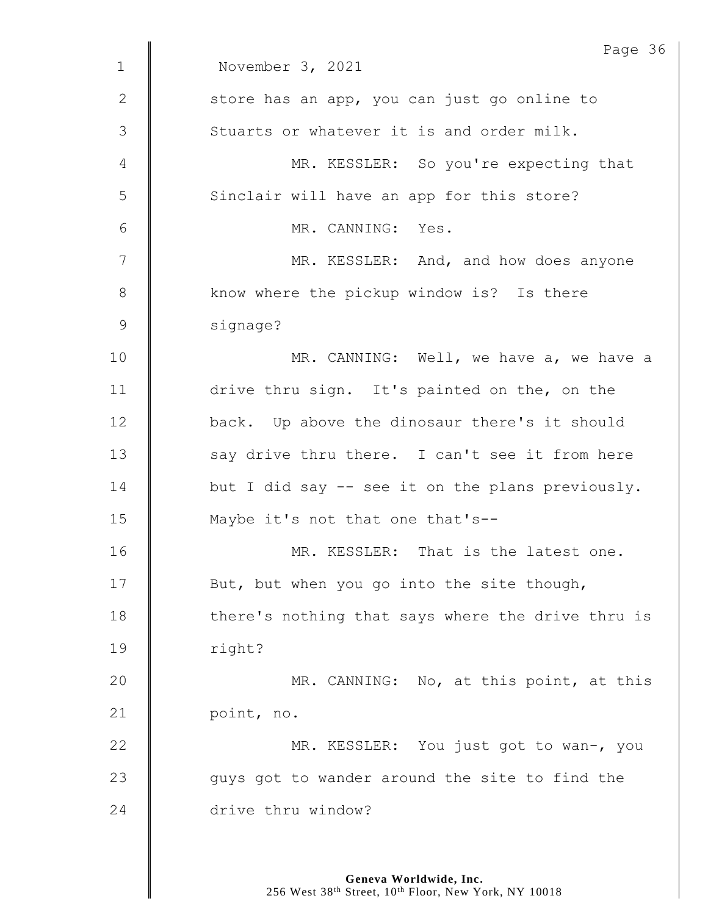|                | Page 36                                           |
|----------------|---------------------------------------------------|
| $\mathbf{1}$   | November 3, 2021                                  |
| $\mathbf{2}$   | store has an app, you can just go online to       |
| $\mathfrak{Z}$ | Stuarts or whatever it is and order milk.         |
| 4              | MR. KESSLER: So you're expecting that             |
| 5              | Sinclair will have an app for this store?         |
| 6              | MR. CANNING: Yes.                                 |
| 7              | MR. KESSLER: And, and how does anyone             |
| 8              | know where the pickup window is? Is there         |
| $\mathcal{G}$  | signage?                                          |
| 10             | MR. CANNING: Well, we have a, we have a           |
| 11             | drive thru sign. It's painted on the, on the      |
| 12             | back. Up above the dinosaur there's it should     |
| 13             | say drive thru there. I can't see it from here    |
| 14             | but I did say -- see it on the plans previously.  |
| 15             | Maybe it's not that one that's--                  |
| 16             | MR. KESSLER: That is the latest one.              |
| 17             | But, but when you go into the site though,        |
| 18             | there's nothing that says where the drive thru is |
| 19             | right?                                            |
| 20             | MR. CANNING: No, at this point, at this           |
| 21             | point, no.                                        |
| 22             | MR. KESSLER: You just got to wan-, you            |
| 23             | guys got to wander around the site to find the    |
| 24             | drive thru window?                                |
|                |                                                   |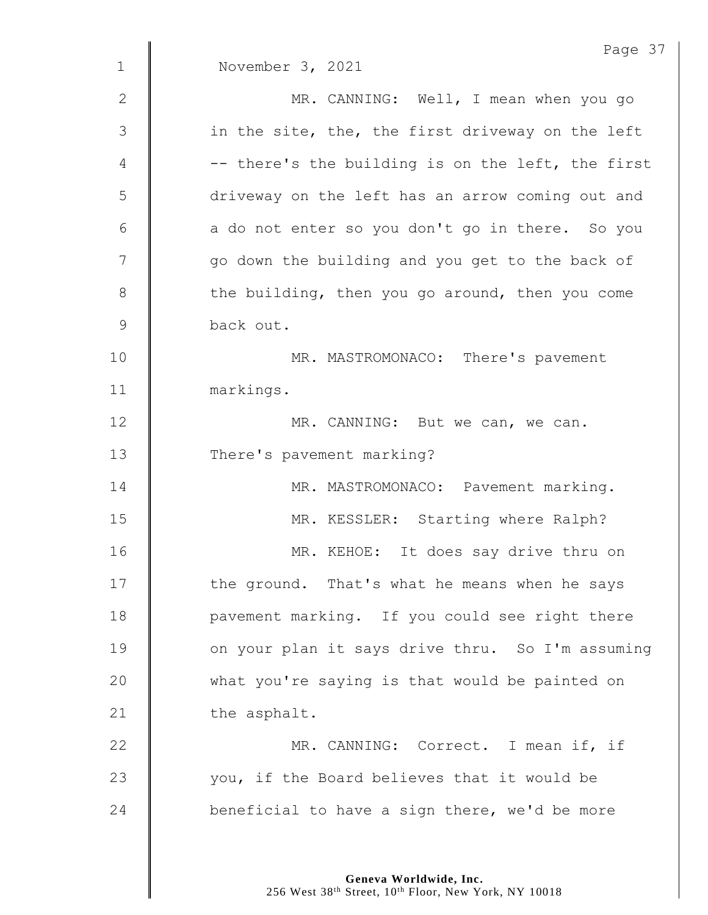|                 | Page 37                                           |
|-----------------|---------------------------------------------------|
| $\mathbf{1}$    | November 3, 2021                                  |
| $\mathbf{2}$    | MR. CANNING: Well, I mean when you go             |
| 3               | in the site, the, the first driveway on the left  |
| 4               | -- there's the building is on the left, the first |
| 5               | driveway on the left has an arrow coming out and  |
| $6\phantom{1}6$ | a do not enter so you don't go in there. So you   |
| 7               | go down the building and you get to the back of   |
| 8               | the building, then you go around, then you come   |
| 9               | back out.                                         |
| 10              | MR. MASTROMONACO: There's pavement                |
| 11              | markings.                                         |
| 12              | MR. CANNING: But we can, we can.                  |
| 13              | There's pavement marking?                         |
| 14              | MR. MASTROMONACO: Pavement marking.               |
| 15              | MR. KESSLER: Starting where Ralph?                |
| 16              | MR. KEHOE: It does say drive thru on              |
| 17              | the ground. That's what he means when he says     |
| 18              | pavement marking. If you could see right there    |
| 19              | on your plan it says drive thru. So I'm assuming  |
| 20              | what you're saying is that would be painted on    |
| 21              | the asphalt.                                      |
| 22              | MR. CANNING: Correct. I mean if, if               |
| 23              | you, if the Board believes that it would be       |
| 24              | beneficial to have a sign there, we'd be more     |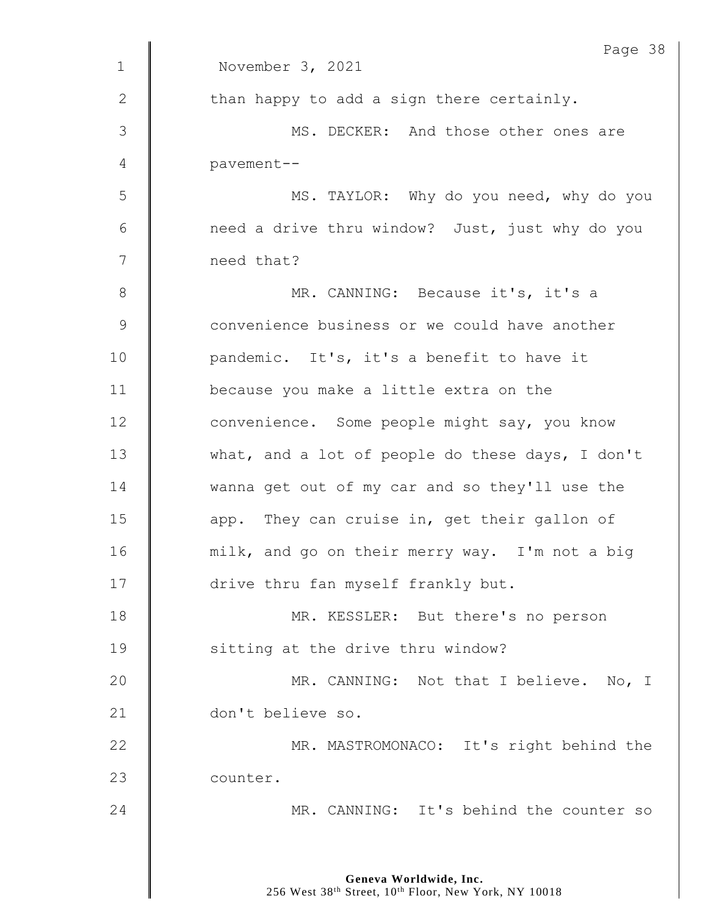|               | Page 38                                          |
|---------------|--------------------------------------------------|
| $\mathbf 1$   | November 3, 2021                                 |
| 2             | than happy to add a sign there certainly.        |
| $\mathcal{S}$ | MS. DECKER: And those other ones are             |
| 4             | pavement--                                       |
| 5             | MS. TAYLOR: Why do you need, why do you          |
| 6             | need a drive thru window? Just, just why do you  |
| 7             | need that?                                       |
| 8             | MR. CANNING: Because it's, it's a                |
| $\mathsf 9$   | convenience business or we could have another    |
| 10            | pandemic. It's, it's a benefit to have it        |
| 11            | because you make a little extra on the           |
| 12            | convenience. Some people might say, you know     |
| 13            | what, and a lot of people do these days, I don't |
| 14            | wanna get out of my car and so they'll use the   |
| 15            | app. They can cruise in, get their gallon of     |
| 16            | milk, and go on their merry way. I'm not a big   |
| 17            | drive thru fan myself frankly but.               |
| 18            | MR. KESSLER: But there's no person               |
| 19            | sitting at the drive thru window?                |
| 20            | MR. CANNING: Not that I believe. No, I           |
| 21            | don't believe so.                                |
| 22            | MR. MASTROMONACO: It's right behind the          |
| 23            | counter.                                         |
| 24            | MR. CANNING: It's behind the counter so          |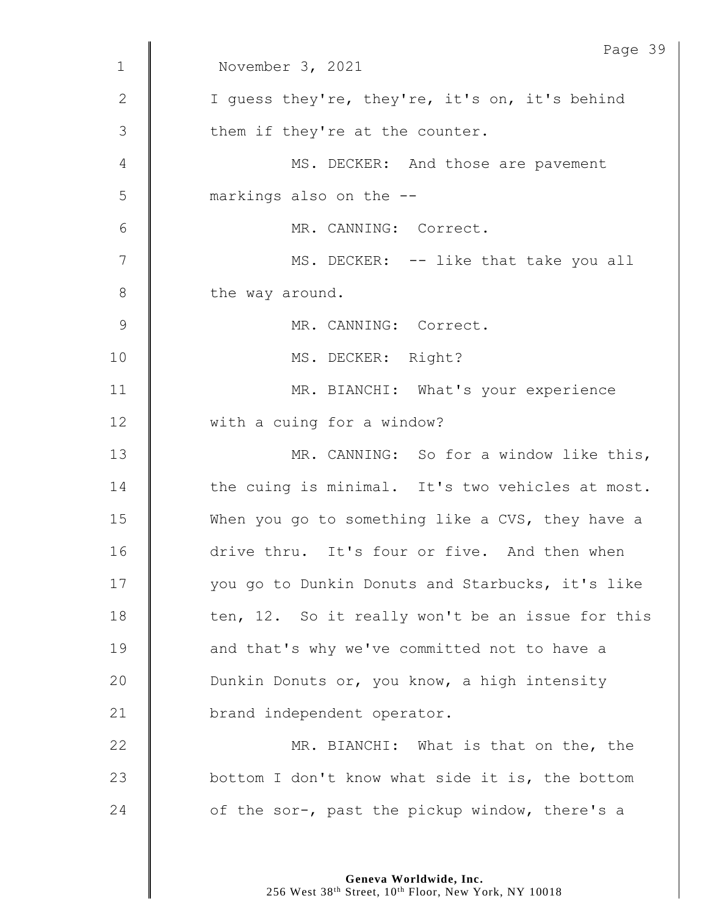|             | Page 39                                          |
|-------------|--------------------------------------------------|
| $\mathbf 1$ | November 3, 2021                                 |
| 2           | I quess they're, they're, it's on, it's behind   |
| 3           | them if they're at the counter.                  |
| 4           | MS. DECKER: And those are pavement               |
| 5           | markings also on the --                          |
| 6           | MR. CANNING: Correct.                            |
| 7           | MS. DECKER: -- like that take you all            |
| $8\,$       | the way around.                                  |
| 9           | MR. CANNING: Correct.                            |
| 10          | MS. DECKER: Right?                               |
| 11          | MR. BIANCHI: What's your experience              |
| 12          | with a cuing for a window?                       |
| 13          | MR. CANNING: So for a window like this,          |
| 14          | the cuing is minimal. It's two vehicles at most. |
| 15          | When you go to something like a CVS, they have a |
| 16          | drive thru. It's four or five. And then when     |
| 17          | you go to Dunkin Donuts and Starbucks, it's like |
| 18          | ten, 12. So it really won't be an issue for this |
| 19          | and that's why we've committed not to have a     |
| 20          | Dunkin Donuts or, you know, a high intensity     |
| 21          | brand independent operator.                      |
| 22          | MR. BIANCHI: What is that on the, the            |
| 23          | bottom I don't know what side it is, the bottom  |
| 24          | of the sor-, past the pickup window, there's a   |
|             |                                                  |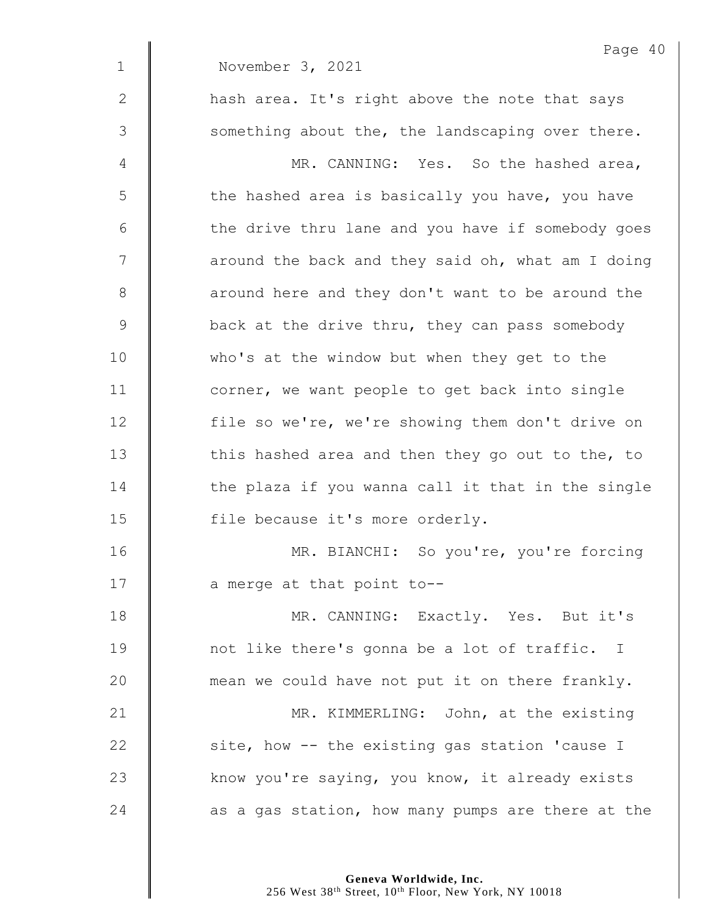| Page 40                                           |
|---------------------------------------------------|
| November 3, 2021                                  |
| hash area. It's right above the note that says    |
| something about the, the landscaping over there.  |
| MR. CANNING: Yes. So the hashed area,             |
| the hashed area is basically you have, you have   |
| the drive thru lane and you have if somebody goes |
| around the back and they said oh, what am I doing |
| around here and they don't want to be around the  |
| back at the drive thru, they can pass somebody    |
| who's at the window but when they get to the      |
| corner, we want people to get back into single    |
| file so we're, we're showing them don't drive on  |
| this hashed area and then they go out to the, to  |
| the plaza if you wanna call it that in the single |
| file because it's more orderly.                   |
| MR. BIANCHI: So you're, you're forcing            |
| a merge at that point to--                        |
| MR. CANNING: Exactly. Yes. But it's               |
| not like there's gonna be a lot of traffic. I     |
| mean we could have not put it on there frankly.   |
| MR. KIMMERLING: John, at the existing             |
| site, how -- the existing gas station 'cause I    |
| know you're saying, you know, it already exists   |
| as a gas station, how many pumps are there at the |
|                                                   |

**Geneva Worldwide, Inc.**

256 West 38th Street, 10th Floor, New York, NY 10018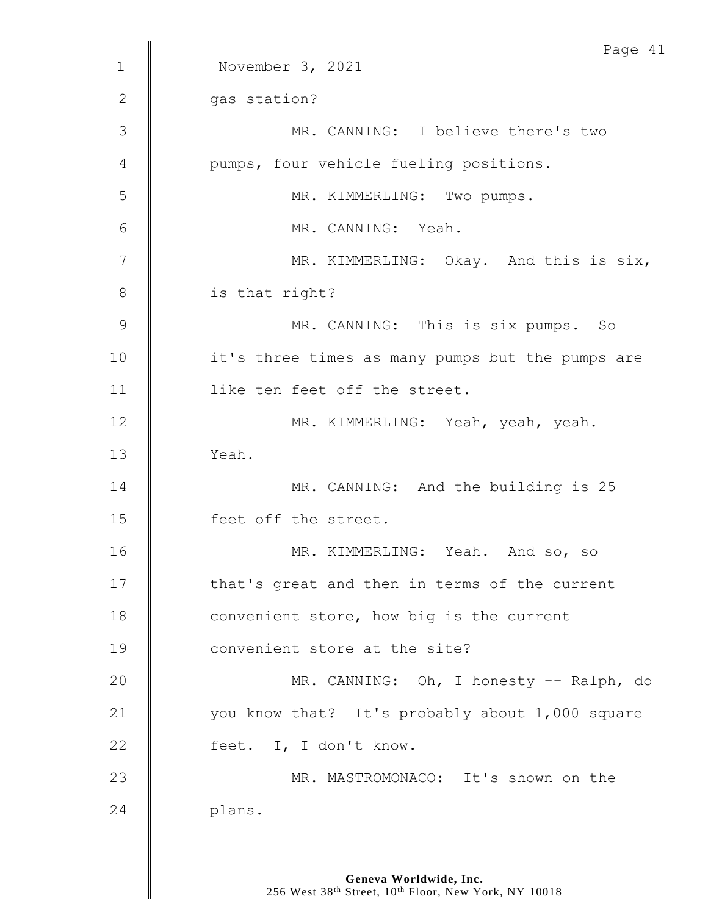|                | Page 41                                          |
|----------------|--------------------------------------------------|
| $\mathbf{1}$   | November 3, 2021                                 |
| $\mathbf{2}$   | gas station?                                     |
| 3              | MR. CANNING: I believe there's two               |
| 4              | pumps, four vehicle fueling positions.           |
| 5              | MR. KIMMERLING: Two pumps.                       |
| 6              | MR. CANNING: Yeah.                               |
| 7              | MR. KIMMERLING: Okay. And this is six,           |
| 8              | is that right?                                   |
| $\overline{9}$ | MR. CANNING: This is six pumps. So               |
| 10             | it's three times as many pumps but the pumps are |
| 11             | like ten feet off the street.                    |
| 12             | MR. KIMMERLING: Yeah, yeah, yeah.                |
| 13             | Yeah.                                            |
| 14             | MR. CANNING: And the building is 25              |
| 15             | feet off the street.                             |
| 16             | MR. KIMMERLING: Yeah. And so, so                 |
| 17             | that's great and then in terms of the current    |
| 18             | convenient store, how big is the current         |
| 19             | convenient store at the site?                    |
| 20             | MR. CANNING: Oh, I honesty -- Ralph, do          |
| 21             | you know that? It's probably about 1,000 square  |
| 22             | feet. I, I don't know.                           |
| 23             | MR. MASTROMONACO: It's shown on the              |
| 24             | plans.                                           |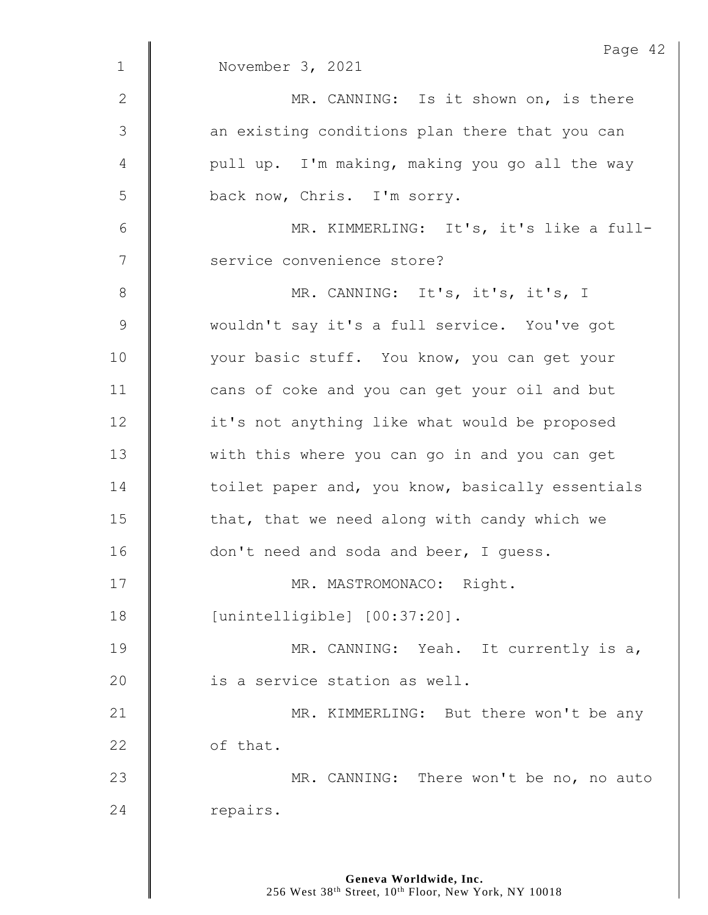|                | Page 42                                          |
|----------------|--------------------------------------------------|
| $\mathbf 1$    | November 3, 2021                                 |
| $\mathbf{2}$   | MR. CANNING: Is it shown on, is there            |
| $\mathfrak{Z}$ | an existing conditions plan there that you can   |
| 4              | pull up. I'm making, making you go all the way   |
| 5              | back now, Chris. I'm sorry.                      |
| 6              | MR. KIMMERLING: It's, it's like a full-          |
| 7              | service convenience store?                       |
| $8\,$          | MR. CANNING: It's, it's, it's, I                 |
| $\mathsf 9$    | wouldn't say it's a full service. You've got     |
| 10             | your basic stuff. You know, you can get your     |
| 11             | cans of coke and you can get your oil and but    |
| 12             | it's not anything like what would be proposed    |
| 13             | with this where you can go in and you can get    |
| 14             | toilet paper and, you know, basically essentials |
| 15             | that, that we need along with candy which we     |
| 16             | don't need and soda and beer, I quess.           |
| 17             | MR. MASTROMONACO: Right.                         |
| 18             | [unintelligible] [00:37:20].                     |
| 19             | MR. CANNING: Yeah. It currently is a,            |
| 20             | is a service station as well.                    |
| 21             | MR. KIMMERLING: But there won't be any           |
| 22             | of that.                                         |
| 23             | MR. CANNING: There won't be no, no auto          |
| 24             | repairs.                                         |
|                |                                                  |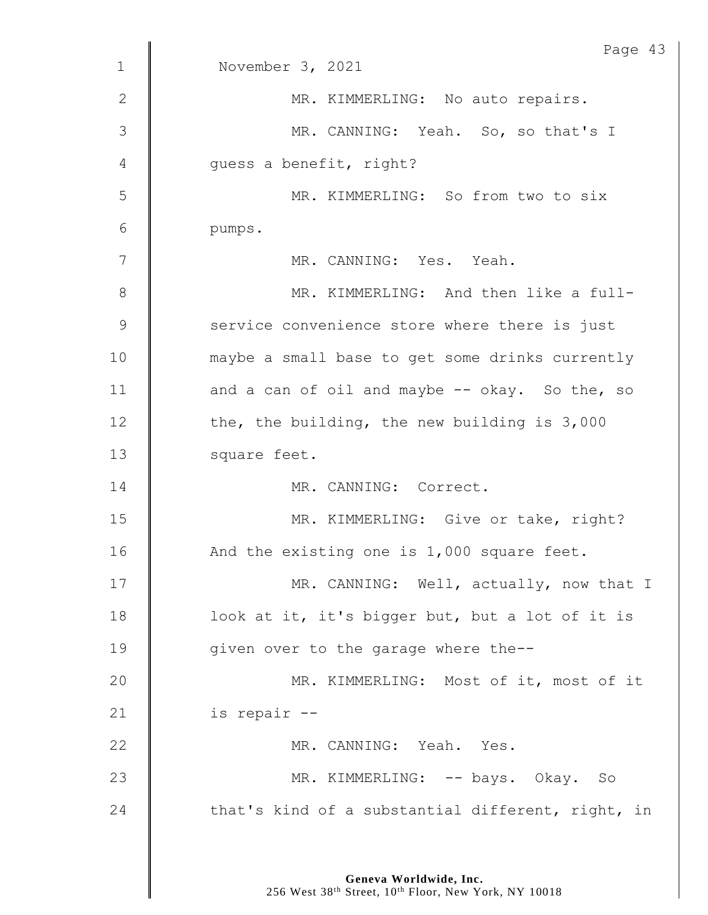|              | Page 43                                           |
|--------------|---------------------------------------------------|
| $\mathbf{1}$ | November 3, 2021                                  |
| 2            | MR. KIMMERLING: No auto repairs.                  |
| 3            | MR. CANNING: Yeah. So, so that's I                |
| 4            | quess a benefit, right?                           |
| 5            | MR. KIMMERLING: So from two to six                |
| 6            | pumps.                                            |
| 7            | MR. CANNING: Yes. Yeah.                           |
| $8\,$        | MR. KIMMERLING: And then like a full-             |
| 9            | service convenience store where there is just     |
| 10           | maybe a small base to get some drinks currently   |
| 11           | and a can of oil and maybe -- okay. So the, so    |
| 12           | the, the building, the new building is 3,000      |
| 13           | square feet.                                      |
| 14           | MR. CANNING: Correct.                             |
| 15           | MR. KIMMERLING: Give or take, right?              |
| 16           | And the existing one is 1,000 square feet.        |
| 17           | MR. CANNING: Well, actually, now that I           |
| 18           | look at it, it's bigger but, but a lot of it is   |
| 19           | given over to the garage where the--              |
| 20           | MR. KIMMERLING: Most of it, most of it            |
| 21           | is repair --                                      |
| 22           | MR. CANNING: Yeah. Yes.                           |
| 23           | MR. KIMMERLING: -- bays. Okay. So                 |
| 24           | that's kind of a substantial different, right, in |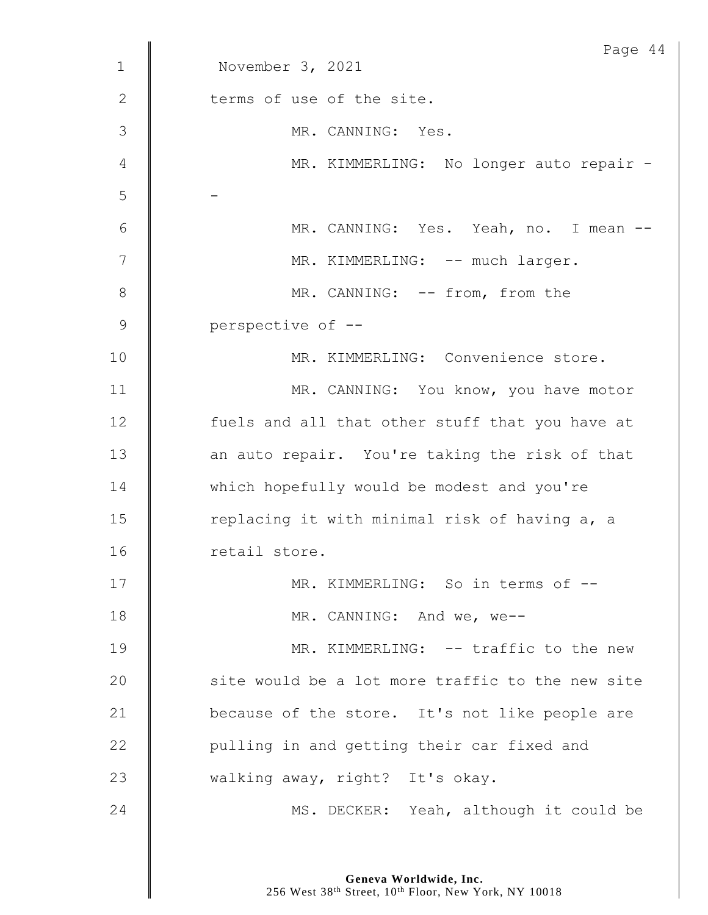|              | Page 44                                          |
|--------------|--------------------------------------------------|
| $\mathbf 1$  | November 3, 2021                                 |
| $\mathbf{2}$ | terms of use of the site.                        |
| 3            | MR. CANNING: Yes.                                |
| 4            | MR. KIMMERLING: No longer auto repair -          |
| 5            |                                                  |
| 6            | MR. CANNING: Yes. Yeah, no. I mean --            |
| 7            | MR. KIMMERLING: -- much larger.                  |
| 8            | MR. CANNING: -- from, from the                   |
| $\mathsf 9$  | perspective of --                                |
| 10           | MR. KIMMERLING: Convenience store.               |
| 11           | MR. CANNING: You know, you have motor            |
| 12           | fuels and all that other stuff that you have at  |
| 13           | an auto repair. You're taking the risk of that   |
| 14           | which hopefully would be modest and you're       |
| 15           | replacing it with minimal risk of having a, a    |
| 16           | retail store.                                    |
| 17           | MR. KIMMERLING: So in terms of --                |
| 18           | MR. CANNING: And we, we--                        |
| 19           | MR. KIMMERLING: -- traffic to the new            |
| 20           | site would be a lot more traffic to the new site |
| 21           | because of the store. It's not like people are   |
| 22           | pulling in and getting their car fixed and       |
| 23           | walking away, right? It's okay.                  |
| 24           | MS. DECKER: Yeah, although it could be           |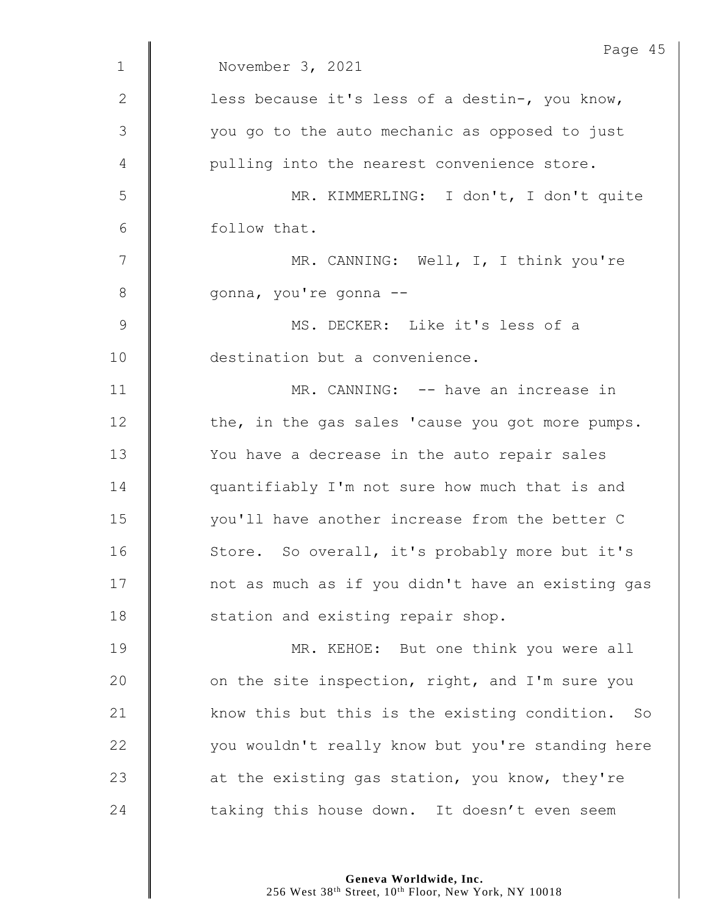|               | Page 45                                           |
|---------------|---------------------------------------------------|
| $\mathbf{1}$  | November 3, 2021                                  |
| $\mathbf{2}$  | less because it's less of a destin-, you know,    |
| 3             | you go to the auto mechanic as opposed to just    |
| 4             | pulling into the nearest convenience store.       |
| 5             | MR. KIMMERLING: I don't, I don't quite            |
| 6             | follow that.                                      |
| 7             | MR. CANNING: Well, I, I think you're              |
| 8             | gonna, you're gonna --                            |
| $\mathcal{G}$ | MS. DECKER: Like it's less of a                   |
| 10            | destination but a convenience.                    |
| 11            | MR. CANNING: -- have an increase in               |
| 12            | the, in the gas sales 'cause you got more pumps.  |
| 13            | You have a decrease in the auto repair sales      |
| 14            | quantifiably I'm not sure how much that is and    |
| 15            | you'll have another increase from the better C    |
| 16            | Store. So overall, it's probably more but it's    |
| 17            | not as much as if you didn't have an existing gas |
| 18            | station and existing repair shop.                 |
| 19            | MR. KEHOE: But one think you were all             |
| 20            | on the site inspection, right, and I'm sure you   |
| 21            | know this but this is the existing condition. So  |
| 22            | you wouldn't really know but you're standing here |
| 23            | at the existing gas station, you know, they're    |
| 24            | taking this house down. It doesn't even seem      |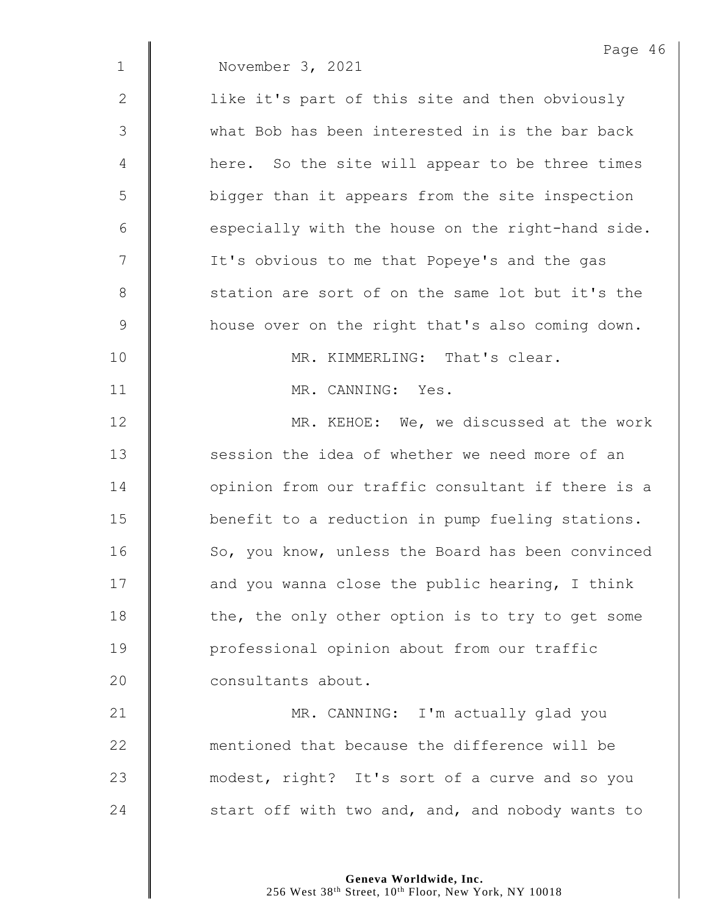|               | Page 46                                           |
|---------------|---------------------------------------------------|
| $\mathbf 1$   | November 3, 2021                                  |
| 2             | like it's part of this site and then obviously    |
| 3             | what Bob has been interested in is the bar back   |
| 4             | here. So the site will appear to be three times   |
| 5             | bigger than it appears from the site inspection   |
| 6             | especially with the house on the right-hand side. |
| 7             | It's obvious to me that Popeye's and the gas      |
| 8             | station are sort of on the same lot but it's the  |
| $\mathcal{G}$ | house over on the right that's also coming down.  |
| 10            | MR. KIMMERLING: That's clear.                     |
| 11            | MR. CANNING: Yes.                                 |
| 12            | MR. KEHOE: We, we discussed at the work           |
| 13            | session the idea of whether we need more of an    |
| 14            | opinion from our traffic consultant if there is a |
| 15            | benefit to a reduction in pump fueling stations.  |
| 16            | So, you know, unless the Board has been convinced |
| 17            | and you wanna close the public hearing, I think   |
| 18            | the, the only other option is to try to get some  |
| 19            | professional opinion about from our traffic       |
| 20            | consultants about.                                |
| 21            | MR. CANNING: I'm actually glad you                |
| 22            | mentioned that because the difference will be     |
| 23            | modest, right? It's sort of a curve and so you    |
| 24            | start off with two and, and, and nobody wants to  |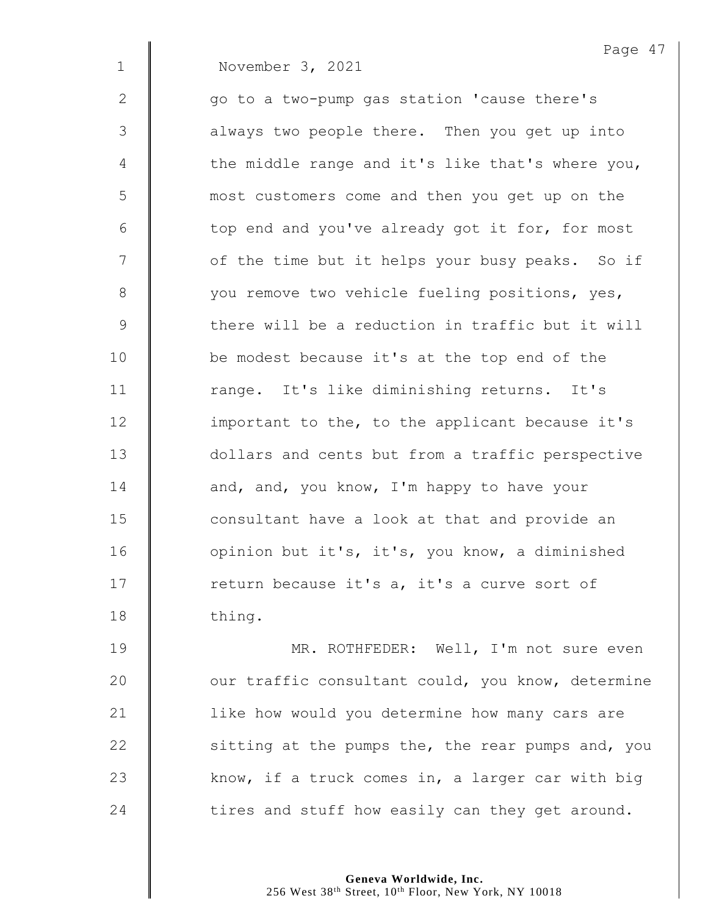|  | November 3, 2021 |  |  |
|--|------------------|--|--|
|--|------------------|--|--|

2 || qo to a two-pump gas station 'cause there's 3 | always two people there. Then you get up into  $4 \parallel$  the middle range and it's like that's where you, 5 most customers come and then you get up on the  $6 \parallel$  top end and you've already got it for, for most 7 | of the time but it helps your busy peaks. So if 8 | vou remove two vehicle fueling positions, yes, 9  $\parallel$  there will be a reduction in traffic but it will 10 be modest because it's at the top end of the 11 | range. It's like diminishing returns. It's 12 | important to the, to the applicant because it's 13 **dollars and cents but from a traffic perspective** 14 **and, and, you know, I'm happy to have your** 15 **deger** 15 consultant have a look at that and provide an 16 | opinion but it's, it's, you know, a diminished 17 The return because it's a, it's a curve sort of 18 thing.

19 || MR. ROTHFEDER: Well, I'm not sure even **J** our traffic consultant could, you know, determine 21 | like how would you determine how many cars are  $\parallel$  sitting at the pumps the, the rear pumps and, you  $\parallel$  know, if a truck comes in, a larger car with big  $\parallel$  tires and stuff how easily can they get around.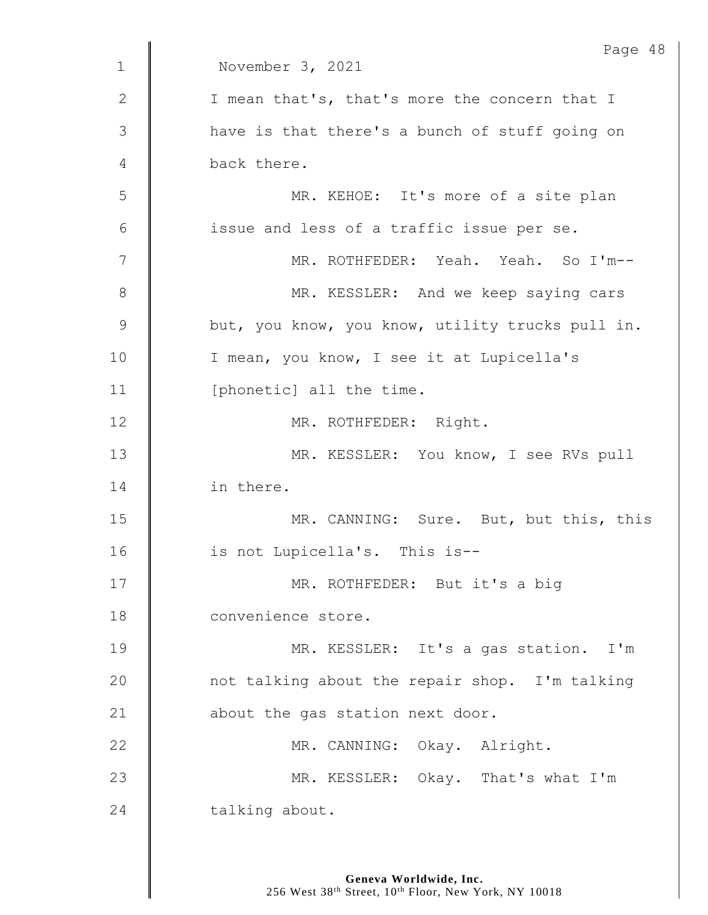|               | Page 48                                          |
|---------------|--------------------------------------------------|
| $\mathbf 1$   | November 3, 2021                                 |
| 2             | I mean that's, that's more the concern that I    |
| $\mathcal{S}$ | have is that there's a bunch of stuff going on   |
| 4             | back there.                                      |
| 5             | MR. KEHOE: It's more of a site plan              |
| 6             | issue and less of a traffic issue per se.        |
| 7             | MR. ROTHFEDER: Yeah. Yeah. So I'm--              |
| 8             | MR. KESSLER: And we keep saying cars             |
| $\mathsf 9$   | but, you know, you know, utility trucks pull in. |
| 10            | I mean, you know, I see it at Lupicella's        |
| 11            | [phonetic] all the time.                         |
| 12            | MR. ROTHFEDER: Right.                            |
| 13            | MR. KESSLER: You know, I see RVs pull            |
| 14            | in there.                                        |
| 15            | MR. CANNING: Sure. But, but this, this           |
| 16            | is not Lupicella's. This is--                    |
| 17            | MR. ROTHFEDER: But it's a big                    |
| 18            | convenience store.                               |
| 19            | MR. KESSLER: It's a gas station. I'm             |
| 20            | not talking about the repair shop. I'm talking   |
| 21            | about the gas station next door.                 |
| 22            | MR. CANNING: Okay. Alright.                      |
| 23            | MR. KESSLER: Okay. That's what I'm               |
| 24            | talking about.                                   |
|               |                                                  |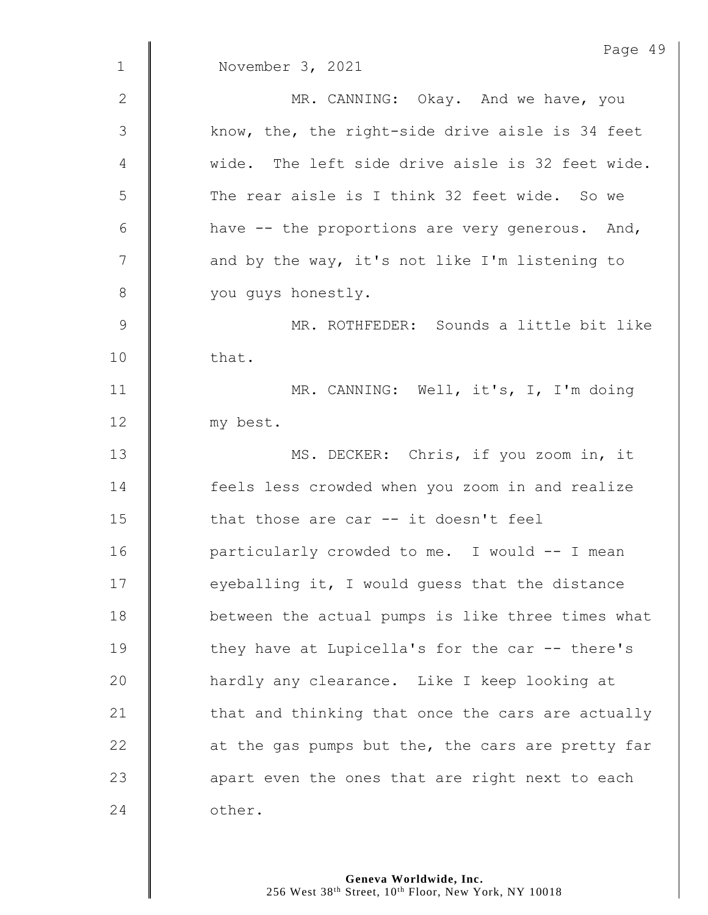|               | Page 49                                           |
|---------------|---------------------------------------------------|
| $\mathbf 1$   | November 3, 2021                                  |
| 2             | MR. CANNING: Okay. And we have, you               |
| $\mathcal{S}$ | know, the, the right-side drive aisle is 34 feet  |
| 4             | wide. The left side drive aisle is 32 feet wide.  |
| 5             | The rear aisle is I think 32 feet wide. So we     |
| 6             | have -- the proportions are very generous. And,   |
| 7             | and by the way, it's not like I'm listening to    |
| 8             | you guys honestly.                                |
| $\mathsf 9$   | MR. ROTHFEDER: Sounds a little bit like           |
| 10            | that.                                             |
| 11            | MR. CANNING: Well, it's, I, I'm doing             |
| 12            | my best.                                          |
| 13            | MS. DECKER: Chris, if you zoom in, it             |
| 14            | feels less crowded when you zoom in and realize   |
| 15            | that those are car -- it doesn't feel             |
| 16            | particularly crowded to me. I would -- I mean     |
| 17            | eyeballing it, I would guess that the distance    |
| 18            | between the actual pumps is like three times what |
| 19            | they have at Lupicella's for the car -- there's   |
| 20            | hardly any clearance. Like I keep looking at      |
| 21            | that and thinking that once the cars are actually |
| 22            | at the gas pumps but the, the cars are pretty far |
| 23            | apart even the ones that are right next to each   |
| 24            | other.                                            |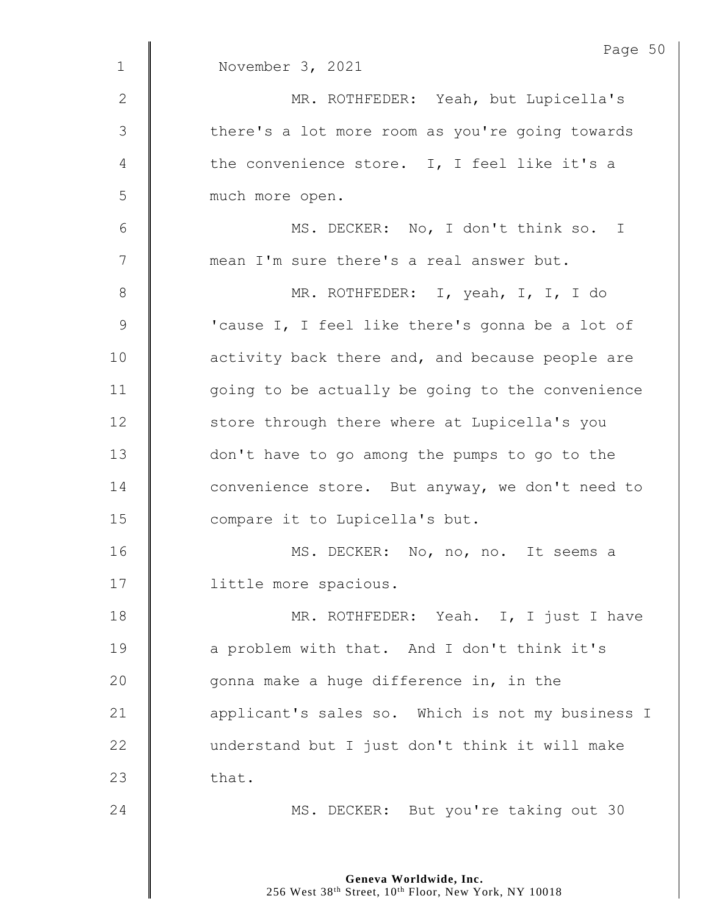|              | Page 50                                          |
|--------------|--------------------------------------------------|
| $\mathbf{1}$ | November 3, 2021                                 |
| 2            | MR. ROTHFEDER: Yeah, but Lupicella's             |
| 3            | there's a lot more room as you're going towards  |
| 4            | the convenience store. I, I feel like it's a     |
| 5            | much more open.                                  |
| 6            | MS. DECKER: No, I don't think so. I              |
| 7            | mean I'm sure there's a real answer but.         |
| 8            | MR. ROTHFEDER: I, yeah, I, I, I do               |
| $\mathsf 9$  | 'cause I, I feel like there's gonna be a lot of  |
| 10           | activity back there and, and because people are  |
| 11           | going to be actually be going to the convenience |
| 12           | store through there where at Lupicella's you     |
| 13           | don't have to go among the pumps to go to the    |
| 14           | convenience store. But anyway, we don't need to  |
| 15           | compare it to Lupicella's but.                   |
| 16           | MS. DECKER: No, no, no. It seems a               |
| 17           | little more spacious.                            |
| 18           | MR. ROTHFEDER: Yeah. I, I just I have            |
| 19           | a problem with that. And I don't think it's      |
| 20           | gonna make a huge difference in, in the          |
| 21           | applicant's sales so. Which is not my business I |
| 22           | understand but I just don't think it will make   |
| 23           | that.                                            |
| 24           | MS. DECKER: But you're taking out 30             |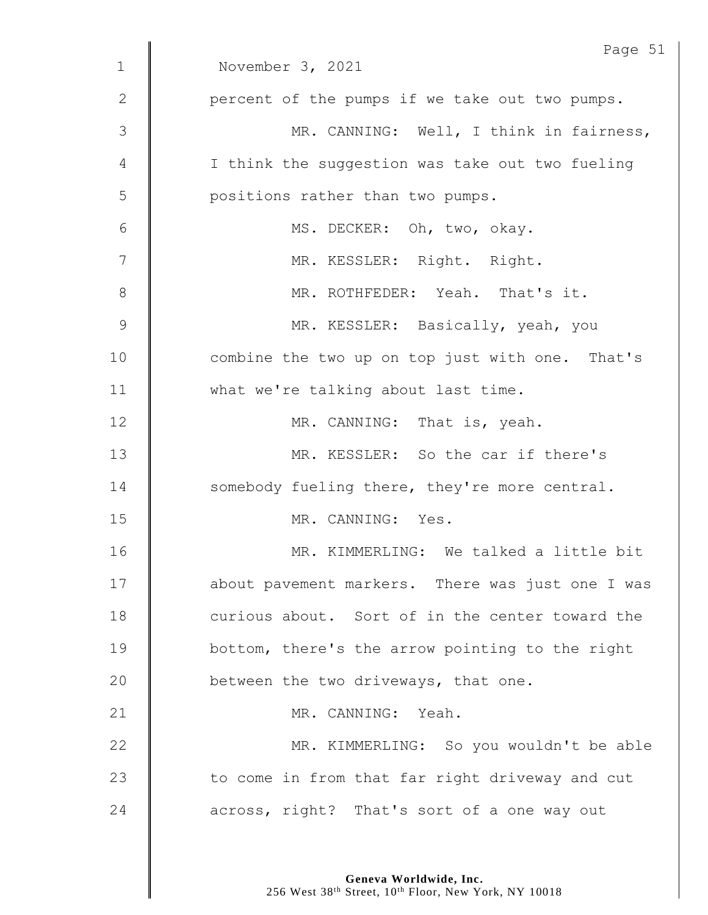|                 | Page 51                                          |
|-----------------|--------------------------------------------------|
| $\mathbf{1}$    | November 3, 2021                                 |
| $\mathbf{2}$    | percent of the pumps if we take out two pumps.   |
| 3               | MR. CANNING: Well, I think in fairness,          |
| 4               | I think the suggestion was take out two fueling  |
| 5               | positions rather than two pumps.                 |
| $6\phantom{1}6$ | MS. DECKER: Oh, two, okay.                       |
| 7               | MR. KESSLER: Right. Right.                       |
| 8               | MR. ROTHFEDER: Yeah. That's it.                  |
| 9               | MR. KESSLER: Basically, yeah, you                |
| 10              | combine the two up on top just with one. That's  |
| 11              | what we're talking about last time.              |
| 12              | MR. CANNING: That is, yeah.                      |
| 13              | MR. KESSLER: So the car if there's               |
| 14              | somebody fueling there, they're more central.    |
| 15              | MR. CANNING: Yes.                                |
| 16              | MR. KIMMERLING: We talked a little bit           |
| 17              | about pavement markers. There was just one I was |
| 18              | curious about. Sort of in the center toward the  |
| 19              | bottom, there's the arrow pointing to the right  |
| 20              | between the two driveways, that one.             |
| 21              | MR. CANNING: Yeah.                               |
| 22              | MR. KIMMERLING: So you wouldn't be able          |
| 23              | to come in from that far right driveway and cut  |
| 24              | across, right? That's sort of a one way out      |
|                 |                                                  |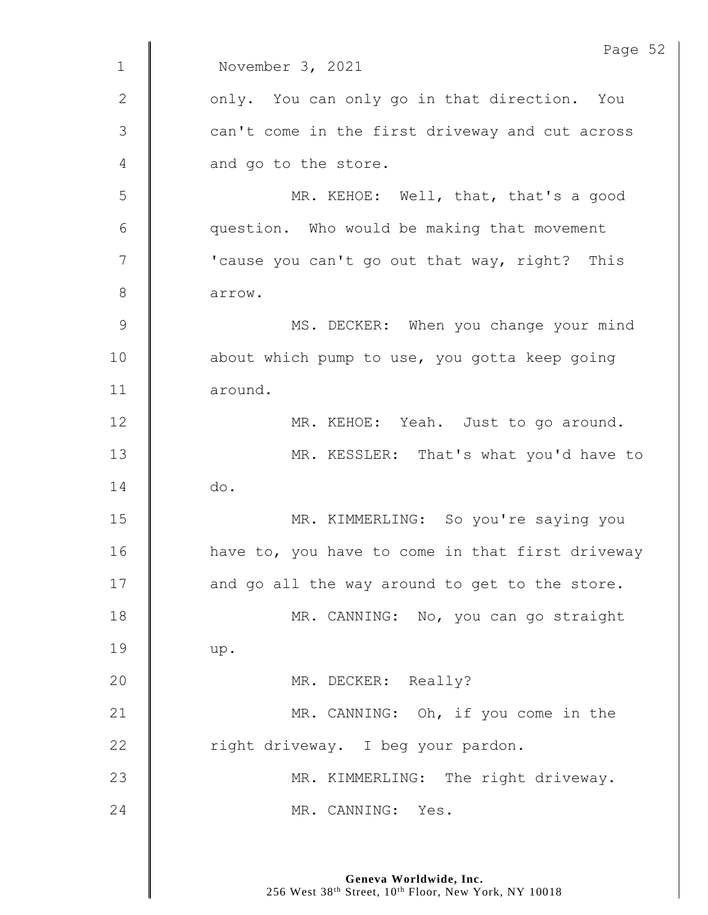|               | Page 52                                          |
|---------------|--------------------------------------------------|
| $\mathbf{1}$  | November 3, 2021                                 |
| 2             | only. You can only go in that direction. You     |
| $\mathcal{S}$ | can't come in the first driveway and cut across  |
| 4             | and go to the store.                             |
| 5             | MR. KEHOE: Well, that, that's a good             |
| 6             | question. Who would be making that movement      |
| 7             | 'cause you can't go out that way, right? This    |
| 8             | arrow.                                           |
| $\mathcal{G}$ | MS. DECKER: When you change your mind            |
| 10            | about which pump to use, you gotta keep going    |
| 11            | around.                                          |
| 12            | MR. KEHOE: Yeah. Just to go around.              |
| 13            | MR. KESSLER: That's what you'd have to           |
| 14            | do.                                              |
| 15            | MR. KIMMERLING: So you're saying you             |
| 16            | have to, you have to come in that first driveway |
| 17            | and go all the way around to get to the store.   |
| 18            | MR. CANNING: No, you can go straight             |
| 19            | up.                                              |
| 20            | MR. DECKER: Really?                              |
| 21            | MR. CANNING: Oh, if you come in the              |
| 22            | right driveway. I beg your pardon.               |
| 23            | MR. KIMMERLING: The right driveway.              |
| 24            | MR. CANNING: Yes.                                |
|               |                                                  |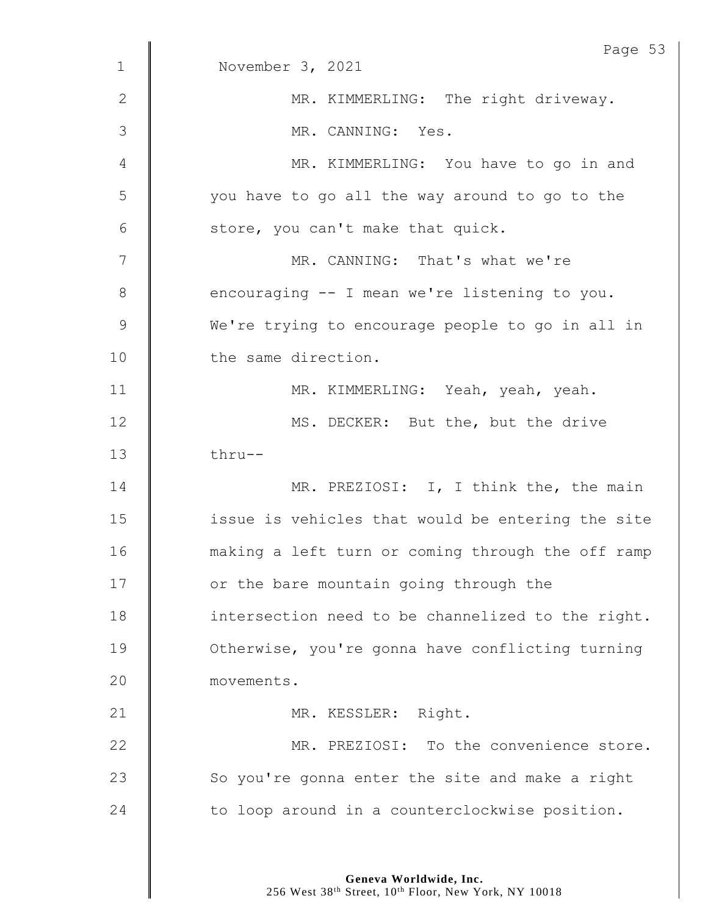| $\mathbf{1}$ | Page 53<br>November 3, 2021                       |
|--------------|---------------------------------------------------|
| $\mathbf{2}$ | MR. KIMMERLING: The right driveway.               |
|              |                                                   |
| 3            | MR. CANNING: Yes.                                 |
| 4            | MR. KIMMERLING: You have to go in and             |
| 5            | you have to go all the way around to go to the    |
| 6            | store, you can't make that quick.                 |
| 7            | MR. CANNING: That's what we're                    |
| 8            | encouraging -- I mean we're listening to you.     |
| $\mathsf 9$  | We're trying to encourage people to go in all in  |
| 10           | the same direction.                               |
| 11           | MR. KIMMERLING: Yeah, yeah, yeah.                 |
| 12           | MS. DECKER: But the, but the drive                |
| 13           | thru--                                            |
| 14           | MR. PREZIOSI: I, I think the, the main            |
| 15           | issue is vehicles that would be entering the site |
| 16           | making a left turn or coming through the off ramp |
| 17           | or the bare mountain going through the            |
| 18           | intersection need to be channelized to the right. |
| 19           | Otherwise, you're gonna have conflicting turning  |
| 20           | movements.                                        |
| 21           | MR. KESSLER: Right.                               |
| 22           | MR. PREZIOSI: To the convenience store.           |
| 23           | So you're gonna enter the site and make a right   |
| 24           | to loop around in a counterclockwise position.    |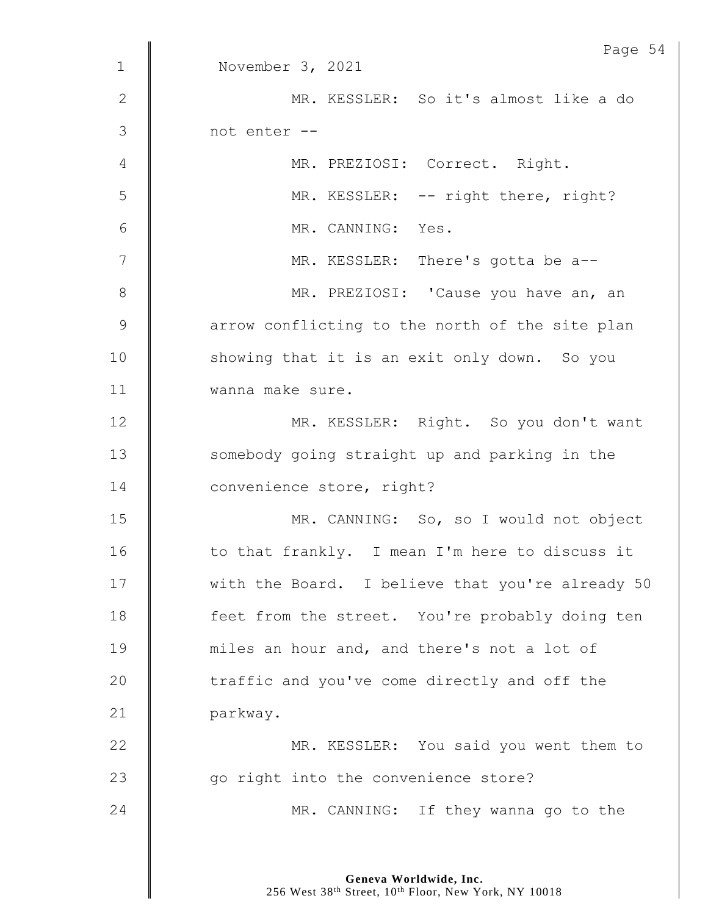|               | Page 54                                          |
|---------------|--------------------------------------------------|
| $\mathbf 1$   | November 3, 2021                                 |
| $\mathbf{2}$  | MR. KESSLER: So it's almost like a do            |
| $\mathcal{S}$ | not enter --                                     |
| 4             | MR. PREZIOSI: Correct. Right.                    |
| 5             | MR. KESSLER: -- right there, right?              |
| 6             | MR. CANNING: Yes.                                |
| 7             | MR. KESSLER: There's gotta be a--                |
| 8             | MR. PREZIOSI: 'Cause you have an, an             |
| $\mathcal{G}$ | arrow conflicting to the north of the site plan  |
| 10            | showing that it is an exit only down. So you     |
| 11            | wanna make sure.                                 |
| 12            | MR. KESSLER: Right. So you don't want            |
| 13            | somebody going straight up and parking in the    |
| 14            | convenience store, right?                        |
| 15            | MR. CANNING: So, so I would not object           |
| 16            | to that frankly. I mean I'm here to discuss it   |
| 17            | with the Board. I believe that you're already 50 |
| 18            | feet from the street. You're probably doing ten  |
| 19            | miles an hour and, and there's not a lot of      |
| 20            | traffic and you've come directly and off the     |
| 21            | parkway.                                         |
| 22            | MR. KESSLER: You said you went them to           |
| 23            | go right into the convenience store?             |
| 24            | MR. CANNING: If they wanna go to the             |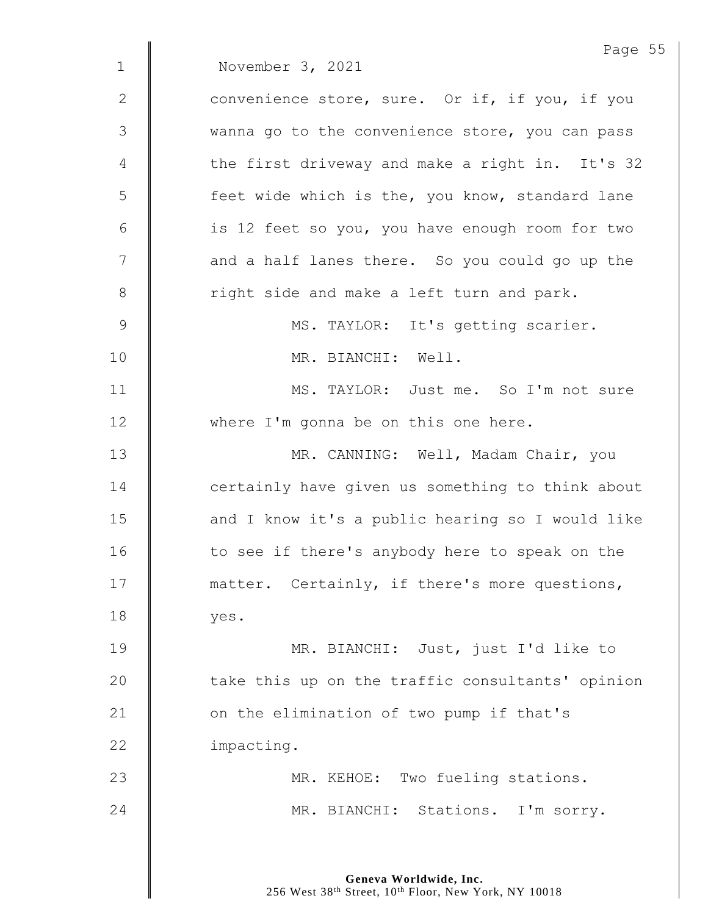|               | Page 55                                          |
|---------------|--------------------------------------------------|
| $\mathbf{1}$  | November 3, 2021                                 |
| 2             | convenience store, sure. Or if, if you, if you   |
| $\mathcal{S}$ | wanna go to the convenience store, you can pass  |
| 4             | the first driveway and make a right in. It's 32  |
| 5             | feet wide which is the, you know, standard lane  |
| 6             | is 12 feet so you, you have enough room for two  |
| 7             | and a half lanes there. So you could go up the   |
| $8\,$         | right side and make a left turn and park.        |
| $\mathcal{G}$ | MS. TAYLOR: It's getting scarier.                |
| 10            | MR. BIANCHI: Well.                               |
| 11            | MS. TAYLOR: Just me. So I'm not sure             |
| 12            | where I'm gonna be on this one here.             |
| 13            | MR. CANNING: Well, Madam Chair, you              |
| 14            | certainly have given us something to think about |
| 15            | and I know it's a public hearing so I would like |
| 16            | to see if there's anybody here to speak on the   |
| 17            | matter. Certainly, if there's more questions,    |
| 18            | yes.                                             |
| 19            | MR. BIANCHI: Just, just I'd like to              |
| 20            | take this up on the traffic consultants' opinion |
| 21            | on the elimination of two pump if that's         |
| 22            | impacting.                                       |
| 23            | MR. KEHOE: Two fueling stations.                 |
| 24            | MR. BIANCHI: Stations. I'm sorry.                |
|               |                                                  |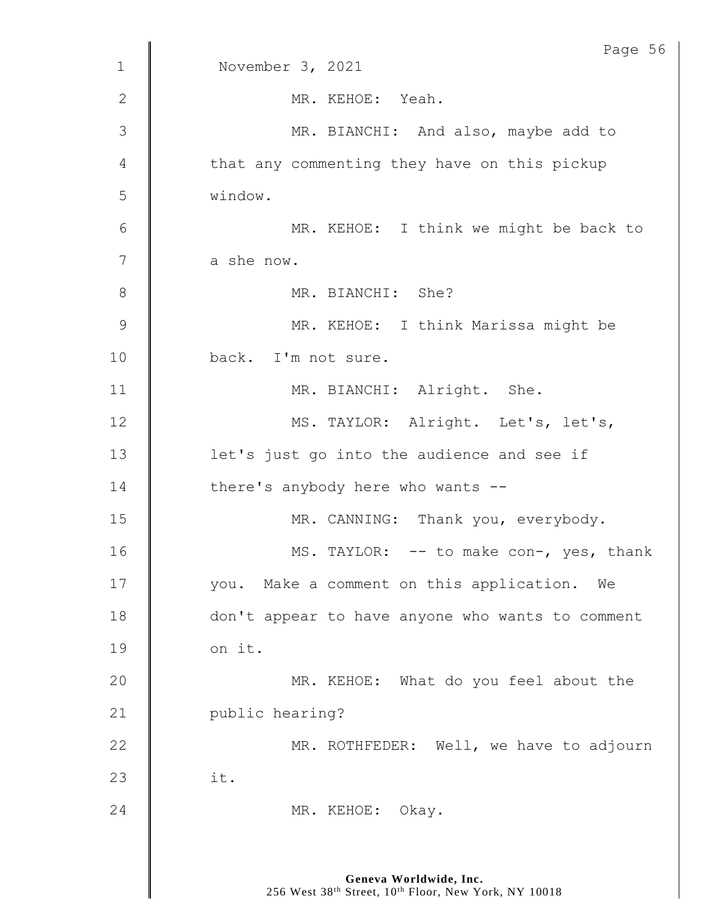| $\mathbf{1}$   | Page 56<br>November 3, 2021                      |
|----------------|--------------------------------------------------|
|                |                                                  |
| $\mathbf{2}$   | MR. KEHOE: Yeah.                                 |
| 3              | MR. BIANCHI: And also, maybe add to              |
| 4              | that any commenting they have on this pickup     |
| 5              | window.                                          |
| 6              | MR. KEHOE: I think we might be back to           |
| $\overline{7}$ | a she now.                                       |
| 8              | MR. BIANCHI: She?                                |
| 9              | MR. KEHOE: I think Marissa might be              |
| 10             | back. I'm not sure.                              |
| 11             | MR. BIANCHI: Alright. She.                       |
| 12             | MS. TAYLOR: Alright. Let's, let's,               |
| 13             | let's just go into the audience and see if       |
| 14             | there's anybody here who wants --                |
| 15             | MR. CANNING: Thank you, everybody.               |
| 16             | MS. TAYLOR: -- to make con-, yes, thank          |
| 17             | you. Make a comment on this application. We      |
| 18             | don't appear to have anyone who wants to comment |
| 19             | on it.                                           |
| 20             | MR. KEHOE: What do you feel about the            |
| 21             | public hearing?                                  |
| 22             | MR. ROTHFEDER: Well, we have to adjourn          |
| 23             | it.                                              |
| 24             | MR. KEHOE: Okay.                                 |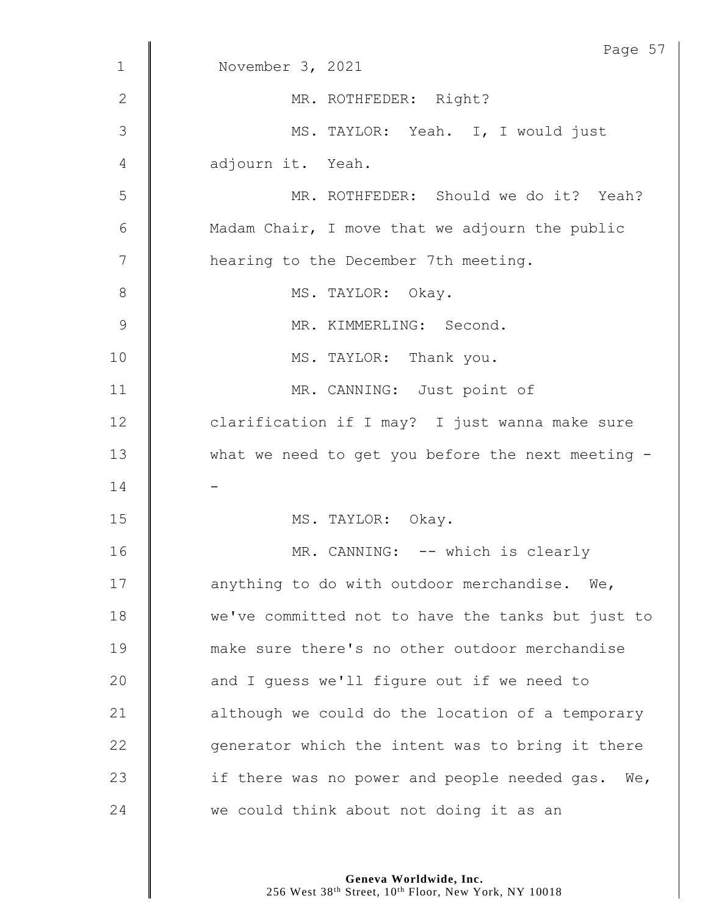|                | Page 57                                           |
|----------------|---------------------------------------------------|
| $\mathbf{1}$   | November 3, 2021                                  |
| $\mathbf{2}$   | MR. ROTHFEDER: Right?                             |
| 3              | MS. TAYLOR: Yeah. I, I would just                 |
| 4              | adjourn it. Yeah.                                 |
| 5              | MR. ROTHFEDER: Should we do it? Yeah?             |
| 6              | Madam Chair, I move that we adjourn the public    |
| $\overline{7}$ | hearing to the December 7th meeting.              |
| $\,8\,$        | MS. TAYLOR: Okay.                                 |
| $\mathcal{G}$  | MR. KIMMERLING: Second.                           |
| 10             | MS. TAYLOR: Thank you.                            |
| 11             | MR. CANNING: Just point of                        |
| 12             | clarification if I may? I just wanna make sure    |
| 13             | what we need to get you before the next meeting - |
| 14             |                                                   |
| 15             | MS. TAYLOR: Okay.                                 |
| 16             | MR. CANNING: -- which is clearly                  |
| 17             | anything to do with outdoor merchandise. We,      |
| 18             | we've committed not to have the tanks but just to |
| 19             | make sure there's no other outdoor merchandise    |
| 20             | and I guess we'll figure out if we need to        |
| 21             | although we could do the location of a temporary  |
| 22             | generator which the intent was to bring it there  |
| 23             | if there was no power and people needed gas. We,  |
| 24             | we could think about not doing it as an           |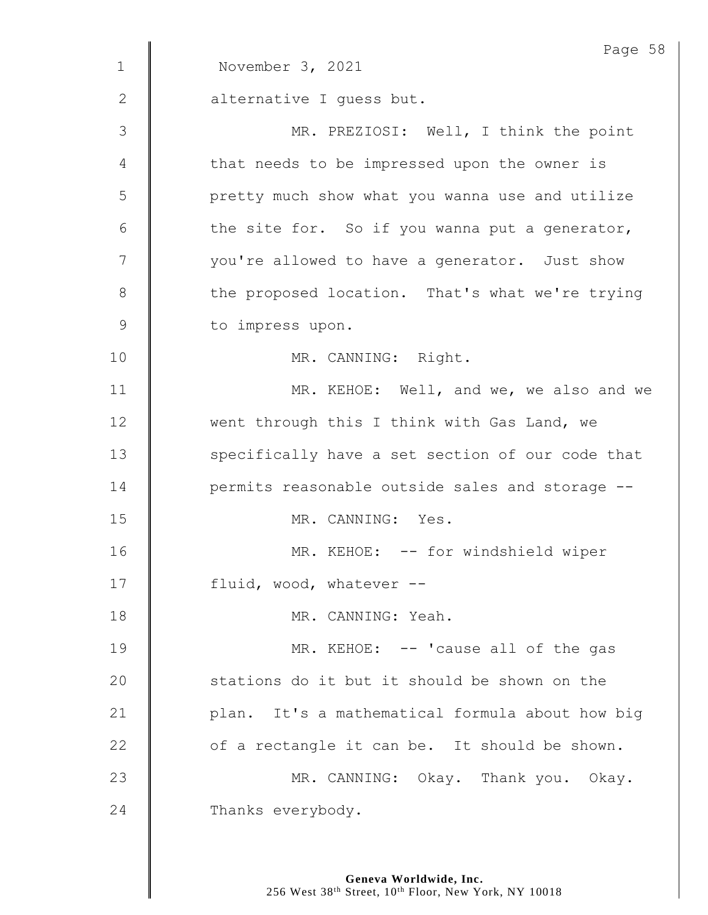| $\mathbf 1$    | Page 58<br>November 3, 2021                      |
|----------------|--------------------------------------------------|
|                |                                                  |
| 2              | alternative I guess but.                         |
| $\mathfrak{Z}$ | MR. PREZIOSI: Well, I think the point            |
| 4              | that needs to be impressed upon the owner is     |
| 5              | pretty much show what you wanna use and utilize  |
| 6              | the site for. So if you wanna put a generator,   |
| 7              | you're allowed to have a generator. Just show    |
| 8              | the proposed location. That's what we're trying  |
| $\mathsf 9$    | to impress upon.                                 |
| 10             | MR. CANNING: Right.                              |
| 11             | MR. KEHOE: Well, and we, we also and we          |
| 12             | went through this I think with Gas Land, we      |
| 13             | specifically have a set section of our code that |
| 14             | permits reasonable outside sales and storage --  |
| 15             | MR. CANNING: Yes.                                |
| 16             | MR. KEHOE: -- for windshield wiper               |
| 17             | fluid, wood, whatever --                         |
| 18             | MR. CANNING: Yeah.                               |
| 19             | MR. KEHOE: -- 'cause all of the gas              |
| 20             | stations do it but it should be shown on the     |
| 21             | plan. It's a mathematical formula about how big  |
| 22             | of a rectangle it can be. It should be shown.    |
| 23             | MR. CANNING: Okay. Thank you. Okay.              |
| 24             | Thanks everybody.                                |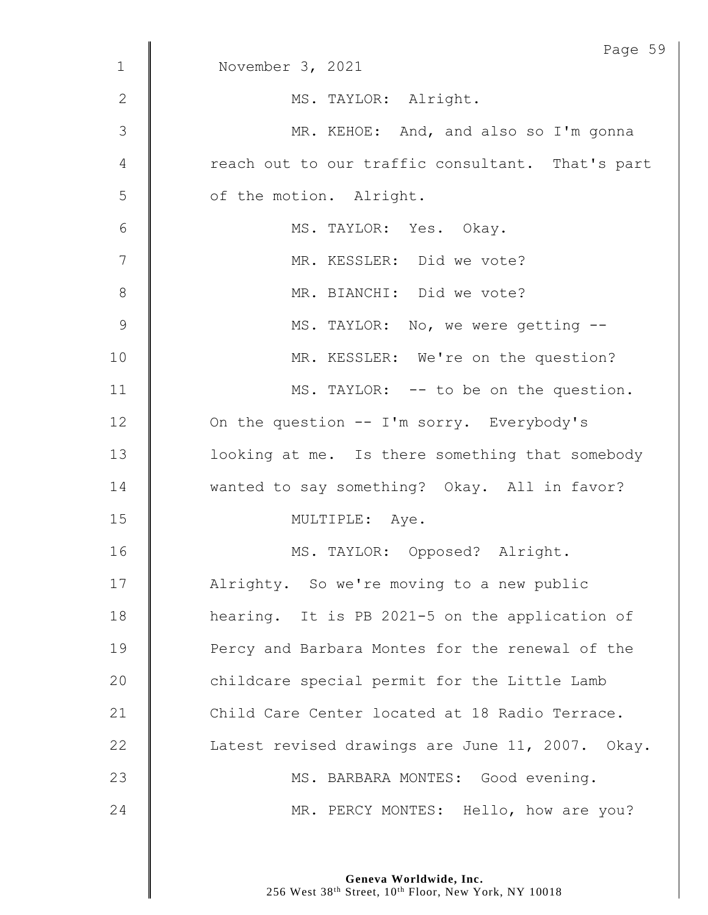| $\mathbf 1$    | Page 59<br>November 3, 2021                      |
|----------------|--------------------------------------------------|
|                |                                                  |
| $\mathbf{2}$   | MS. TAYLOR: Alright.                             |
| 3              | MR. KEHOE: And, and also so I'm gonna            |
| 4              | reach out to our traffic consultant. That's part |
| 5              | of the motion. Alright.                          |
| $\sqrt{6}$     | MS. TAYLOR: Yes. Okay.                           |
| $\overline{7}$ | MR. KESSLER: Did we vote?                        |
| $\,8\,$        | MR. BIANCHI: Did we vote?                        |
| $\overline{9}$ | MS. TAYLOR: No, we were getting --               |
| 10             | MR. KESSLER: We're on the question?              |
| 11             | MS. TAYLOR: -- to be on the question.            |
| 12             | On the question -- I'm sorry. Everybody's        |
| 13             | looking at me. Is there something that somebody  |
| 14             | wanted to say something? Okay. All in favor?     |
| 15             | MULTIPLE: Aye.                                   |
| 16             | MS. TAYLOR: Opposed? Alright.                    |
| 17             | Alrighty. So we're moving to a new public        |
| 18             | hearing. It is PB 2021-5 on the application of   |
| 19             | Percy and Barbara Montes for the renewal of the  |
| 20             | childcare special permit for the Little Lamb     |
| 21             | Child Care Center located at 18 Radio Terrace.   |
| 22             | Latest revised drawings are June 11, 2007. Okay. |
| 23             | MS. BARBARA MONTES: Good evening.                |
| 24             | MR. PERCY MONTES: Hello, how are you?            |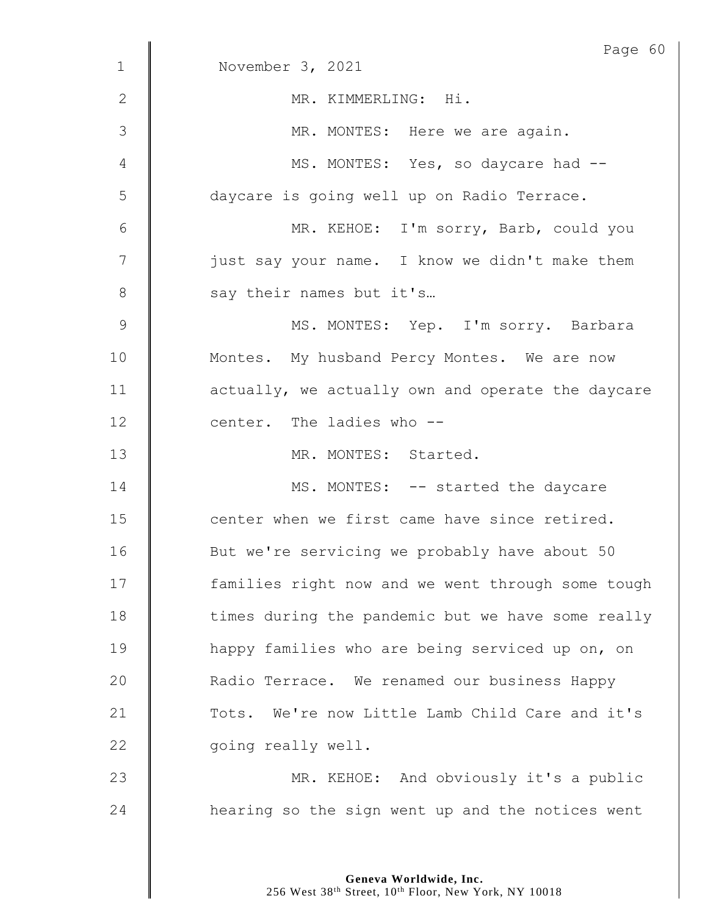|              | Page 60                                           |
|--------------|---------------------------------------------------|
| $\mathbf{1}$ | November 3, 2021                                  |
| 2            | MR. KIMMERLING: Hi.                               |
| 3            | MR. MONTES: Here we are again.                    |
| 4            | MS. MONTES: Yes, so daycare had --                |
| 5            | daycare is going well up on Radio Terrace.        |
| 6            | MR. KEHOE: I'm sorry, Barb, could you             |
| 7            | just say your name. I know we didn't make them    |
| 8            | say their names but it's                          |
| $\mathsf 9$  | MS. MONTES: Yep. I'm sorry. Barbara               |
| 10           | Montes. My husband Percy Montes. We are now       |
| 11           | actually, we actually own and operate the daycare |
| 12           | center. The ladies who --                         |
| 13           | MR. MONTES: Started.                              |
| 14           | MS. MONTES: -- started the daycare                |
| 15           | center when we first came have since retired.     |
| 16           | But we're servicing we probably have about 50     |
| 17           | families right now and we went through some tough |
| 18           | times during the pandemic but we have some really |
| 19           | happy families who are being serviced up on, on   |
| 20           | Radio Terrace. We renamed our business Happy      |
| 21           | Tots. We're now Little Lamb Child Care and it's   |
| 22           | going really well.                                |
| 23           | MR. KEHOE: And obviously it's a public            |
| 24           | hearing so the sign went up and the notices went  |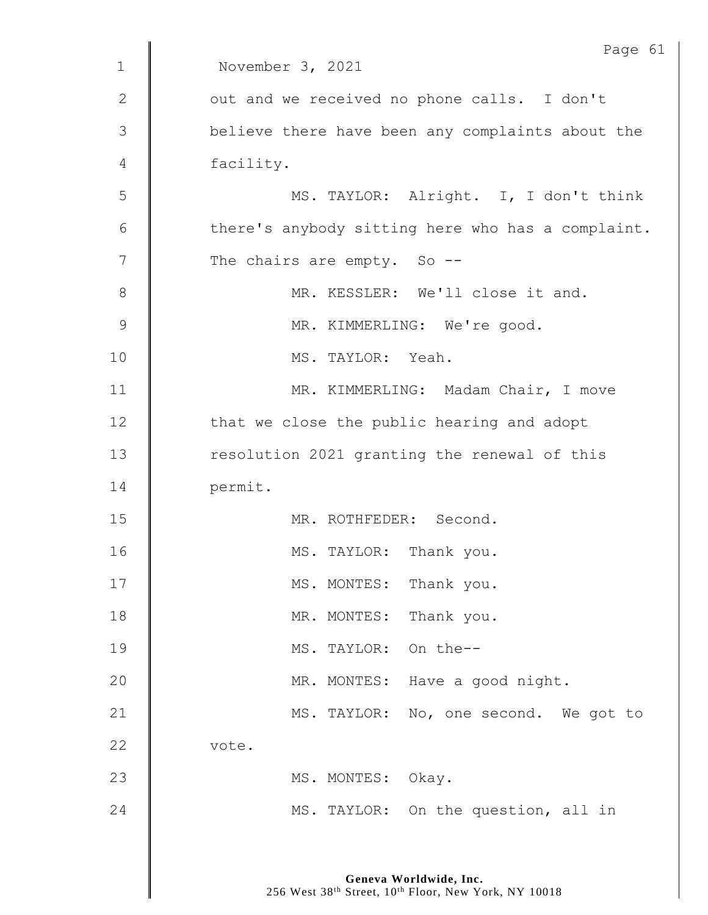|               | Page 61                                           |
|---------------|---------------------------------------------------|
| $\mathbf{1}$  | November 3, 2021                                  |
| $\mathbf{2}$  | out and we received no phone calls. I don't       |
| $\mathcal{S}$ | believe there have been any complaints about the  |
| 4             | facility.                                         |
| 5             | MS. TAYLOR: Alright. I, I don't think             |
| 6             | there's anybody sitting here who has a complaint. |
| 7             | The chairs are empty. So --                       |
| 8             | MR. KESSLER: We'll close it and.                  |
| $\mathsf 9$   | MR. KIMMERLING: We're good.                       |
| 10            | MS. TAYLOR: Yeah.                                 |
| 11            | MR. KIMMERLING: Madam Chair, I move               |
| 12            | that we close the public hearing and adopt        |
| 13            | resolution 2021 granting the renewal of this      |
| 14            | permit.                                           |
| 15            | MR. ROTHFEDER: Second.                            |
| 16            | MS. TAYLOR: Thank you.                            |
| 17            | MS. MONTES: Thank you.                            |
| 18            | MR. MONTES:<br>Thank you.                         |
| 19            | MS. TAYLOR: On the--                              |
| 20            | MR. MONTES: Have a good night.                    |
| 21            | MS. TAYLOR: No, one second. We got to             |
| 22            | vote.                                             |
| 23            | MS. MONTES: Okay.                                 |
| 24            | MS. TAYLOR: On the question, all in               |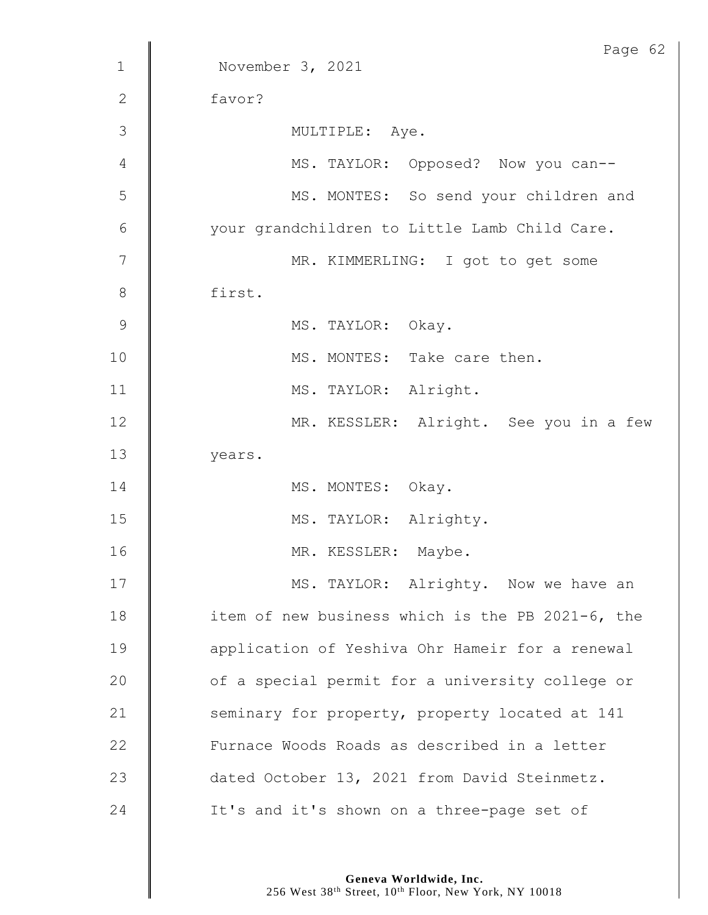|                 | Page 62                                          |
|-----------------|--------------------------------------------------|
| $\mathbf{1}$    | November 3, 2021                                 |
| $\mathbf{2}$    | favor?                                           |
| 3               | MULTIPLE: Aye.                                   |
| 4               | MS. TAYLOR: Opposed? Now you can--               |
| 5               | MS. MONTES: So send your children and            |
| $6\phantom{1}6$ | your grandchildren to Little Lamb Child Care.    |
| 7               | MR. KIMMERLING: I got to get some                |
| 8               | first.                                           |
| 9               | MS. TAYLOR: Okay.                                |
| 10              | MS. MONTES: Take care then.                      |
| 11              | MS. TAYLOR: Alright.                             |
| 12              | MR. KESSLER: Alright. See you in a few           |
| 13              | years.                                           |
| 14              | MS. MONTES: Okay.                                |
| 15              | MS. TAYLOR: Alrighty.                            |
| 16              | MR. KESSLER:<br>Maybe.                           |
| 17              | MS. TAYLOR: Alrighty. Now we have an             |
| 18              | item of new business which is the PB 2021-6, the |
| 19              | application of Yeshiva Ohr Hameir for a renewal  |
| 20              | of a special permit for a university college or  |
| 21              | seminary for property, property located at 141   |
| 22              | Furnace Woods Roads as described in a letter     |
| 23              | dated October 13, 2021 from David Steinmetz.     |
| 24              | It's and it's shown on a three-page set of       |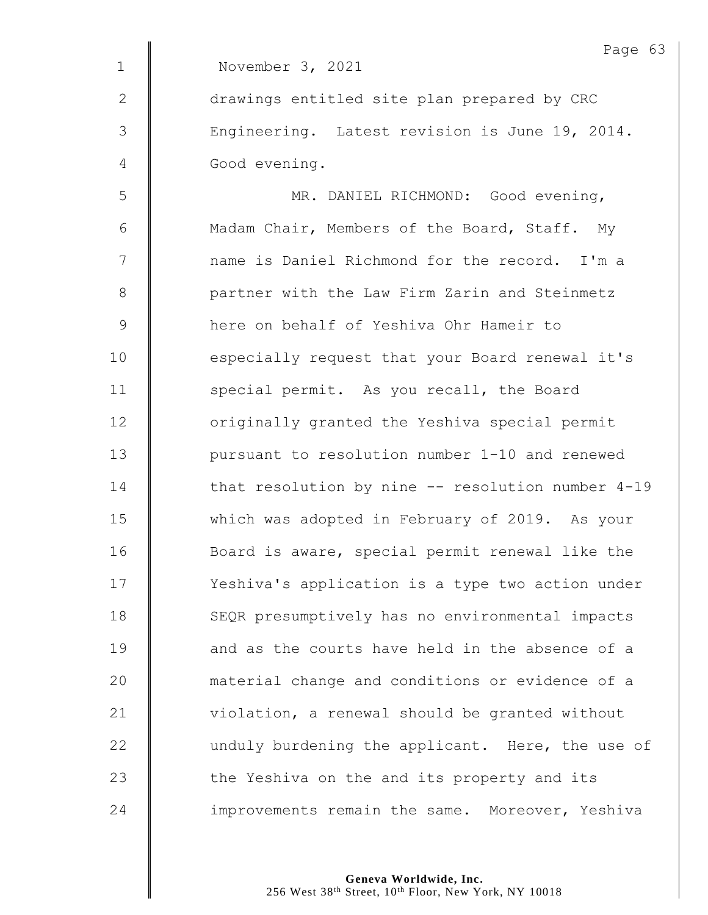|               | Page 63                                           |
|---------------|---------------------------------------------------|
| $\mathbf{1}$  | November 3, 2021                                  |
| $\mathbf{2}$  | drawings entitled site plan prepared by CRC       |
| $\mathcal{S}$ | Engineering. Latest revision is June 19, 2014.    |
| 4             | Good evening.                                     |
| 5             | MR. DANIEL RICHMOND: Good evening,                |
| 6             | Madam Chair, Members of the Board, Staff. My      |
| 7             | name is Daniel Richmond for the record. I'm a     |
| $8\,$         | partner with the Law Firm Zarin and Steinmetz     |
| $\mathsf 9$   | here on behalf of Yeshiva Ohr Hameir to           |
| 10            | especially request that your Board renewal it's   |
| 11            | special permit. As you recall, the Board          |
| 12            | originally granted the Yeshiva special permit     |
| 13            | pursuant to resolution number 1-10 and renewed    |
| 14            | that resolution by nine -- resolution number 4-19 |
| 15            | which was adopted in February of 2019. As your    |
| 16            | Board is aware, special permit renewal like the   |
| 17            | Yeshiva's application is a type two action under  |
| 18            | SEQR presumptively has no environmental impacts   |
| 19            | and as the courts have held in the absence of a   |
| 20            | material change and conditions or evidence of a   |
| 21            | violation, a renewal should be granted without    |
| 22            | unduly burdening the applicant. Here, the use of  |
| 23            | the Yeshiva on the and its property and its       |
| 24            | improvements remain the same. Moreover, Yeshiva   |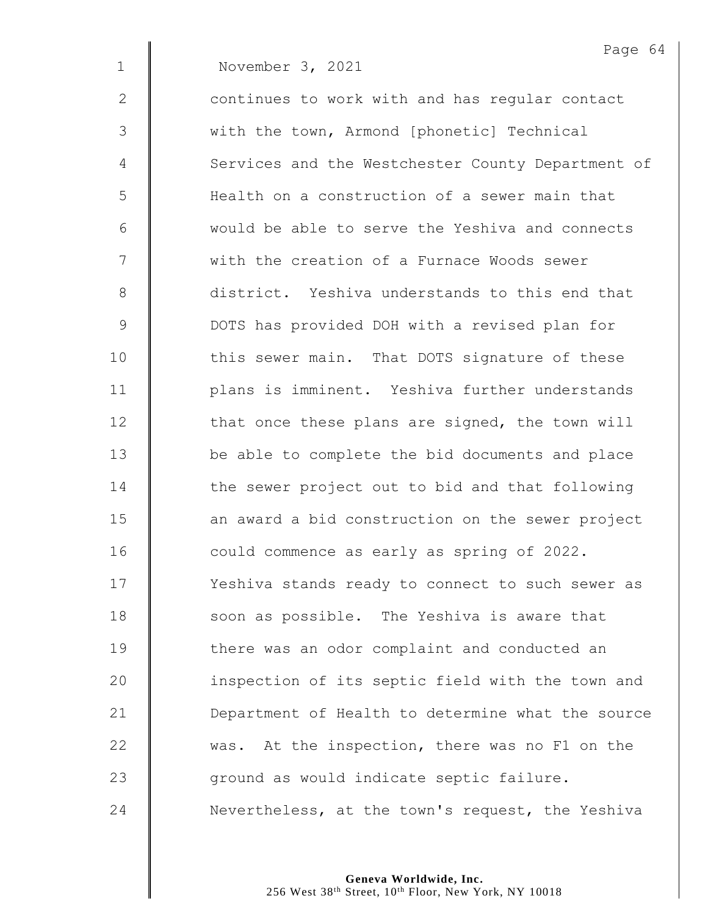|               | Page 64                                           |
|---------------|---------------------------------------------------|
| $\mathbf 1$   | November 3, 2021                                  |
| $\mathbf{2}$  | continues to work with and has regular contact    |
| 3             | with the town, Armond [phonetic] Technical        |
| 4             | Services and the Westchester County Department of |
| 5             | Health on a construction of a sewer main that     |
| 6             | would be able to serve the Yeshiva and connects   |
| 7             | with the creation of a Furnace Woods sewer        |
| $8\,$         | district. Yeshiva understands to this end that    |
| $\mathcal{G}$ | DOTS has provided DOH with a revised plan for     |
| 10            | this sewer main. That DOTS signature of these     |
| 11            | plans is imminent. Yeshiva further understands    |
| 12            | that once these plans are signed, the town will   |
| 13            | be able to complete the bid documents and place   |
| 14            | the sewer project out to bid and that following   |
| 15            | an award a bid construction on the sewer project  |
| 16            | could commence as early as spring of 2022.        |
| 17            | Yeshiva stands ready to connect to such sewer as  |
| 18            | soon as possible. The Yeshiva is aware that       |
| 19            | there was an odor complaint and conducted an      |
| 20            | inspection of its septic field with the town and  |
| 21            | Department of Health to determine what the source |
| 22            | was. At the inspection, there was no F1 on the    |
| 23            | ground as would indicate septic failure.          |
| 24            | Nevertheless, at the town's request, the Yeshiva  |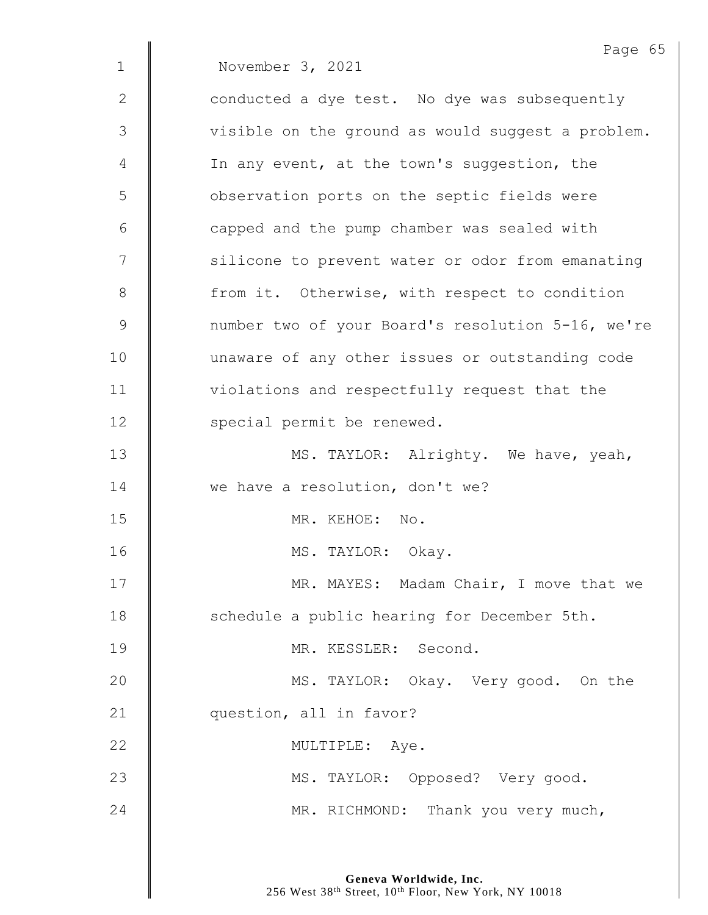|              | Page 65                                           |
|--------------|---------------------------------------------------|
| $\mathbf{1}$ | November 3, 2021                                  |
| 2            | conducted a dye test. No dye was subsequently     |
| 3            | visible on the ground as would suggest a problem. |
| 4            | In any event, at the town's suggestion, the       |
| 5            | observation ports on the septic fields were       |
| 6            | capped and the pump chamber was sealed with       |
| 7            | silicone to prevent water or odor from emanating  |
| 8            | from it. Otherwise, with respect to condition     |
| $\mathsf 9$  | number two of your Board's resolution 5-16, we're |
| 10           | unaware of any other issues or outstanding code   |
| 11           | violations and respectfully request that the      |
| 12           | special permit be renewed.                        |
| 13           | MS. TAYLOR: Alrighty. We have, yeah,              |
| 14           | we have a resolution, don't we?                   |
| 15           | MR. KEHOE: No.                                    |
| 16           | MS. TAYLOR: Okay.                                 |
| 17           | MR. MAYES: Madam Chair, I move that we            |
| 18           | schedule a public hearing for December 5th.       |
| 19           | MR. KESSLER: Second.                              |
| 20           | MS. TAYLOR: Okay. Very good. On the               |
| 21           | question, all in favor?                           |
| 22           | MULTIPLE: Aye.                                    |
| 23           | MS. TAYLOR: Opposed? Very good.                   |
| 24           | MR. RICHMOND: Thank you very much,                |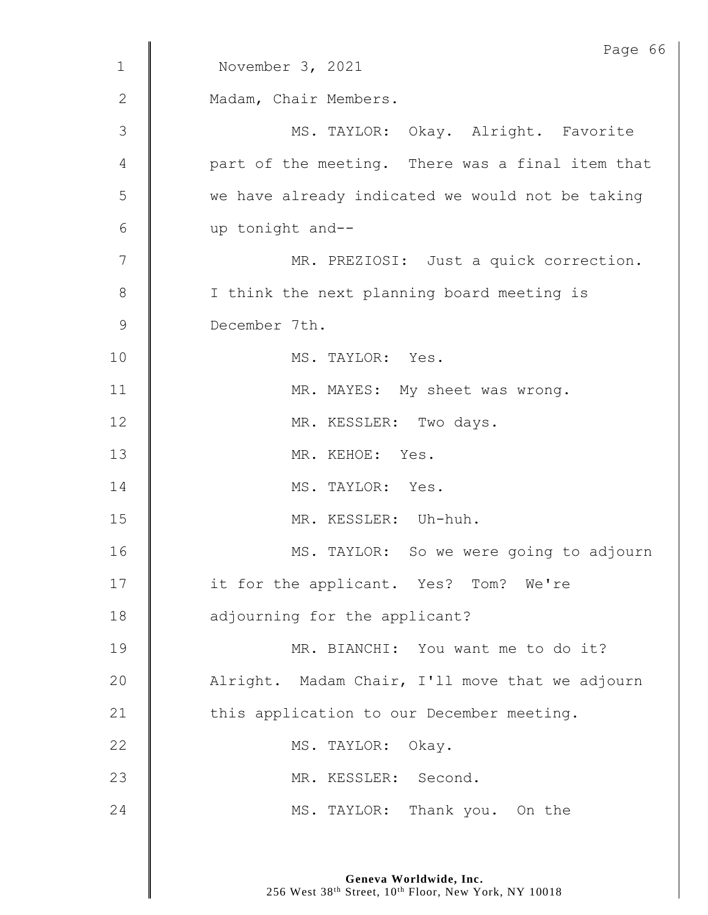|              | Page 66                                          |
|--------------|--------------------------------------------------|
| $\mathbf{1}$ | November 3, 2021                                 |
| $\mathbf{2}$ | Madam, Chair Members.                            |
| 3            | MS. TAYLOR: Okay. Alright. Favorite              |
| 4            | part of the meeting. There was a final item that |
| 5            | we have already indicated we would not be taking |
| 6            | up tonight and--                                 |
| 7            | MR. PREZIOSI: Just a quick correction.           |
| $8\,$        | I think the next planning board meeting is       |
| 9            | December 7th.                                    |
| 10           | MS. TAYLOR: Yes.                                 |
| 11           | MR. MAYES: My sheet was wrong.                   |
| 12           | MR. KESSLER: Two days.                           |
| 13           | MR. KEHOE: Yes.                                  |
| 14           | MS. TAYLOR: Yes.                                 |
| 15           | MR. KESSLER: Uh-huh.                             |
| 16           | MS. TAYLOR: So we were going to adjourn          |
| 17           | it for the applicant. Yes? Tom? We're            |
| 18           | adjourning for the applicant?                    |
| 19           | MR. BIANCHI: You want me to do it?               |
| 20           | Alright. Madam Chair, I'll move that we adjourn  |
| 21           | this application to our December meeting.        |
| 22           | MS. TAYLOR: Okay.                                |
| 23           | MR. KESSLER: Second.                             |
| 24           | MS. TAYLOR: Thank you. On the                    |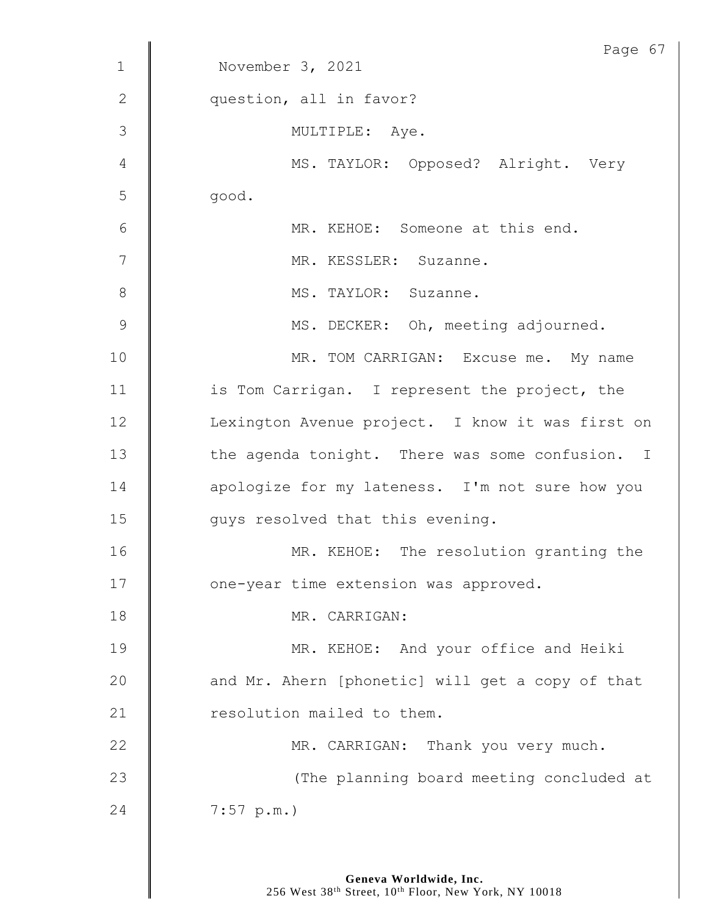|                | Page 67                                          |
|----------------|--------------------------------------------------|
| $\mathbf{1}$   | November 3, 2021                                 |
| $\mathbf{2}$   | question, all in favor?                          |
| 3              | MULTIPLE: Aye.                                   |
| 4              | MS. TAYLOR: Opposed? Alright. Very               |
| 5              | good.                                            |
| 6              | MR. KEHOE: Someone at this end.                  |
| 7              | MR. KESSLER: Suzanne.                            |
| 8              | MS. TAYLOR: Suzanne.                             |
| $\overline{9}$ | MS. DECKER: Oh, meeting adjourned.               |
| 10             | MR. TOM CARRIGAN: Excuse me. My name             |
| 11             | is Tom Carrigan. I represent the project, the    |
| 12             | Lexington Avenue project. I know it was first on |
| 13             | the agenda tonight. There was some confusion. I  |
| 14             | apologize for my lateness. I'm not sure how you  |
| 15             | guys resolved that this evening.                 |
| 16             | MR. KEHOE: The resolution granting the           |
| 17             | one-year time extension was approved.            |
| 18             | MR. CARRIGAN:                                    |
| 19             | MR. KEHOE: And your office and Heiki             |
| 20             | and Mr. Ahern [phonetic] will get a copy of that |
| 21             | resolution mailed to them.                       |
| 22             | MR. CARRIGAN: Thank you very much.               |
| 23             | (The planning board meeting concluded at         |
| 24             | 7:57 p.m.                                        |
|                |                                                  |